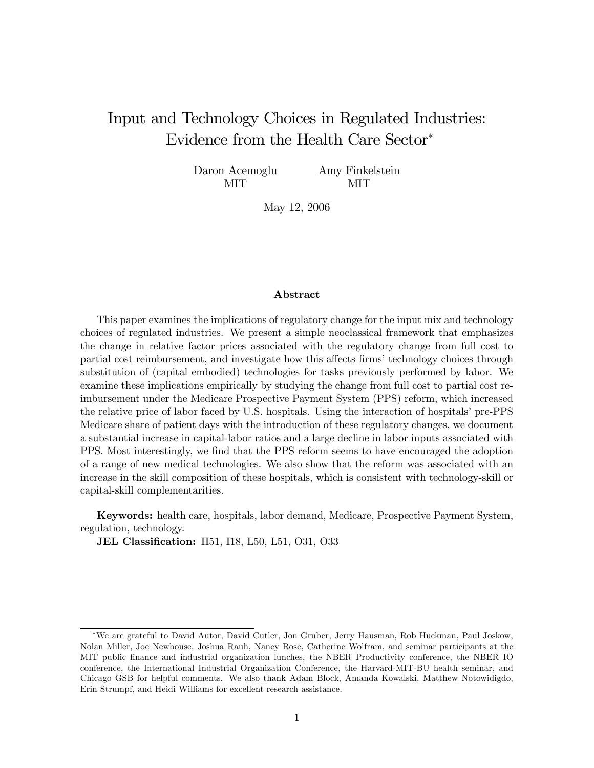# Input and Technology Choices in Regulated Industries: Evidence from the Health Care Sector<sup>∗</sup>

Daron Acemoglu MIT Amy Finkelstein

MIT

May 12, 2006

#### Abstract

This paper examines the implications of regulatory change for the input mix and technology choices of regulated industries. We present a simple neoclassical framework that emphasizes the change in relative factor prices associated with the regulatory change from full cost to partial cost reimbursement, and investigate how this affects firms' technology choices through substitution of (capital embodied) technologies for tasks previously performed by labor. We examine these implications empirically by studying the change from full cost to partial cost reimbursement under the Medicare Prospective Payment System (PPS) reform, which increased the relative price of labor faced by U.S. hospitals. Using the interaction of hospitals' pre-PPS Medicare share of patient days with the introduction of these regulatory changes, we document a substantial increase in capital-labor ratios and a large decline in labor inputs associated with PPS. Most interestingly, we find that the PPS reform seems to have encouraged the adoption of a range of new medical technologies. We also show that the reform was associated with an increase in the skill composition of these hospitals, which is consistent with technology-skill or capital-skill complementarities.

Keywords: health care, hospitals, labor demand, Medicare, Prospective Payment System, regulation, technology.

JEL Classification: H51, I18, L50, L51, O31, O33

<sup>∗</sup>We are grateful to David Autor, David Cutler, Jon Gruber, Jerry Hausman, Rob Huckman, Paul Joskow, Nolan Miller, Joe Newhouse, Joshua Rauh, Nancy Rose, Catherine Wolfram, and seminar participants at the MIT public finance and industrial organization lunches, the NBER Productivity conference, the NBER IO conference, the International Industrial Organization Conference, the Harvard-MIT-BU health seminar, and Chicago GSB for helpful comments. We also thank Adam Block, Amanda Kowalski, Matthew Notowidigdo, Erin Strumpf, and Heidi Williams for excellent research assistance.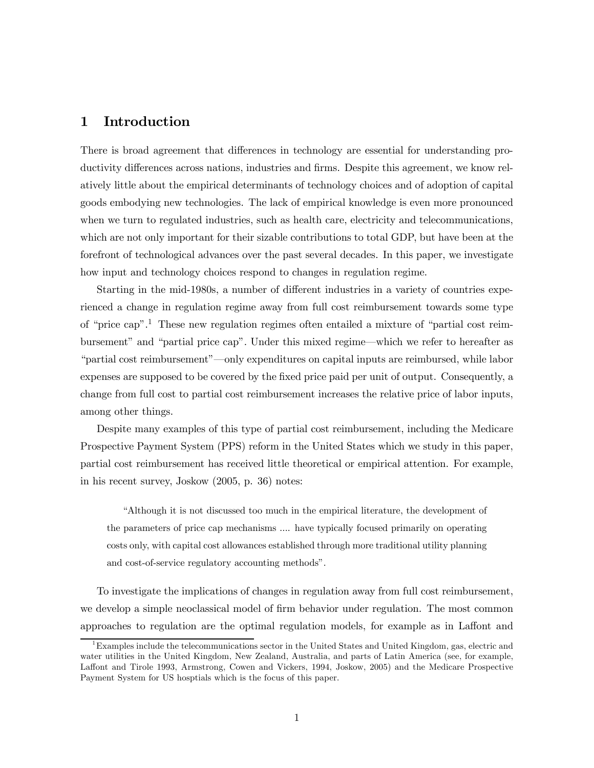### 1 Introduction

There is broad agreement that differences in technology are essential for understanding productivity differences across nations, industries and firms. Despite this agreement, we know relatively little about the empirical determinants of technology choices and of adoption of capital goods embodying new technologies. The lack of empirical knowledge is even more pronounced when we turn to regulated industries, such as health care, electricity and telecommunications, which are not only important for their sizable contributions to total GDP, but have been at the forefront of technological advances over the past several decades. In this paper, we investigate how input and technology choices respond to changes in regulation regime.

Starting in the mid-1980s, a number of different industries in a variety of countries experienced a change in regulation regime away from full cost reimbursement towards some type of "price cap".1 These new regulation regimes often entailed a mixture of "partial cost reimbursement" and "partial price cap". Under this mixed regime–which we refer to hereafter as "partial cost reimbursement"–only expenditures on capital inputs are reimbursed, while labor expenses are supposed to be covered by the fixed price paid per unit of output. Consequently, a change from full cost to partial cost reimbursement increases the relative price of labor inputs, among other things.

Despite many examples of this type of partial cost reimbursement, including the Medicare Prospective Payment System (PPS) reform in the United States which we study in this paper, partial cost reimbursement has received little theoretical or empirical attention. For example, in his recent survey, Joskow (2005, p. 36) notes:

"Although it is not discussed too much in the empirical literature, the development of the parameters of price cap mechanisms .... have typically focused primarily on operating costs only, with capital cost allowances established through more traditional utility planning and cost-of-service regulatory accounting methods".

To investigate the implications of changes in regulation away from full cost reimbursement, we develop a simple neoclassical model of firm behavior under regulation. The most common approaches to regulation are the optimal regulation models, for example as in Laffont and

 $1<sup>1</sup>$  Examples include the telecommunications sector in the United States and United Kingdom, gas, electric and water utilities in the United Kingdom, New Zealand, Australia, and parts of Latin America (see, for example, Laffont and Tirole 1993, Armstrong, Cowen and Vickers, 1994, Joskow, 2005) and the Medicare Prospective Payment System for US hosptials which is the focus of this paper.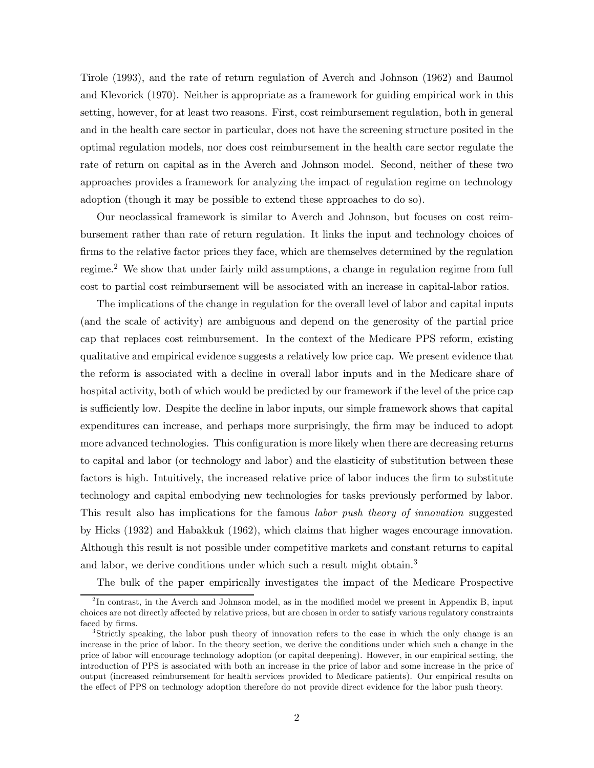Tirole (1993), and the rate of return regulation of Averch and Johnson (1962) and Baumol and Klevorick (1970). Neither is appropriate as a framework for guiding empirical work in this setting, however, for at least two reasons. First, cost reimbursement regulation, both in general and in the health care sector in particular, does not have the screening structure posited in the optimal regulation models, nor does cost reimbursement in the health care sector regulate the rate of return on capital as in the Averch and Johnson model. Second, neither of these two approaches provides a framework for analyzing the impact of regulation regime on technology adoption (though it may be possible to extend these approaches to do so).

Our neoclassical framework is similar to Averch and Johnson, but focuses on cost reimbursement rather than rate of return regulation. It links the input and technology choices of firms to the relative factor prices they face, which are themselves determined by the regulation regime.2 We show that under fairly mild assumptions, a change in regulation regime from full cost to partial cost reimbursement will be associated with an increase in capital-labor ratios.

The implications of the change in regulation for the overall level of labor and capital inputs (and the scale of activity) are ambiguous and depend on the generosity of the partial price cap that replaces cost reimbursement. In the context of the Medicare PPS reform, existing qualitative and empirical evidence suggests a relatively low price cap. We present evidence that the reform is associated with a decline in overall labor inputs and in the Medicare share of hospital activity, both of which would be predicted by our framework if the level of the price cap is sufficiently low. Despite the decline in labor inputs, our simple framework shows that capital expenditures can increase, and perhaps more surprisingly, the firm may be induced to adopt more advanced technologies. This configuration is more likely when there are decreasing returns to capital and labor (or technology and labor) and the elasticity of substitution between these factors is high. Intuitively, the increased relative price of labor induces the firm to substitute technology and capital embodying new technologies for tasks previously performed by labor. This result also has implications for the famous labor push theory of innovation suggested by Hicks (1932) and Habakkuk (1962), which claims that higher wages encourage innovation. Although this result is not possible under competitive markets and constant returns to capital and labor, we derive conditions under which such a result might obtain.<sup>3</sup>

The bulk of the paper empirically investigates the impact of the Medicare Prospective

 $^{2}$ In contrast, in the Averch and Johnson model, as in the modified model we present in Appendix B, input choices are not directly affected by relative prices, but are chosen in order to satisfy various regulatory constraints faced by firms.

<sup>3</sup>Strictly speaking, the labor push theory of innovation refers to the case in which the only change is an increase in the price of labor. In the theory section, we derive the conditions under which such a change in the price of labor will encourage technology adoption (or capital deepening). However, in our empirical setting, the introduction of PPS is associated with both an increase in the price of labor and some increase in the price of output (increased reimbursement for health services provided to Medicare patients). Our empirical results on the effect of PPS on technology adoption therefore do not provide direct evidence for the labor push theory.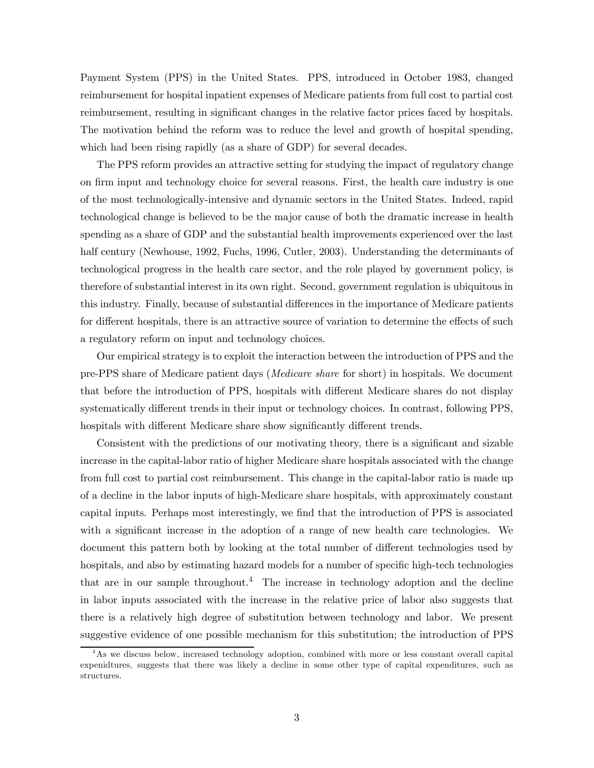Payment System (PPS) in the United States. PPS, introduced in October 1983, changed reimbursement for hospital inpatient expenses of Medicare patients from full cost to partial cost reimbursement, resulting in significant changes in the relative factor prices faced by hospitals. The motivation behind the reform was to reduce the level and growth of hospital spending, which had been rising rapidly (as a share of GDP) for several decades.

The PPS reform provides an attractive setting for studying the impact of regulatory change on firm input and technology choice for several reasons. First, the health care industry is one of the most technologically-intensive and dynamic sectors in the United States. Indeed, rapid technological change is believed to be the major cause of both the dramatic increase in health spending as a share of GDP and the substantial health improvements experienced over the last half century (Newhouse, 1992, Fuchs, 1996, Cutler, 2003). Understanding the determinants of technological progress in the health care sector, and the role played by government policy, is therefore of substantial interest in its own right. Second, government regulation is ubiquitous in this industry. Finally, because of substantial differences in the importance of Medicare patients for different hospitals, there is an attractive source of variation to determine the effects of such a regulatory reform on input and technology choices.

Our empirical strategy is to exploit the interaction between the introduction of PPS and the pre-PPS share of Medicare patient days (Medicare share for short) in hospitals. We document that before the introduction of PPS, hospitals with different Medicare shares do not display systematically different trends in their input or technology choices. In contrast, following PPS, hospitals with different Medicare share show significantly different trends.

Consistent with the predictions of our motivating theory, there is a significant and sizable increase in the capital-labor ratio of higher Medicare share hospitals associated with the change from full cost to partial cost reimbursement. This change in the capital-labor ratio is made up of a decline in the labor inputs of high-Medicare share hospitals, with approximately constant capital inputs. Perhaps most interestingly, we find that the introduction of PPS is associated with a significant increase in the adoption of a range of new health care technologies. We document this pattern both by looking at the total number of different technologies used by hospitals, and also by estimating hazard models for a number of specific high-tech technologies that are in our sample throughout.<sup>4</sup> The increase in technology adoption and the decline in labor inputs associated with the increase in the relative price of labor also suggests that there is a relatively high degree of substitution between technology and labor. We present suggestive evidence of one possible mechanism for this substitution; the introduction of PPS

<sup>4</sup>As we discuss below, increased technology adoption, combined with more or less constant overall capital expenidtures, suggests that there was likely a decline in some other type of capital expenditures, such as structures.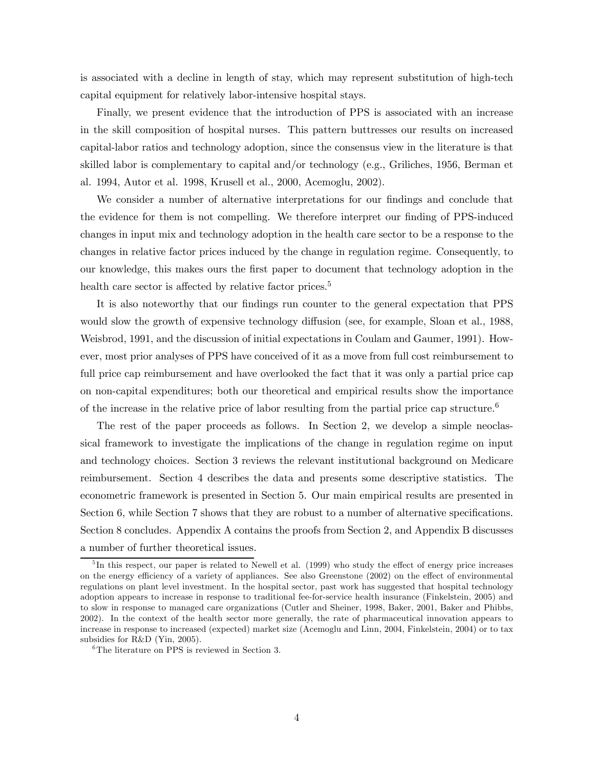is associated with a decline in length of stay, which may represent substitution of high-tech capital equipment for relatively labor-intensive hospital stays.

Finally, we present evidence that the introduction of PPS is associated with an increase in the skill composition of hospital nurses. This pattern buttresses our results on increased capital-labor ratios and technology adoption, since the consensus view in the literature is that skilled labor is complementary to capital and/or technology (e.g., Griliches, 1956, Berman et al. 1994, Autor et al. 1998, Krusell et al., 2000, Acemoglu, 2002).

We consider a number of alternative interpretations for our findings and conclude that the evidence for them is not compelling. We therefore interpret our finding of PPS-induced changes in input mix and technology adoption in the health care sector to be a response to the changes in relative factor prices induced by the change in regulation regime. Consequently, to our knowledge, this makes ours the first paper to document that technology adoption in the health care sector is affected by relative factor prices.<sup>5</sup>

It is also noteworthy that our findings run counter to the general expectation that PPS would slow the growth of expensive technology diffusion (see, for example, Sloan et al., 1988, Weisbrod, 1991, and the discussion of initial expectations in Coulam and Gaumer, 1991). However, most prior analyses of PPS have conceived of it as a move from full cost reimbursement to full price cap reimbursement and have overlooked the fact that it was only a partial price cap on non-capital expenditures; both our theoretical and empirical results show the importance of the increase in the relative price of labor resulting from the partial price cap structure.<sup>6</sup>

The rest of the paper proceeds as follows. In Section 2, we develop a simple neoclassical framework to investigate the implications of the change in regulation regime on input and technology choices. Section 3 reviews the relevant institutional background on Medicare reimbursement. Section 4 describes the data and presents some descriptive statistics. The econometric framework is presented in Section 5. Our main empirical results are presented in Section 6, while Section 7 shows that they are robust to a number of alternative specifications. Section 8 concludes. Appendix A contains the proofs from Section 2, and Appendix B discusses a number of further theoretical issues.

<sup>&</sup>lt;sup>5</sup>In this respect, our paper is related to Newell et al. (1999) who study the effect of energy price increases on the energy efficiency of a variety of appliances. See also Greenstone (2002) on the effect of environmental regulations on plant level investment. In the hospital sector, past work has suggested that hospital technology adoption appears to increase in response to traditional fee-for-service health insurance (Finkelstein, 2005) and to slow in response to managed care organizations (Cutler and Sheiner, 1998, Baker, 2001, Baker and Phibbs, 2002). In the context of the health sector more generally, the rate of pharmaceutical innovation appears to increase in response to increased (expected) market size (Acemoglu and Linn, 2004, Finkelstein, 2004) or to tax subsidies for R&D (Yin, 2005).

<sup>6</sup>The literature on PPS is reviewed in Section 3.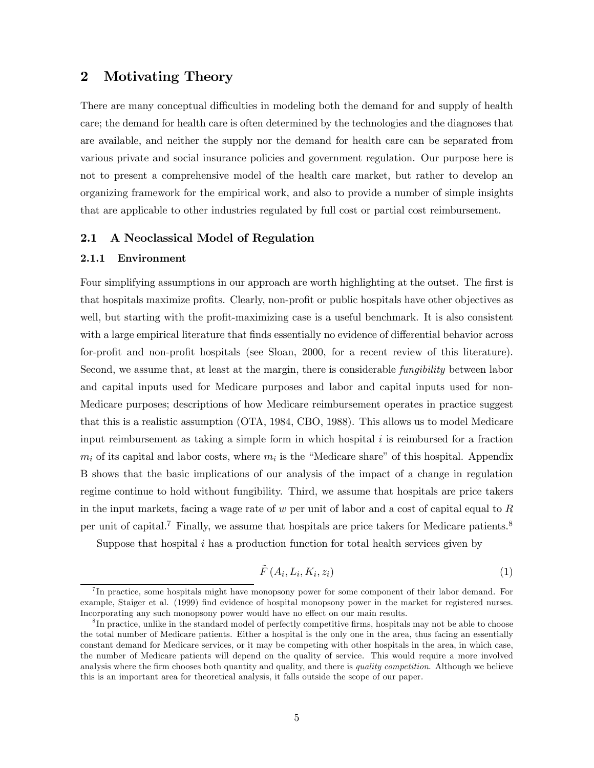## 2 Motivating Theory

There are many conceptual difficulties in modeling both the demand for and supply of health care; the demand for health care is often determined by the technologies and the diagnoses that are available, and neither the supply nor the demand for health care can be separated from various private and social insurance policies and government regulation. Our purpose here is not to present a comprehensive model of the health care market, but rather to develop an organizing framework for the empirical work, and also to provide a number of simple insights that are applicable to other industries regulated by full cost or partial cost reimbursement.

#### 2.1 A Neoclassical Model of Regulation

#### 2.1.1 Environment

Four simplifying assumptions in our approach are worth highlighting at the outset. The first is that hospitals maximize profits. Clearly, non-profit or public hospitals have other objectives as well, but starting with the profit-maximizing case is a useful benchmark. It is also consistent with a large empirical literature that finds essentially no evidence of differential behavior across for-profit and non-profit hospitals (see Sloan, 2000, for a recent review of this literature). Second, we assume that, at least at the margin, there is considerable fungibility between labor and capital inputs used for Medicare purposes and labor and capital inputs used for non-Medicare purposes; descriptions of how Medicare reimbursement operates in practice suggest that this is a realistic assumption (OTA, 1984, CBO, 1988). This allows us to model Medicare input reimbursement as taking a simple form in which hospital  $i$  is reimbursed for a fraction  $m_i$  of its capital and labor costs, where  $m_i$  is the "Medicare share" of this hospital. Appendix B shows that the basic implications of our analysis of the impact of a change in regulation regime continue to hold without fungibility. Third, we assume that hospitals are price takers in the input markets, facing a wage rate of w per unit of labor and a cost of capital equal to  $R$ per unit of capital.7 Finally, we assume that hospitals are price takers for Medicare patients.<sup>8</sup>

Suppose that hospital  $i$  has a production function for total health services given by

$$
\tilde{F}\left(A_i, L_i, K_i, z_i\right) \tag{1}
$$

<sup>&</sup>lt;sup>7</sup>In practice, some hospitals might have monopsony power for some component of their labor demand. For example, Staiger et al. (1999) find evidence of hospital monopsony power in the market for registered nurses. Incorporating any such monopsony power would have no effect on our main results.

<sup>&</sup>lt;sup>8</sup>In practice, unlike in the standard model of perfectly competitive firms, hospitals may not be able to choose the total number of Medicare patients. Either a hospital is the only one in the area, thus facing an essentially constant demand for Medicare services, or it may be competing with other hospitals in the area, in which case, the number of Medicare patients will depend on the quality of service. This would require a more involved analysis where the firm chooses both quantity and quality, and there is *quality competition*. Although we believe this is an important area for theoretical analysis, it falls outside the scope of our paper.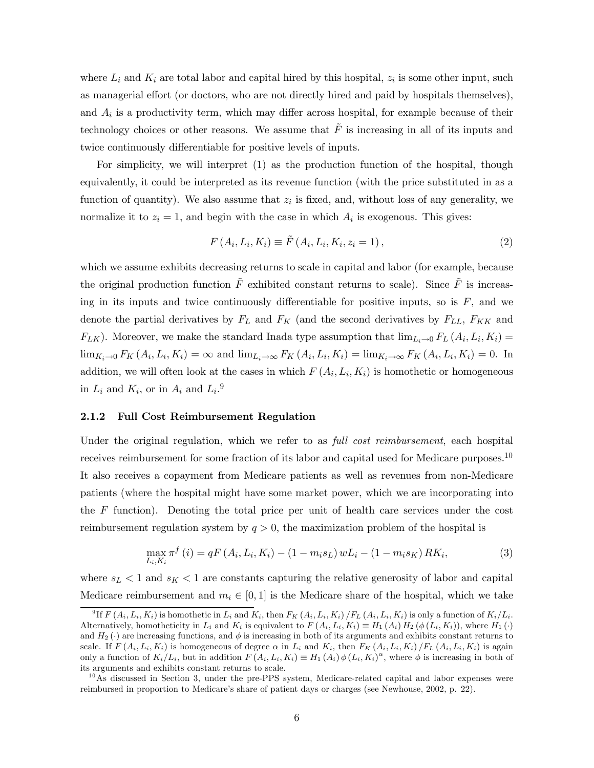where  $L_i$  and  $K_i$  are total labor and capital hired by this hospital,  $z_i$  is some other input, such as managerial effort (or doctors, who are not directly hired and paid by hospitals themselves), and  $A_i$  is a productivity term, which may differ across hospital, for example because of their technology choices or other reasons. We assume that  $\tilde{F}$  is increasing in all of its inputs and twice continuously differentiable for positive levels of inputs.

For simplicity, we will interpret (1) as the production function of the hospital, though equivalently, it could be interpreted as its revenue function (with the price substituted in as a function of quantity). We also assume that  $z_i$  is fixed, and, without loss of any generality, we normalize it to  $z_i = 1$ , and begin with the case in which  $A_i$  is exogenous. This gives:

$$
F(A_i, L_i, K_i) \equiv \tilde{F}(A_i, L_i, K_i, z_i = 1),
$$
\n(2)

which we assume exhibits decreasing returns to scale in capital and labor (for example, because the original production function  $\tilde{F}$  exhibited constant returns to scale). Since  $\tilde{F}$  is increasing in its inputs and twice continuously differentiable for positive inputs, so is  $F$ , and we denote the partial derivatives by  $F_L$  and  $F_K$  (and the second derivatives by  $F_{LL}$ ,  $F_{KK}$  and  $F_{LK}$ ). Moreover, we make the standard Inada type assumption that  $\lim_{L_i\to 0} F_L(A_i, L_i, K_i)$  $\lim_{K_i\to 0} F_K(A_i, L_i, K_i) = \infty$  and  $\lim_{L_i\to\infty} F_K(A_i, L_i, K_i) = \lim_{K_i\to\infty} F_K(A_i, L_i, K_i) = 0$ . In addition, we will often look at the cases in which  $F(A_i, L_i, K_i)$  is homothetic or homogeneous in  $L_i$  and  $K_i$ , or in  $A_i$  and  $L_i$ .<sup>9</sup>

#### 2.1.2 Full Cost Reimbursement Regulation

Under the original regulation, which we refer to as *full cost reimbursement*, each hospital receives reimbursement for some fraction of its labor and capital used for Medicare purposes.10 It also receives a copayment from Medicare patients as well as revenues from non-Medicare patients (where the hospital might have some market power, which we are incorporating into the  $F$  function). Denoting the total price per unit of health care services under the cost reimbursement regulation system by  $q > 0$ , the maximization problem of the hospital is

$$
\max_{L_i, K_i} \pi^f(i) = qF(A_i, L_i, K_i) - (1 - m_i s_L) wL_i - (1 - m_i s_K) RK_i,
$$
\n(3)

where  $s_L < 1$  and  $s_K < 1$  are constants capturing the relative generosity of labor and capital Medicare reimbursement and  $m_i \in [0, 1]$  is the Medicare share of the hospital, which we take

<sup>&</sup>lt;sup>9</sup> If  $F(A_i, L_i, K_i)$  is homothetic in  $L_i$  and  $K_i$ , then  $F_K(A_i, L_i, K_i)$  / $F_L(A_i, L_i, K_i)$  is only a function of  $K_i/L_i$ . Alternatively, homotheticity in  $L_i$  and  $K_i$  is equivalent to  $F(A_i, L_i, K_i) \equiv H_1(A_i) H_2(\phi(L_i, K_i))$ , where  $H_1(\cdot)$ and  $H_2(\cdot)$  are increasing functions, and  $\phi$  is increasing in both of its arguments and exhibits constant returns to scale. If  $F(A_i, L_i, K_i)$  is homogeneous of degree  $\alpha$  in  $L_i$  and  $K_i$ , then  $F_K(A_i, L_i, K_i)/F_L(A_i, L_i, K_i)$  is again only a function of  $K_i/L_i$ , but in addition  $F(A_i, L_i, K_i) \equiv H_1(A_i) \phi(L_i, K_i)^\alpha$ , where  $\phi$  is increasing in both of its arguments and exhibits constant returns to scale.

 $10$ As discussed in Section 3, under the pre-PPS system, Medicare-related capital and labor expenses were reimbursed in proportion to Medicare's share of patient days or charges (see Newhouse, 2002, p. 22).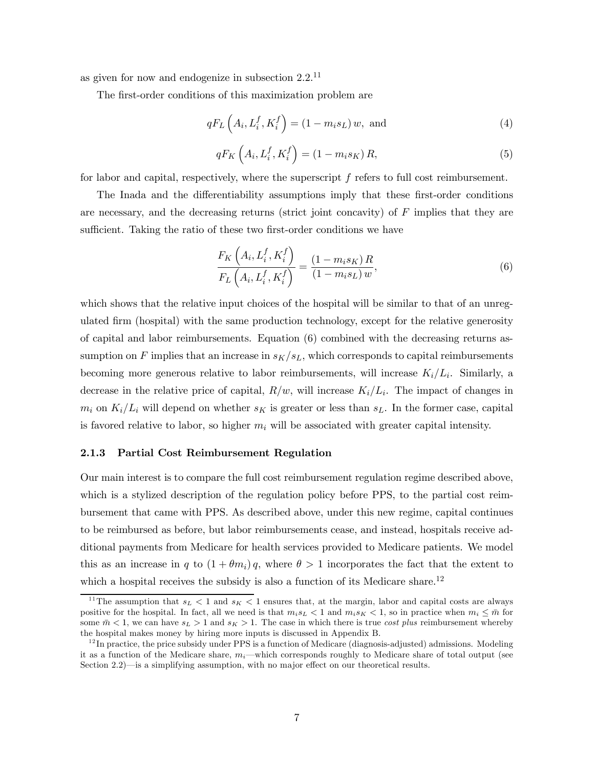as given for now and endogenize in subsection  $2.2^{11}$ 

The first-order conditions of this maximization problem are

$$
qF_L\left(A_i, L_i^f, K_i^f\right) = (1 - m_i s_L) w, \text{ and } \tag{4}
$$

$$
qF_K\left(A_i, L_i^f, K_i^f\right) = \left(1 - m_i s_K\right) R,\tag{5}
$$

for labor and capital, respectively, where the superscript f refers to full cost reimbursement.

The Inada and the differentiability assumptions imply that these first-order conditions are necessary, and the decreasing returns (strict joint concavity) of  $F$  implies that they are sufficient. Taking the ratio of these two first-order conditions we have

$$
\frac{F_K\left(A_i, L_i^f, K_i^f\right)}{F_L\left(A_i, L_i^f, K_i^f\right)} = \frac{\left(1 - m_i s_K\right)R}{\left(1 - m_i s_L\right)w},\tag{6}
$$

which shows that the relative input choices of the hospital will be similar to that of an unregulated firm (hospital) with the same production technology, except for the relative generosity of capital and labor reimbursements. Equation (6) combined with the decreasing returns assumption on F implies that an increase in  $s_K/s_L$ , which corresponds to capital reimbursements becoming more generous relative to labor reimbursements, will increase  $K_i/L_i$ . Similarly, a decrease in the relative price of capital,  $R/w$ , will increase  $K_i/L_i$ . The impact of changes in  $m_i$  on  $K_i/L_i$  will depend on whether  $s_K$  is greater or less than  $s_L$ . In the former case, capital is favored relative to labor, so higher  $m_i$  will be associated with greater capital intensity.

#### 2.1.3 Partial Cost Reimbursement Regulation

Our main interest is to compare the full cost reimbursement regulation regime described above, which is a stylized description of the regulation policy before PPS, to the partial cost reimbursement that came with PPS. As described above, under this new regime, capital continues to be reimbursed as before, but labor reimbursements cease, and instead, hospitals receive additional payments from Medicare for health services provided to Medicare patients. We model this as an increase in q to  $(1 + \theta m_i)q$ , where  $\theta > 1$  incorporates the fact that the extent to which a hospital receives the subsidy is also a function of its Medicare share.<sup>12</sup>

<sup>&</sup>lt;sup>11</sup>The assumption that  $s_L < 1$  and  $s_K < 1$  ensures that, at the margin, labor and capital costs are always positive for the hospital. In fact, all we need is that  $m_i s_L < 1$  and  $m_i s_K < 1$ , so in practice when  $m_i \leq \bar{m}$  for some  $\bar{m}$  < 1, we can have  $s_L > 1$  and  $s_K > 1$ . The case in which there is true *cost plus* reimbursement whereby the hospital makes money by hiring more inputs is discussed in Appendix B.

 $12$  In practice, the price subsidy under PPS is a function of Medicare (diagnosis-adjusted) admissions. Modeling it as a function of the Medicare share,  $m_i$ —which corresponds roughly to Medicare share of total output (see Section 2.2)–is a simplifying assumption, with no major effect on our theoretical results.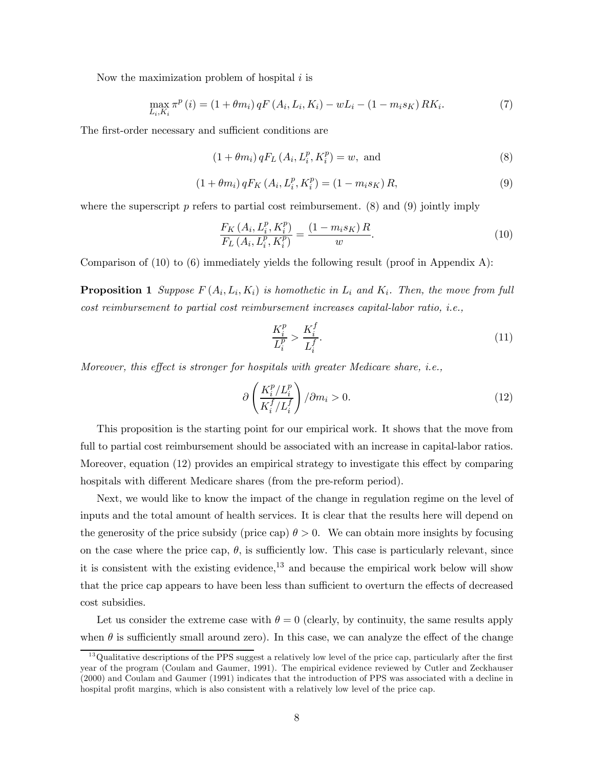Now the maximization problem of hospital  $i$  is

$$
\max_{L_i, K_i} \pi^p(i) = (1 + \theta m_i) qF(A_i, L_i, K_i) - wL_i - (1 - m_i s_K) RK_i.
$$
\n(7)

The first-order necessary and sufficient conditions are

$$
(1 + \theta m_i) qF_L(A_i, L_i^p, K_i^p) = w, \text{ and}
$$
\n
$$
(8)
$$

$$
(1 + \theta m_i) qF_K(A_i, L_i^p, K_i^p) = (1 - m_i s_K) R,
$$
\n(9)

where the superscript  $p$  refers to partial cost reimbursement. (8) and (9) jointly imply

$$
\frac{F_K\left(A_i, L_i^p, K_i^p\right)}{F_L\left(A_i, L_i^p, K_i^p\right)} = \frac{\left(1 - m_i s_K\right)R}{w}.\tag{10}
$$

Comparison of  $(10)$  to  $(6)$  immediately yields the following result (proof in Appendix A):

**Proposition 1** Suppose  $F(A_i, L_i, K_i)$  is homothetic in  $L_i$  and  $K_i$ . Then, the move from full cost reimbursement to partial cost reimbursement increases capital-labor ratio, i.e.,

$$
\frac{K_i^p}{L_i^p} > \frac{K_i^f}{L_i^f}.\tag{11}
$$

Moreover, this effect is stronger for hospitals with greater Medicare share, i.e.,

$$
\partial \left( \frac{K_i^p / L_i^p}{K_i^f / L_i^f} \right) / \partial m_i > 0. \tag{12}
$$

This proposition is the starting point for our empirical work. It shows that the move from full to partial cost reimbursement should be associated with an increase in capital-labor ratios. Moreover, equation (12) provides an empirical strategy to investigate this effect by comparing hospitals with different Medicare shares (from the pre-reform period).

Next, we would like to know the impact of the change in regulation regime on the level of inputs and the total amount of health services. It is clear that the results here will depend on the generosity of the price subsidy (price cap)  $\theta > 0$ . We can obtain more insights by focusing on the case where the price cap,  $\theta$ , is sufficiently low. This case is particularly relevant, since it is consistent with the existing evidence, $^{13}$  and because the empirical work below will show that the price cap appears to have been less than sufficient to overturn the effects of decreased cost subsidies.

Let us consider the extreme case with  $\theta = 0$  (clearly, by continuity, the same results apply when  $\theta$  is sufficiently small around zero). In this case, we can analyze the effect of the change

 $13$ Qualitative descriptions of the PPS suggest a relatively low level of the price cap, particularly after the first year of the program (Coulam and Gaumer, 1991). The empirical evidence reviewed by Cutler and Zeckhauser (2000) and Coulam and Gaumer (1991) indicates that the introduction of PPS was associated with a decline in hospital profit margins, which is also consistent with a relatively low level of the price cap.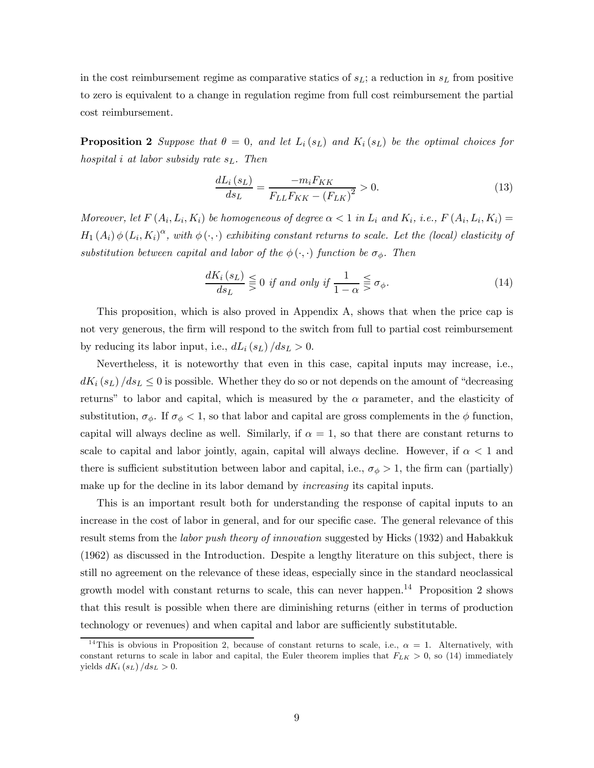in the cost reimbursement regime as comparative statics of  $s_L$ ; a reduction in  $s_L$  from positive to zero is equivalent to a change in regulation regime from full cost reimbursement the partial cost reimbursement.

**Proposition 2** Suppose that  $\theta = 0$ , and let  $L_i(s_L)$  and  $K_i(s_L)$  be the optimal choices for hospital i at labor subsidy rate  $s_L$ . Then

$$
\frac{dL_i(s_L)}{ds_L} = \frac{-m_i F_{KK}}{F_{LL} F_{KK} - (F_{LK})^2} > 0.
$$
\n(13)

Moreover, let  $F(A_i, L_i, K_i)$  be homogeneous of degree  $\alpha < 1$  in  $L_i$  and  $K_i$ , i.e.,  $F(A_i, L_i, K_i) =$  $H_1(A_i) \phi(L_i, K_i)^\alpha$ , with  $\phi(\cdot, \cdot)$  exhibiting constant returns to scale. Let the (local) elasticity of substitution between capital and labor of the  $\phi(\cdot, \cdot)$  function be  $\sigma_{\phi}$ . Then

$$
\frac{dK_i(s_L)}{ds_L} \leq 0 \text{ if and only if } \frac{1}{1-\alpha} \leq \sigma_{\phi}.\tag{14}
$$

This proposition, which is also proved in Appendix A, shows that when the price cap is not very generous, the firm will respond to the switch from full to partial cost reimbursement by reducing its labor input, i.e.,  $dL_i(s_L)/ds_L > 0$ .

Nevertheless, it is noteworthy that even in this case, capital inputs may increase, i.e.,  $dK_i(s_L)/ds_L \leq 0$  is possible. Whether they do so or not depends on the amount of "decreasing" returns" to labor and capital, which is measured by the  $\alpha$  parameter, and the elasticity of substitution,  $\sigma_{\phi}$ . If  $\sigma_{\phi} < 1$ , so that labor and capital are gross complements in the  $\phi$  function, capital will always decline as well. Similarly, if  $\alpha = 1$ , so that there are constant returns to scale to capital and labor jointly, again, capital will always decline. However, if  $\alpha < 1$  and there is sufficient substitution between labor and capital, i.e.,  $\sigma_{\phi} > 1$ , the firm can (partially) make up for the decline in its labor demand by *increasing* its capital inputs.

This is an important result both for understanding the response of capital inputs to an increase in the cost of labor in general, and for our specific case. The general relevance of this result stems from the labor push theory of innovation suggested by Hicks (1932) and Habakkuk (1962) as discussed in the Introduction. Despite a lengthy literature on this subject, there is still no agreement on the relevance of these ideas, especially since in the standard neoclassical growth model with constant returns to scale, this can never happen.<sup>14</sup> Proposition 2 shows that this result is possible when there are diminishing returns (either in terms of production technology or revenues) and when capital and labor are sufficiently substitutable.

<sup>&</sup>lt;sup>14</sup>This is obvious in Proposition 2, because of constant returns to scale, i.e.,  $\alpha = 1$ . Alternatively, with constant returns to scale in labor and capital, the Euler theorem implies that  $F_{LK} > 0$ , so (14) immediately yields  $dK_i(s_L)/ds_L > 0$ .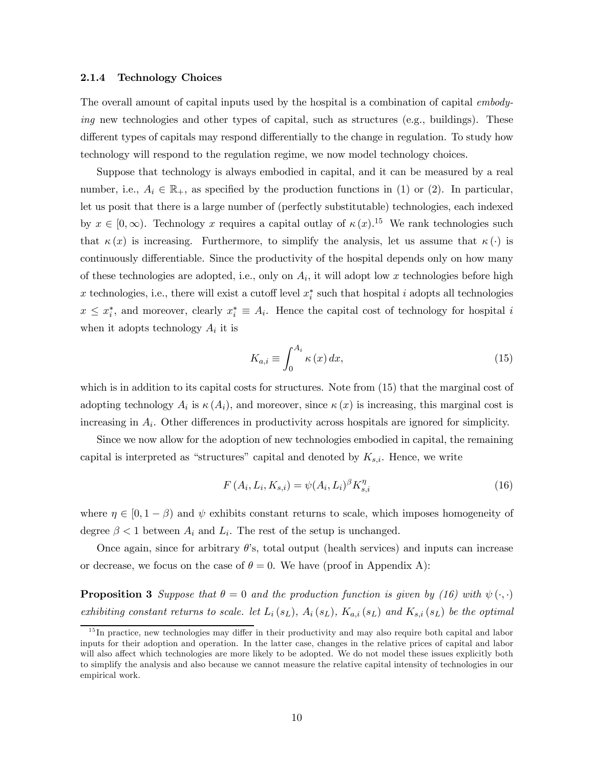#### 2.1.4 Technology Choices

The overall amount of capital inputs used by the hospital is a combination of capital *embody*ing new technologies and other types of capital, such as structures (e.g., buildings). These different types of capitals may respond differentially to the change in regulation. To study how technology will respond to the regulation regime, we now model technology choices.

Suppose that technology is always embodied in capital, and it can be measured by a real number, i.e.,  $A_i \in \mathbb{R}_+$ , as specified by the production functions in (1) or (2). In particular, let us posit that there is a large number of (perfectly substitutable) technologies, each indexed by  $x \in [0, \infty)$ . Technology x requires a capital outlay of  $\kappa(x)$ .<sup>15</sup> We rank technologies such that  $\kappa(x)$  is increasing. Furthermore, to simplify the analysis, let us assume that  $\kappa(\cdot)$  is continuously differentiable. Since the productivity of the hospital depends only on how many of these technologies are adopted, i.e., only on  $A_i$ , it will adopt low x technologies before high x technologies, i.e., there will exist a cutoff level  $x_i^*$  such that hospital i adopts all technologies  $x \leq x_i^*$ , and moreover, clearly  $x_i^* \equiv A_i$ . Hence the capital cost of technology for hospital i when it adopts technology  $A_i$  it is

$$
K_{a,i} \equiv \int_0^{A_i} \kappa(x) \, dx,\tag{15}
$$

which is in addition to its capital costs for structures. Note from (15) that the marginal cost of adopting technology  $A_i$  is  $\kappa(A_i)$ , and moreover, since  $\kappa(x)$  is increasing, this marginal cost is increasing in  $A_i$ . Other differences in productivity across hospitals are ignored for simplicity.

Since we now allow for the adoption of new technologies embodied in capital, the remaining capital is interpreted as "structures" capital and denoted by  $K_{s,i}$ . Hence, we write

$$
F(A_i, L_i, K_{s,i}) = \psi(A_i, L_i)^{\beta} K_{s,i}^{\eta}
$$
\n(16)

where  $\eta \in [0, 1 - \beta)$  and  $\psi$  exhibits constant returns to scale, which imposes homogeneity of degree  $\beta < 1$  between  $A_i$  and  $L_i$ . The rest of the setup is unchanged.

Once again, since for arbitrary  $\theta$ 's, total output (health services) and inputs can increase or decrease, we focus on the case of  $\theta = 0$ . We have (proof in Appendix A):

**Proposition 3** Suppose that  $\theta = 0$  and the production function is given by (16) with  $\psi(\cdot, \cdot)$ exhibiting constant returns to scale. let  $L_i(s_L)$ ,  $A_i(s_L)$ ,  $K_{a,i}(s_L)$  and  $K_{s,i}(s_L)$  be the optimal

<sup>&</sup>lt;sup>15</sup>In practice, new technologies may differ in their productivity and may also require both capital and labor inputs for their adoption and operation. In the latter case, changes in the relative prices of capital and labor will also affect which technologies are more likely to be adopted. We do not model these issues explicitly both to simplify the analysis and also because we cannot measure the relative capital intensity of technologies in our empirical work.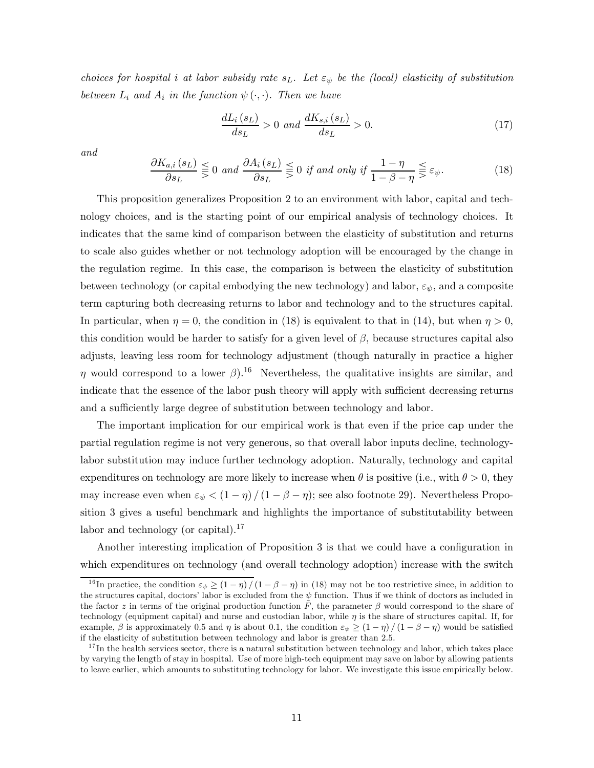choices for hospital i at labor subsidy rate  $s<sub>L</sub>$ . Let  $\varepsilon<sub>\psi</sub>$  be the (local) elasticity of substitution between  $L_i$  and  $A_i$  in the function  $\psi(\cdot, \cdot)$ . Then we have

$$
\frac{dL_i(s_L)}{ds_L} > 0 \text{ and } \frac{dK_{s,i}(s_L)}{ds_L} > 0. \tag{17}
$$

and

$$
\frac{\partial K_{a,i}(s_L)}{\partial s_L} \leq 0 \text{ and } \frac{\partial A_i(s_L)}{\partial s_L} \leq 0 \text{ if and only if } \frac{1-\eta}{1-\beta-\eta} \leq \varepsilon_{\psi}. \tag{18}
$$

This proposition generalizes Proposition 2 to an environment with labor, capital and technology choices, and is the starting point of our empirical analysis of technology choices. It indicates that the same kind of comparison between the elasticity of substitution and returns to scale also guides whether or not technology adoption will be encouraged by the change in the regulation regime. In this case, the comparison is between the elasticity of substitution between technology (or capital embodying the new technology) and labor,  $\varepsilon_{\psi}$ , and a composite term capturing both decreasing returns to labor and technology and to the structures capital. In particular, when  $\eta = 0$ , the condition in (18) is equivalent to that in (14), but when  $\eta > 0$ , this condition would be harder to satisfy for a given level of  $\beta$ , because structures capital also adjusts, leaving less room for technology adjustment (though naturally in practice a higher  $η$  would correspond to a lower  $β$ ).<sup>16</sup> Nevertheless, the qualitative insights are similar, and indicate that the essence of the labor push theory will apply with sufficient decreasing returns and a sufficiently large degree of substitution between technology and labor.

The important implication for our empirical work is that even if the price cap under the partial regulation regime is not very generous, so that overall labor inputs decline, technologylabor substitution may induce further technology adoption. Naturally, technology and capital expenditures on technology are more likely to increase when  $\theta$  is positive (i.e., with  $\theta > 0$ , they may increase even when  $\varepsilon_{\psi} < (1 - \eta) / (1 - \beta - \eta)$ ; see also footnote 29). Nevertheless Proposition 3 gives a useful benchmark and highlights the importance of substitutability between labor and technology (or capital). $^{17}$ 

Another interesting implication of Proposition 3 is that we could have a configuration in which expenditures on technology (and overall technology adoption) increase with the switch

<sup>&</sup>lt;sup>16</sup>In practice, the condition  $\varepsilon_{\psi} \ge (1 - \eta) / (1 - \beta - \eta)$  in (18) may not be too restrictive since, in addition to the structures capital, doctors' labor is excluded from the  $\psi$  function. Thus if we think of doctors as included in the factor z in terms of the original production function  $\tilde{F}$ , the parameter  $\beta$  would correspond to the share of technology (equipment capital) and nurse and custodian labor, while  $\eta$  is the share of structures capital. If, for example,  $\beta$  is approximately 0.5 and  $\eta$  is about 0.1, the condition  $\varepsilon_{\psi} \ge (1 - \eta)/(1 - \beta - \eta)$  would be satisfied if the elasticity of substitution between technology and labor is greater than 2.5.

 $17$  In the health services sector, there is a natural substitution between technology and labor, which takes place by varying the length of stay in hospital. Use of more high-tech equipment may save on labor by allowing patients to leave earlier, which amounts to substituting technology for labor. We investigate this issue empirically below.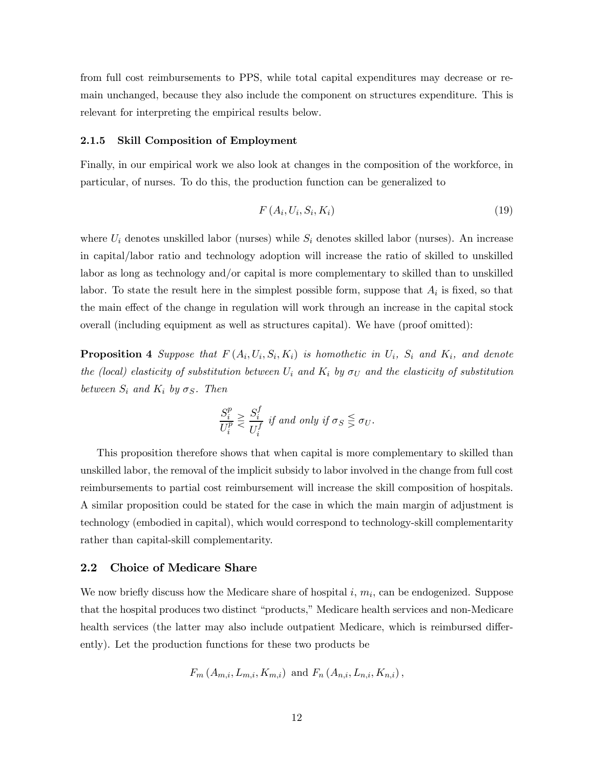from full cost reimbursements to PPS, while total capital expenditures may decrease or remain unchanged, because they also include the component on structures expenditure. This is relevant for interpreting the empirical results below.

#### 2.1.5 Skill Composition of Employment

Finally, in our empirical work we also look at changes in the composition of the workforce, in particular, of nurses. To do this, the production function can be generalized to

$$
F(A_i, U_i, S_i, K_i) \tag{19}
$$

where  $U_i$  denotes unskilled labor (nurses) while  $S_i$  denotes skilled labor (nurses). An increase in capital/labor ratio and technology adoption will increase the ratio of skilled to unskilled labor as long as technology and/or capital is more complementary to skilled than to unskilled labor. To state the result here in the simplest possible form, suppose that  $A_i$  is fixed, so that the main effect of the change in regulation will work through an increase in the capital stock overall (including equipment as well as structures capital). We have (proof omitted):

**Proposition 4** Suppose that  $F(A_i, U_i, S_i, K_i)$  is homothetic in  $U_i$ ,  $S_i$  and  $K_i$ , and denote the (local) elasticity of substitution between  $U_i$  and  $K_i$  by  $\sigma_U$  and the elasticity of substitution between  $S_i$  and  $K_i$  by  $\sigma_S$ . Then

$$
\frac{S_i^p}{U_i^p} \gtrless \frac{S_i^f}{U_i^f}
$$
 if and only if  $\sigma_S \leq \sigma_U$ .

This proposition therefore shows that when capital is more complementary to skilled than unskilled labor, the removal of the implicit subsidy to labor involved in the change from full cost reimbursements to partial cost reimbursement will increase the skill composition of hospitals. A similar proposition could be stated for the case in which the main margin of adjustment is technology (embodied in capital), which would correspond to technology-skill complementarity rather than capital-skill complementarity.

#### 2.2 Choice of Medicare Share

We now briefly discuss how the Medicare share of hospital  $i, m_i$ , can be endogenized. Suppose that the hospital produces two distinct "products," Medicare health services and non-Medicare health services (the latter may also include outpatient Medicare, which is reimbursed differently). Let the production functions for these two products be

$$
F_m(A_{m,i}, L_{m,i}, K_{m,i})
$$
 and  $F_n(A_{n,i}, L_{n,i}, K_{n,i})$ ,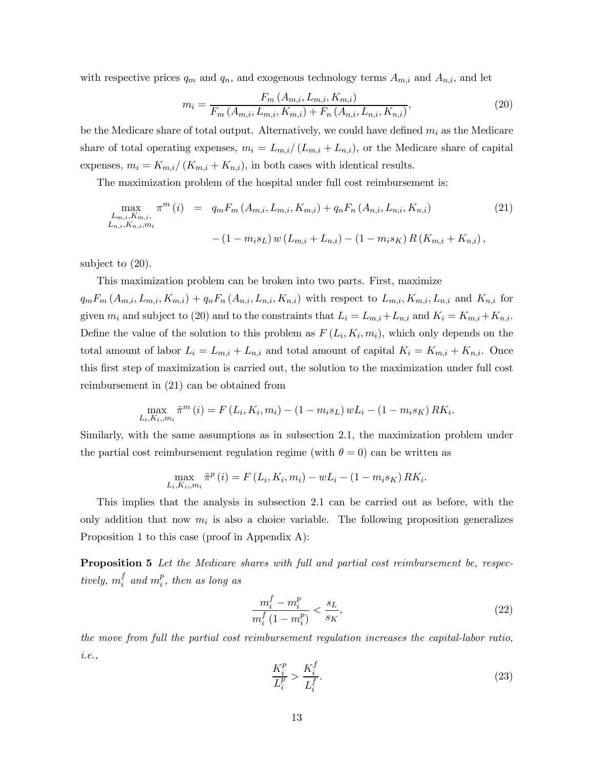with respective prices  $q_m$  and  $q_n$ , and exogenous technology terms  $A_{m,i}$  and  $A_{n,i}$ , and let

$$
m_{i} = \frac{F_{m}(A_{m,i}, L_{m,i}, K_{m,i})}{F_{m}(A_{m,i}, L_{m,i}, K_{m,i}) + F_{n}(A_{n,i}, L_{n,i}, K_{n,i})},
$$
\n(20)

be the Medicare share of total output. Alternatively, we could have defined  $m_i$  as the Medicare share of total operating expenses,  $m_i = L_{m,i}/(L_{m,i} + L_{n,i})$ , or the Medicare share of capital expenses,  $m_i = K_{m,i}/(K_{m,i} + K_{n,i})$ , in both cases with identical results.

The maximization problem of the hospital under full cost reimbursement is:

$$
\max_{\substack{L_{m,i}, K_{m,i}, \\ L_{n,i}, K_{n,i}, m_i}} \pi^m(i) = q_m F_m(A_{m,i}, L_{m,i}, K_{m,i}) + q_n F_n(A_{n,i}, L_{n,i}, K_{n,i})
$$
\n
$$
-(1 - m_i s_L) w (L_{m,i} + L_{n,i}) - (1 - m_i s_K) R (K_{m,i} + K_{n,i}),
$$
\n(21)

subject to (20).

This maximization problem can be broken into two parts. First, maximize

 $q_mF_m(A_{m,i}, L_{m,i}, K_{m,i}) + q_nF_n(A_{n,i}, L_{n,i}, K_{n,i})$  with respect to  $L_{m,i}, K_{m,i}, L_{n,i}$  and  $K_{n,i}$  for given  $m_i$  and subject to (20) and to the constraints that  $L_i = L_{m,i} + L_{n,i}$  and  $K_i = K_{m,i} + K_{n,i}$ . Define the value of the solution to this problem as  $F(L_i, K_i, m_i)$ , which only depends on the total amount of labor  $L_i = L_{m,i} + L_{n,i}$  and total amount of capital  $K_i = K_{m,i} + K_{n,i}$ . Once this first step of maximization is carried out, the solution to the maximization under full cost reimbursement in (21) can be obtained from

$$
\max_{L_i, K_i, m_i} \tilde{\pi}^m(i) = F(L_i, K_i, m_i) - (1 - m_i s_L) w L_i - (1 - m_i s_K) R K_i.
$$

Similarly, with the same assumptions as in subsection 2.1, the maximization problem under the partial cost reimbursement regulation regime (with  $\theta = 0$ ) can be written as

$$
\max_{L_i, K_i, m_i} \tilde{\pi}^p(i) = F(L_i, K_i, m_i) - wL_i - (1 - m_i s_K) R K_i.
$$

This implies that the analysis in subsection 2.1 can be carried out as before, with the only addition that now  $m_i$  is also a choice variable. The following proposition generalizes Proposition 1 to this case (proof in Appendix A):

**Proposition 5** Let the Medicare shares with full and partial cost reimbursement be, respectively,  $m_i^f$  and  $m_i^p$ , then as long as

$$
\frac{m_i^f - m_i^p}{m_i^f (1 - m_i^p)} < \frac{s_L}{s_K},\tag{22}
$$

the move from full the partial cost reimbursement regulation increases the capital-labor ratio, i.e.,

$$
\frac{K_i^p}{L_i^p} > \frac{K_i^f}{L_i^f}.\tag{23}
$$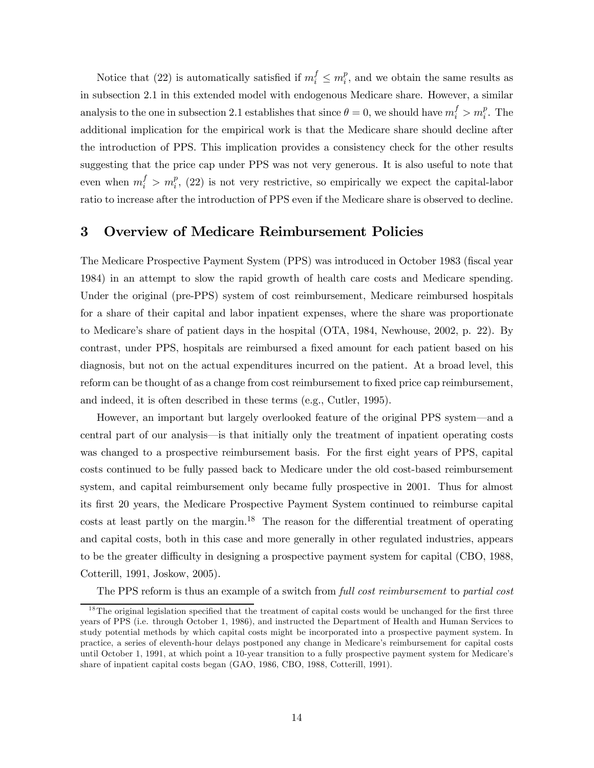Notice that (22) is automatically satisfied if  $m_i^f \n\t\le m_i^p$ , and we obtain the same results as in subsection 2.1 in this extended model with endogenous Medicare share. However, a similar analysis to the one in subsection 2.1 establishes that since  $\theta = 0$ , we should have  $m_i^f > m_i^p$ . The additional implication for the empirical work is that the Medicare share should decline after the introduction of PPS. This implication provides a consistency check for the other results suggesting that the price cap under PPS was not very generous. It is also useful to note that even when  $m_i^f > m_i^p$ , (22) is not very restrictive, so empirically we expect the capital-labor ratio to increase after the introduction of PPS even if the Medicare share is observed to decline.

### 3 Overview of Medicare Reimbursement Policies

The Medicare Prospective Payment System (PPS) was introduced in October 1983 (fiscal year 1984) in an attempt to slow the rapid growth of health care costs and Medicare spending. Under the original (pre-PPS) system of cost reimbursement, Medicare reimbursed hospitals for a share of their capital and labor inpatient expenses, where the share was proportionate to Medicare's share of patient days in the hospital (OTA, 1984, Newhouse, 2002, p. 22). By contrast, under PPS, hospitals are reimbursed a fixed amount for each patient based on his diagnosis, but not on the actual expenditures incurred on the patient. At a broad level, this reform can be thought of as a change from cost reimbursement to fixed price cap reimbursement, and indeed, it is often described in these terms (e.g., Cutler, 1995).

However, an important but largely overlooked feature of the original PPS system–and a central part of our analysis–is that initially only the treatment of inpatient operating costs was changed to a prospective reimbursement basis. For the first eight years of PPS, capital costs continued to be fully passed back to Medicare under the old cost-based reimbursement system, and capital reimbursement only became fully prospective in 2001. Thus for almost its first 20 years, the Medicare Prospective Payment System continued to reimburse capital  $costs$  at least partly on the margin.<sup>18</sup> The reason for the differential treatment of operating and capital costs, both in this case and more generally in other regulated industries, appears to be the greater difficulty in designing a prospective payment system for capital (CBO, 1988, Cotterill, 1991, Joskow, 2005).

The PPS reform is thus an example of a switch from full cost reimbursement to partial cost

 $18$ The original legislation specified that the treatment of capital costs would be unchanged for the first three years of PPS (i.e. through October 1, 1986), and instructed the Department of Health and Human Services to study potential methods by which capital costs might be incorporated into a prospective payment system. In practice, a series of eleventh-hour delays postponed any change in Medicare's reimbursement for capital costs until October 1, 1991, at which point a 10-year transition to a fully prospective payment system for Medicare's share of inpatient capital costs began (GAO, 1986, CBO, 1988, Cotterill, 1991).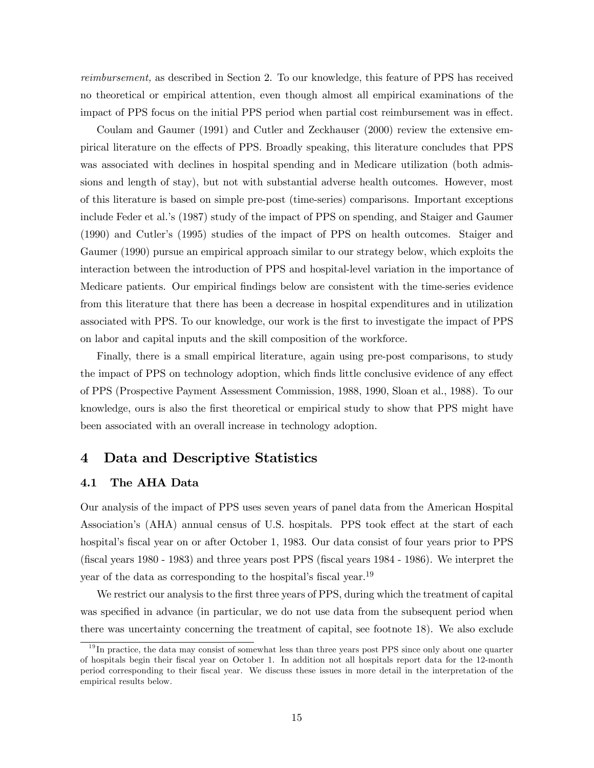reimbursement, as described in Section 2. To our knowledge, this feature of PPS has received no theoretical or empirical attention, even though almost all empirical examinations of the impact of PPS focus on the initial PPS period when partial cost reimbursement was in effect.

Coulam and Gaumer (1991) and Cutler and Zeckhauser (2000) review the extensive empirical literature on the effects of PPS. Broadly speaking, this literature concludes that PPS was associated with declines in hospital spending and in Medicare utilization (both admissions and length of stay), but not with substantial adverse health outcomes. However, most of this literature is based on simple pre-post (time-series) comparisons. Important exceptions include Feder et al.'s (1987) study of the impact of PPS on spending, and Staiger and Gaumer (1990) and Cutler's (1995) studies of the impact of PPS on health outcomes. Staiger and Gaumer (1990) pursue an empirical approach similar to our strategy below, which exploits the interaction between the introduction of PPS and hospital-level variation in the importance of Medicare patients. Our empirical findings below are consistent with the time-series evidence from this literature that there has been a decrease in hospital expenditures and in utilization associated with PPS. To our knowledge, our work is the first to investigate the impact of PPS on labor and capital inputs and the skill composition of the workforce.

Finally, there is a small empirical literature, again using pre-post comparisons, to study the impact of PPS on technology adoption, which finds little conclusive evidence of any effect of PPS (Prospective Payment Assessment Commission, 1988, 1990, Sloan et al., 1988). To our knowledge, ours is also the first theoretical or empirical study to show that PPS might have been associated with an overall increase in technology adoption.

### 4 Data and Descriptive Statistics

#### 4.1 The AHA Data

Our analysis of the impact of PPS uses seven years of panel data from the American Hospital Association's (AHA) annual census of U.S. hospitals. PPS took effect at the start of each hospital's fiscal year on or after October 1, 1983. Our data consist of four years prior to PPS (fiscal years 1980 - 1983) and three years post PPS (fiscal years 1984 - 1986). We interpret the year of the data as corresponding to the hospital's fiscal year.<sup>19</sup>

We restrict our analysis to the first three years of PPS, during which the treatment of capital was specified in advance (in particular, we do not use data from the subsequent period when there was uncertainty concerning the treatment of capital, see footnote 18). We also exclude

<sup>&</sup>lt;sup>19</sup> In practice, the data may consist of somewhat less than three years post PPS since only about one quarter of hospitals begin their fiscal year on October 1. In addition not all hospitals report data for the 12-month period corresponding to their fiscal year. We discuss these issues in more detail in the interpretation of the empirical results below.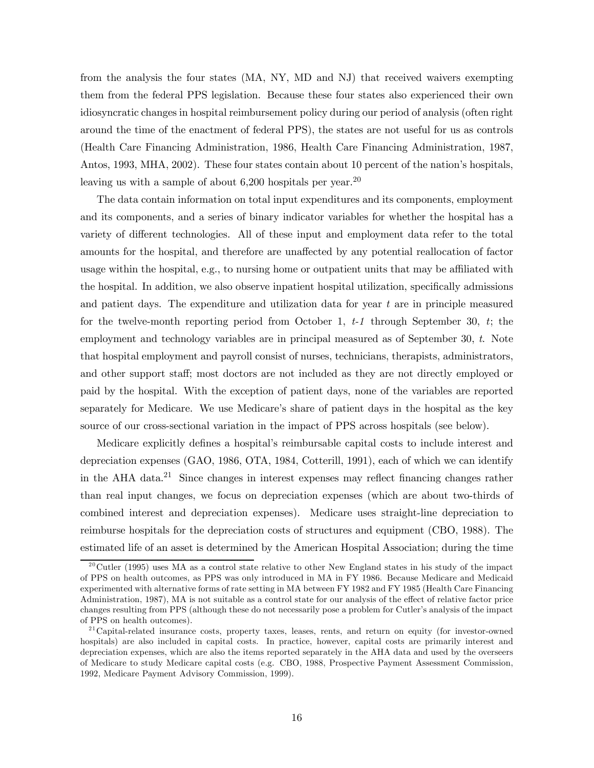from the analysis the four states (MA, NY, MD and NJ) that received waivers exempting them from the federal PPS legislation. Because these four states also experienced their own idiosyncratic changes in hospital reimbursement policy during our period of analysis (often right around the time of the enactment of federal PPS), the states are not useful for us as controls (Health Care Financing Administration, 1986, Health Care Financing Administration, 1987, Antos, 1993, MHA, 2002). These four states contain about 10 percent of the nation's hospitals, leaving us with a sample of about 6,200 hospitals per year.<sup>20</sup>

The data contain information on total input expenditures and its components, employment and its components, and a series of binary indicator variables for whether the hospital has a variety of different technologies. All of these input and employment data refer to the total amounts for the hospital, and therefore are unaffected by any potential reallocation of factor usage within the hospital, e.g., to nursing home or outpatient units that may be affiliated with the hospital. In addition, we also observe inpatient hospital utilization, specifically admissions and patient days. The expenditure and utilization data for year  $t$  are in principle measured for the twelve-month reporting period from October 1,  $t-1$  through September 30,  $t$ ; the employment and technology variables are in principal measured as of September 30, t. Note that hospital employment and payroll consist of nurses, technicians, therapists, administrators, and other support staff; most doctors are not included as they are not directly employed or paid by the hospital. With the exception of patient days, none of the variables are reported separately for Medicare. We use Medicare's share of patient days in the hospital as the key source of our cross-sectional variation in the impact of PPS across hospitals (see below).

Medicare explicitly defines a hospital's reimbursable capital costs to include interest and depreciation expenses (GAO, 1986, OTA, 1984, Cotterill, 1991), each of which we can identify in the AHA data.21 Since changes in interest expenses may reflect financing changes rather than real input changes, we focus on depreciation expenses (which are about two-thirds of combined interest and depreciation expenses). Medicare uses straight-line depreciation to reimburse hospitals for the depreciation costs of structures and equipment (CBO, 1988). The estimated life of an asset is determined by the American Hospital Association; during the time

 $^{20}$ Cutler (1995) uses MA as a control state relative to other New England states in his study of the impact of PPS on health outcomes, as PPS was only introduced in MA in FY 1986. Because Medicare and Medicaid experimented with alternative forms of rate setting in MA between FY 1982 and FY 1985 (Health Care Financing Administration, 1987), MA is not suitable as a control state for our analysis of the effect of relative factor price changes resulting from PPS (although these do not necessarily pose a problem for Cutler's analysis of the impact of PPS on health outcomes).

 $2^{21}$ Capital-related insurance costs, property taxes, leases, rents, and return on equity (for investor-owned hospitals) are also included in capital costs. In practice, however, capital costs are primarily interest and depreciation expenses, which are also the items reported separately in the AHA data and used by the overseers of Medicare to study Medicare capital costs (e.g. CBO, 1988, Prospective Payment Assessment Commission, 1992, Medicare Payment Advisory Commission, 1999).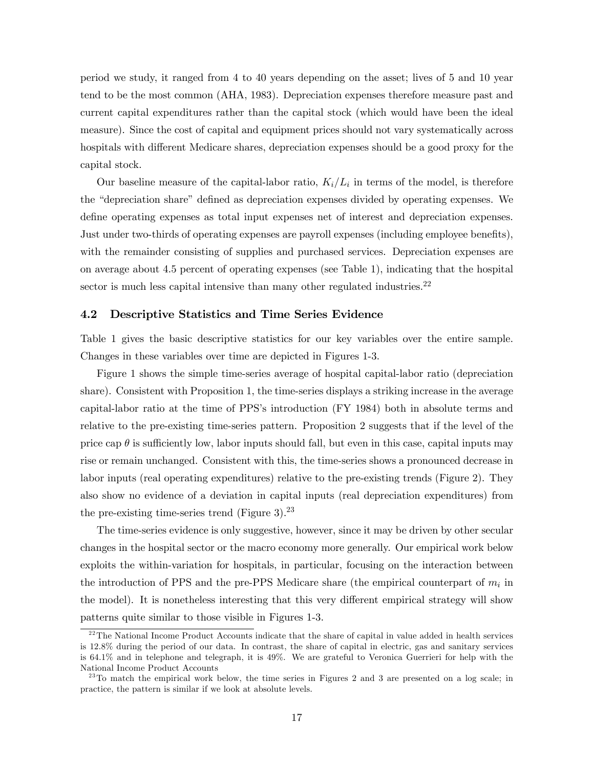period we study, it ranged from 4 to 40 years depending on the asset; lives of 5 and 10 year tend to be the most common (AHA, 1983). Depreciation expenses therefore measure past and current capital expenditures rather than the capital stock (which would have been the ideal measure). Since the cost of capital and equipment prices should not vary systematically across hospitals with different Medicare shares, depreciation expenses should be a good proxy for the capital stock.

Our baseline measure of the capital-labor ratio,  $K_i/L_i$  in terms of the model, is therefore the "depreciation share" defined as depreciation expenses divided by operating expenses. We define operating expenses as total input expenses net of interest and depreciation expenses. Just under two-thirds of operating expenses are payroll expenses (including employee benefits), with the remainder consisting of supplies and purchased services. Depreciation expenses are on average about 4.5 percent of operating expenses (see Table 1), indicating that the hospital sector is much less capital intensive than many other regulated industries.<sup>22</sup>

#### 4.2 Descriptive Statistics and Time Series Evidence

Table 1 gives the basic descriptive statistics for our key variables over the entire sample. Changes in these variables over time are depicted in Figures 1-3.

Figure 1 shows the simple time-series average of hospital capital-labor ratio (depreciation share). Consistent with Proposition 1, the time-series displays a striking increase in the average capital-labor ratio at the time of PPS's introduction (FY 1984) both in absolute terms and relative to the pre-existing time-series pattern. Proposition 2 suggests that if the level of the price cap  $\theta$  is sufficiently low, labor inputs should fall, but even in this case, capital inputs may rise or remain unchanged. Consistent with this, the time-series shows a pronounced decrease in labor inputs (real operating expenditures) relative to the pre-existing trends (Figure 2). They also show no evidence of a deviation in capital inputs (real depreciation expenditures) from the pre-existing time-series trend (Figure 3). $^{23}$ 

The time-series evidence is only suggestive, however, since it may be driven by other secular changes in the hospital sector or the macro economy more generally. Our empirical work below exploits the within-variation for hospitals, in particular, focusing on the interaction between the introduction of PPS and the pre-PPS Medicare share (the empirical counterpart of  $m_i$  in the model). It is nonetheless interesting that this very different empirical strategy will show patterns quite similar to those visible in Figures 1-3.

 $^{22}$ The National Income Product Accounts indicate that the share of capital in value added in health services is 12.8% during the period of our data. In contrast, the share of capital in electric, gas and sanitary services is 64.1% and in telephone and telegraph, it is 49%. We are grateful to Veronica Guerrieri for help with the National Income Product Accounts

 $^{23}$ To match the empirical work below, the time series in Figures 2 and 3 are presented on a log scale; in practice, the pattern is similar if we look at absolute levels.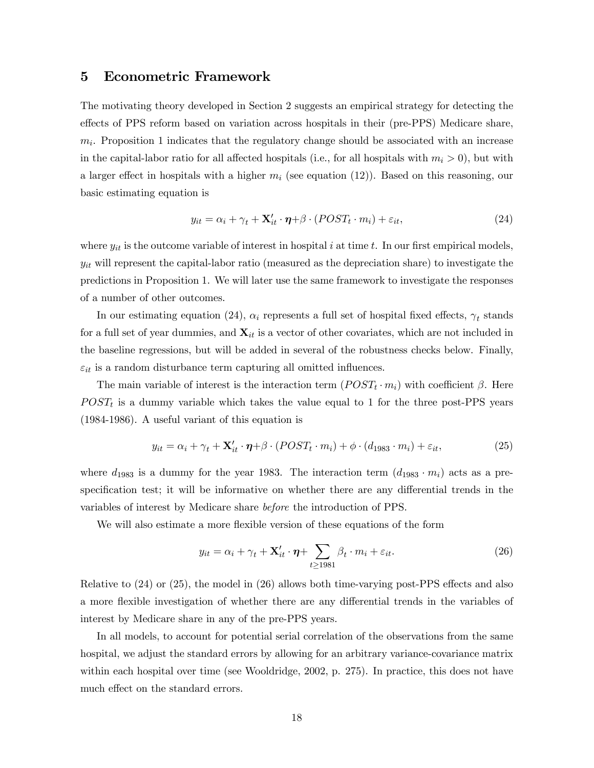### 5 Econometric Framework

The motivating theory developed in Section 2 suggests an empirical strategy for detecting the effects of PPS reform based on variation across hospitals in their (pre-PPS) Medicare share,  $m<sub>i</sub>$ . Proposition 1 indicates that the regulatory change should be associated with an increase in the capital-labor ratio for all affected hospitals (i.e., for all hospitals with  $m_i > 0$ ), but with a larger effect in hospitals with a higher  $m_i$  (see equation (12)). Based on this reasoning, our basic estimating equation is

$$
y_{it} = \alpha_i + \gamma_t + \mathbf{X}'_{it} \cdot \boldsymbol{\eta} + \beta \cdot (POST_t \cdot m_i) + \varepsilon_{it}, \tag{24}
$$

where  $y_{it}$  is the outcome variable of interest in hospital i at time t. In our first empirical models,  $y_{it}$  will represent the capital-labor ratio (measured as the depreciation share) to investigate the predictions in Proposition 1. We will later use the same framework to investigate the responses of a number of other outcomes.

In our estimating equation (24),  $\alpha_i$  represents a full set of hospital fixed effects,  $\gamma_t$  stands for a full set of year dummies, and  $\mathbf{X}_{it}$  is a vector of other covariates, which are not included in the baseline regressions, but will be added in several of the robustness checks below. Finally,  $\varepsilon_{it}$  is a random disturbance term capturing all omitted influences.

The main variable of interest is the interaction term  $(POST<sub>t</sub> \cdot m<sub>i</sub>)$  with coefficient  $\beta$ . Here  $POST<sub>t</sub>$  is a dummy variable which takes the value equal to 1 for the three post-PPS years (1984-1986). A useful variant of this equation is

$$
y_{it} = \alpha_i + \gamma_t + \mathbf{X}'_{it} \cdot \boldsymbol{\eta} + \beta \cdot (POST_t \cdot m_i) + \phi \cdot (d_{1983} \cdot m_i) + \varepsilon_{it}, \tag{25}
$$

where  $d_{1983}$  is a dummy for the year 1983. The interaction term  $(d_{1983} \cdot m_i)$  acts as a prespecification test; it will be informative on whether there are any differential trends in the variables of interest by Medicare share before the introduction of PPS.

We will also estimate a more flexible version of these equations of the form

$$
y_{it} = \alpha_i + \gamma_t + \mathbf{X}'_{it} \cdot \boldsymbol{\eta} + \sum_{t \ge 1981} \beta_t \cdot m_i + \varepsilon_{it}.
$$
 (26)

Relative to (24) or (25), the model in (26) allows both time-varying post-PPS effects and also a more flexible investigation of whether there are any differential trends in the variables of interest by Medicare share in any of the pre-PPS years.

In all models, to account for potential serial correlation of the observations from the same hospital, we adjust the standard errors by allowing for an arbitrary variance-covariance matrix within each hospital over time (see Wooldridge, 2002, p. 275). In practice, this does not have much effect on the standard errors.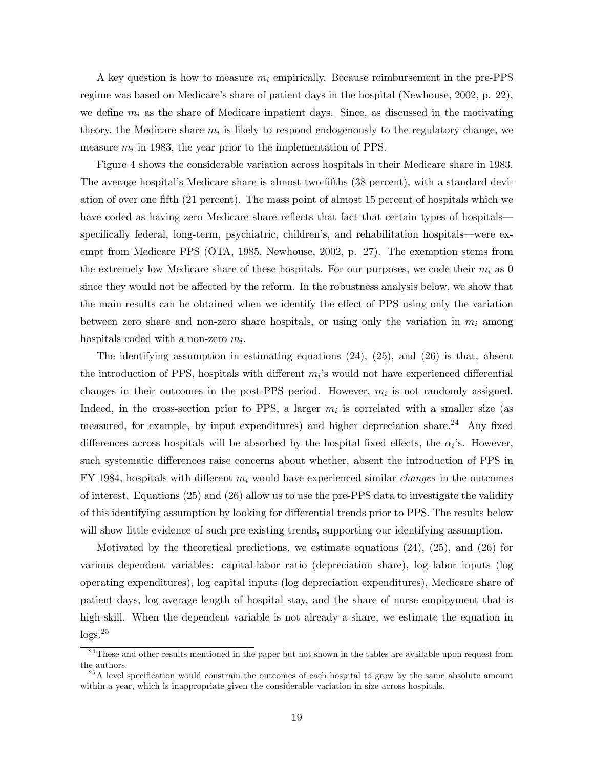A key question is how to measure  $m_i$  empirically. Because reimbursement in the pre-PPS regime was based on Medicare's share of patient days in the hospital (Newhouse, 2002, p. 22), we define  $m_i$  as the share of Medicare inpatient days. Since, as discussed in the motivating theory, the Medicare share  $m_i$  is likely to respond endogenously to the regulatory change, we measure  $m_i$  in 1983, the year prior to the implementation of PPS.

Figure 4 shows the considerable variation across hospitals in their Medicare share in 1983. The average hospital's Medicare share is almost two-fifths (38 percent), with a standard deviation of over one fifth (21 percent). The mass point of almost 15 percent of hospitals which we have coded as having zero Medicare share reflects that fact that certain types of hospitals specifically federal, long-term, psychiatric, children's, and rehabilitation hospitals–were exempt from Medicare PPS (OTA, 1985, Newhouse, 2002, p. 27). The exemption stems from the extremely low Medicare share of these hospitals. For our purposes, we code their  $m_i$  as 0 since they would not be affected by the reform. In the robustness analysis below, we show that the main results can be obtained when we identify the effect of PPS using only the variation between zero share and non-zero share hospitals, or using only the variation in  $m_i$  among hospitals coded with a non-zero  $m_i$ .

The identifying assumption in estimating equations (24), (25), and (26) is that, absent the introduction of PPS, hospitals with different  $m_i$ 's would not have experienced differential changes in their outcomes in the post-PPS period. However,  $m_i$  is not randomly assigned. Indeed, in the cross-section prior to PPS, a larger  $m_i$  is correlated with a smaller size (as measured, for example, by input expenditures) and higher depreciation share.24 Any fixed differences across hospitals will be absorbed by the hospital fixed effects, the  $\alpha_i$ 's. However, such systematic differences raise concerns about whether, absent the introduction of PPS in FY 1984, hospitals with different  $m_i$  would have experienced similar *changes* in the outcomes of interest. Equations (25) and (26) allow us to use the pre-PPS data to investigate the validity of this identifying assumption by looking for differential trends prior to PPS. The results below will show little evidence of such pre-existing trends, supporting our identifying assumption.

Motivated by the theoretical predictions, we estimate equations (24), (25), and (26) for various dependent variables: capital-labor ratio (depreciation share), log labor inputs (log operating expenditures), log capital inputs (log depreciation expenditures), Medicare share of patient days, log average length of hospital stay, and the share of nurse employment that is high-skill. When the dependent variable is not already a share, we estimate the equation in  $\log s$ <sup>25</sup>

<sup>&</sup>lt;sup>24</sup>These and other results mentioned in the paper but not shown in the tables are available upon request from the authors.

 $^{25}$ A level specification would constrain the outcomes of each hospital to grow by the same absolute amount within a year, which is inappropriate given the considerable variation in size across hospitals.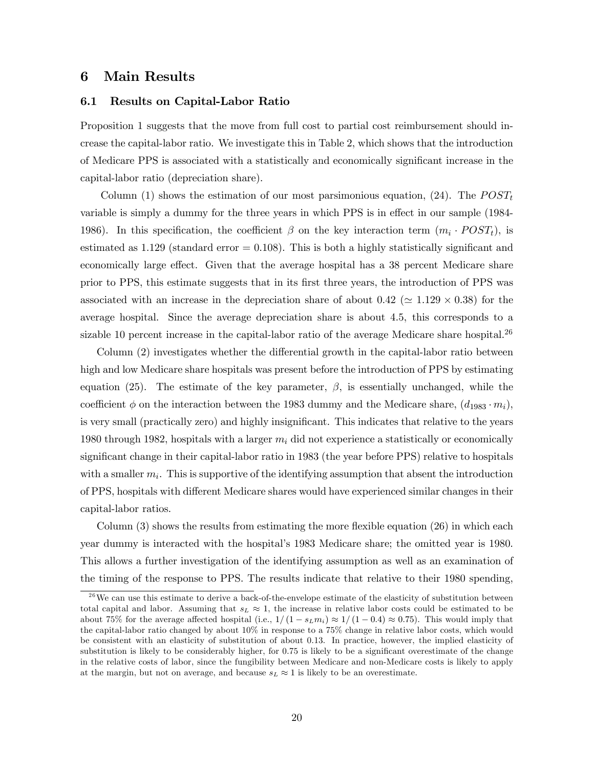### 6 Main Results

#### 6.1 Results on Capital-Labor Ratio

Proposition 1 suggests that the move from full cost to partial cost reimbursement should increase the capital-labor ratio. We investigate this in Table 2, which shows that the introduction of Medicare PPS is associated with a statistically and economically significant increase in the capital-labor ratio (depreciation share).

Column (1) shows the estimation of our most parsimonious equation, (24). The  $POST_t$ variable is simply a dummy for the three years in which PPS is in effect in our sample (1984- 1986). In this specification, the coefficient  $\beta$  on the key interaction term  $(m_i \cdot POST_t)$ , is estimated as  $1.129$  (standard error  $= 0.108$ ). This is both a highly statistically significant and economically large effect. Given that the average hospital has a 38 percent Medicare share prior to PPS, this estimate suggests that in its first three years, the introduction of PPS was associated with an increase in the depreciation share of about  $0.42 (\simeq 1.129 \times 0.38)$  for the average hospital. Since the average depreciation share is about 4.5, this corresponds to a sizable 10 percent increase in the capital-labor ratio of the average Medicare share hospital.<sup>26</sup>

Column (2) investigates whether the differential growth in the capital-labor ratio between high and low Medicare share hospitals was present before the introduction of PPS by estimating equation (25). The estimate of the key parameter,  $\beta$ , is essentially unchanged, while the coefficient  $\phi$  on the interaction between the 1983 dummy and the Medicare share,  $(d_{1983} \cdot m_i)$ , is very small (practically zero) and highly insignificant. This indicates that relative to the years 1980 through 1982, hospitals with a larger  $m_i$  did not experience a statistically or economically significant change in their capital-labor ratio in 1983 (the year before PPS) relative to hospitals with a smaller  $m_i$ . This is supportive of the identifying assumption that absent the introduction of PPS, hospitals with different Medicare shares would have experienced similar changes in their capital-labor ratios.

Column  $(3)$  shows the results from estimating the more flexible equation  $(26)$  in which each year dummy is interacted with the hospital's 1983 Medicare share; the omitted year is 1980. This allows a further investigation of the identifying assumption as well as an examination of the timing of the response to PPS. The results indicate that relative to their 1980 spending,

 $26$  We can use this estimate to derive a back-of-the-envelope estimate of the elasticity of substitution between total capital and labor. Assuming that  $s<sub>L</sub> \approx 1$ , the increase in relative labor costs could be estimated to be about 75% for the average affected hospital (i.e.,  $1/(1 - s_L m_i) \approx 1/(1 - 0.4) \approx 0.75$ ). This would imply that the capital-labor ratio changed by about 10% in response to a 75% change in relative labor costs, which would be consistent with an elasticity of substitution of about 0.13. In practice, however, the implied elasticity of substitution is likely to be considerably higher, for 0.75 is likely to be a significant overestimate of the change in the relative costs of labor, since the fungibility between Medicare and non-Medicare costs is likely to apply at the margin, but not on average, and because  $s_L \approx 1$  is likely to be an overestimate.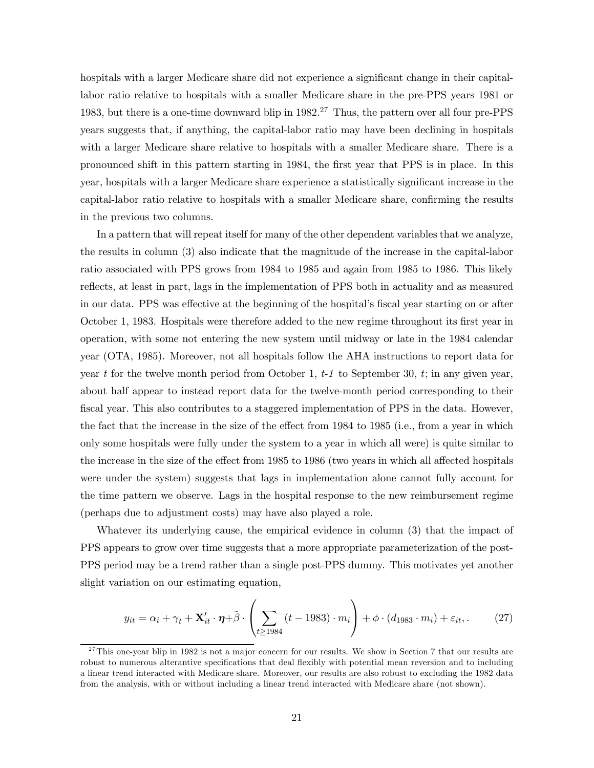hospitals with a larger Medicare share did not experience a significant change in their capitallabor ratio relative to hospitals with a smaller Medicare share in the pre-PPS years 1981 or 1983, but there is a one-time downward blip in 1982.27 Thus, the pattern over all four pre-PPS years suggests that, if anything, the capital-labor ratio may have been declining in hospitals with a larger Medicare share relative to hospitals with a smaller Medicare share. There is a pronounced shift in this pattern starting in 1984, the first year that PPS is in place. In this year, hospitals with a larger Medicare share experience a statistically significant increase in the capital-labor ratio relative to hospitals with a smaller Medicare share, confirming the results in the previous two columns.

In a pattern that will repeat itself for many of the other dependent variables that we analyze, the results in column (3) also indicate that the magnitude of the increase in the capital-labor ratio associated with PPS grows from 1984 to 1985 and again from 1985 to 1986. This likely reflects, at least in part, lags in the implementation of PPS both in actuality and as measured in our data. PPS was effective at the beginning of the hospital's fiscal year starting on or after October 1, 1983. Hospitals were therefore added to the new regime throughout its first year in operation, with some not entering the new system until midway or late in the 1984 calendar year (OTA, 1985). Moreover, not all hospitals follow the AHA instructions to report data for year t for the twelve month period from October 1,  $t-1$  to September 30,  $t$ ; in any given year, about half appear to instead report data for the twelve-month period corresponding to their fiscal year. This also contributes to a staggered implementation of PPS in the data. However, the fact that the increase in the size of the effect from 1984 to 1985 (i.e., from a year in which only some hospitals were fully under the system to a year in which all were) is quite similar to the increase in the size of the effect from 1985 to 1986 (two years in which all affected hospitals were under the system) suggests that lags in implementation alone cannot fully account for the time pattern we observe. Lags in the hospital response to the new reimbursement regime (perhaps due to adjustment costs) may have also played a role.

Whatever its underlying cause, the empirical evidence in column (3) that the impact of PPS appears to grow over time suggests that a more appropriate parameterization of the post-PPS period may be a trend rather than a single post-PPS dummy. This motivates yet another slight variation on our estimating equation,

$$
y_{it} = \alpha_i + \gamma_t + \mathbf{X}'_{it} \cdot \boldsymbol{\eta} + \tilde{\beta} \cdot \left( \sum_{t \ge 1984} (t - 1983) \cdot m_i \right) + \phi \cdot (d_{1983} \cdot m_i) + \varepsilon_{it}, \tag{27}
$$

 $27$ This one-year blip in 1982 is not a major concern for our results. We show in Section 7 that our results are robust to numerous alterantive specifications that deal flexibly with potential mean reversion and to including a linear trend interacted with Medicare share. Moreover, our results are also robust to excluding the 1982 data from the analysis, with or without including a linear trend interacted with Medicare share (not shown).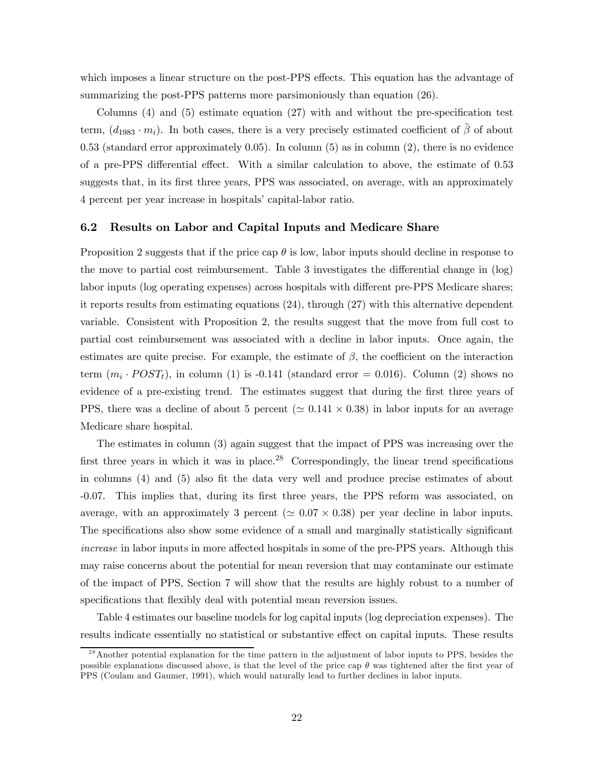which imposes a linear structure on the post-PPS effects. This equation has the advantage of summarizing the post-PPS patterns more parsimoniously than equation  $(26)$ .

Columns (4) and (5) estimate equation (27) with and without the pre-specification test term,  $(d_{1983} \cdot m_i)$ . In both cases, there is a very precisely estimated coefficient of  $\tilde{\beta}$  of about  $0.53$  (standard error approximately  $0.05$ ). In column  $(5)$  as in column  $(2)$ , there is no evidence of a pre-PPS differential effect. With a similar calculation to above, the estimate of 0.53 suggests that, in its first three years, PPS was associated, on average, with an approximately 4 percent per year increase in hospitals' capital-labor ratio.

#### 6.2 Results on Labor and Capital Inputs and Medicare Share

Proposition 2 suggests that if the price cap  $\theta$  is low, labor inputs should decline in response to the move to partial cost reimbursement. Table 3 investigates the differential change in (log) labor inputs (log operating expenses) across hospitals with different pre-PPS Medicare shares; it reports results from estimating equations (24), through (27) with this alternative dependent variable. Consistent with Proposition 2, the results suggest that the move from full cost to partial cost reimbursement was associated with a decline in labor inputs. Once again, the estimates are quite precise. For example, the estimate of  $\beta$ , the coefficient on the interaction term  $(m_i \cdot POST_t)$ , in column (1) is -0.141 (standard error = 0.016). Column (2) shows no evidence of a pre-existing trend. The estimates suggest that during the first three years of PPS, there was a decline of about 5 percent ( $\simeq 0.141 \times 0.38$ ) in labor inputs for an average Medicare share hospital.

The estimates in column (3) again suggest that the impact of PPS was increasing over the first three years in which it was in place.<sup>28</sup> Correspondingly, the linear trend specifications in columns (4) and (5) also fit the data very well and produce precise estimates of about -0.07. This implies that, during its first three years, the PPS reform was associated, on average, with an approximately 3 percent ( $\approx 0.07 \times 0.38$ ) per year decline in labor inputs. The specifications also show some evidence of a small and marginally statistically significant increase in labor inputs in more affected hospitals in some of the pre-PPS years. Although this may raise concerns about the potential for mean reversion that may contaminate our estimate of the impact of PPS, Section 7 will show that the results are highly robust to a number of specifications that flexibly deal with potential mean reversion issues.

Table 4 estimates our baseline models for log capital inputs (log depreciation expenses). The results indicate essentially no statistical or substantive effect on capital inputs. These results

<sup>&</sup>lt;sup>28</sup> Another potential explanation for the time pattern in the adjustment of labor inputs to PPS, besides the possible explanations discussed above, is that the level of the price cap  $\theta$  was tightened after the first year of PPS (Coulam and Gaumer, 1991), which would naturally lead to further declines in labor inputs.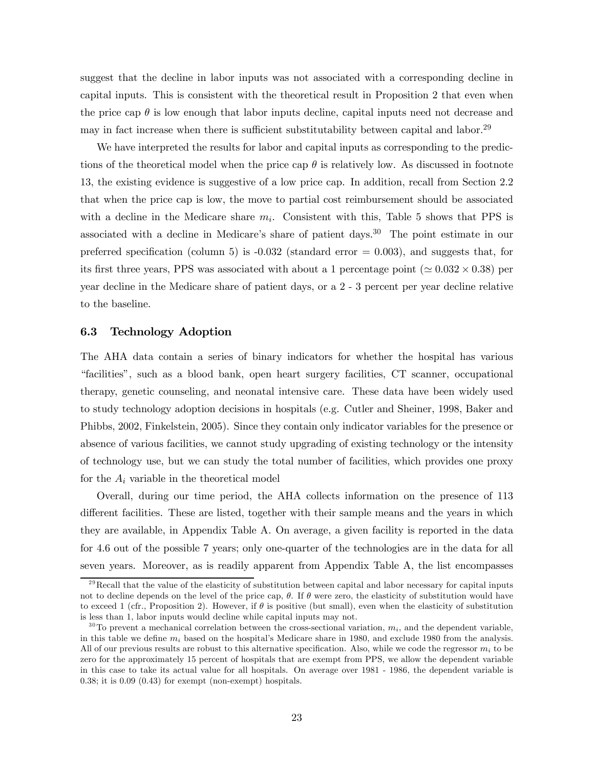suggest that the decline in labor inputs was not associated with a corresponding decline in capital inputs. This is consistent with the theoretical result in Proposition 2 that even when the price cap  $\theta$  is low enough that labor inputs decline, capital inputs need not decrease and may in fact increase when there is sufficient substitutability between capital and labor.29

We have interpreted the results for labor and capital inputs as corresponding to the predictions of the theoretical model when the price cap  $\theta$  is relatively low. As discussed in footnote 13, the existing evidence is suggestive of a low price cap. In addition, recall from Section 2.2 that when the price cap is low, the move to partial cost reimbursement should be associated with a decline in the Medicare share  $m_i$ . Consistent with this, Table 5 shows that PPS is associated with a decline in Medicare's share of patient days.<sup>30</sup> The point estimate in our preferred specification (column 5) is  $-0.032$  (standard error  $= 0.003$ ), and suggests that, for its first three years, PPS was associated with about a 1 percentage point ( $\approx 0.032 \times 0.38$ ) per year decline in the Medicare share of patient days, or a 2 - 3 percent per year decline relative to the baseline.

#### 6.3 Technology Adoption

The AHA data contain a series of binary indicators for whether the hospital has various "facilities", such as a blood bank, open heart surgery facilities, CT scanner, occupational therapy, genetic counseling, and neonatal intensive care. These data have been widely used to study technology adoption decisions in hospitals (e.g. Cutler and Sheiner, 1998, Baker and Phibbs, 2002, Finkelstein, 2005). Since they contain only indicator variables for the presence or absence of various facilities, we cannot study upgrading of existing technology or the intensity of technology use, but we can study the total number of facilities, which provides one proxy for the  $A_i$  variable in the theoretical model

Overall, during our time period, the AHA collects information on the presence of 113 different facilities. These are listed, together with their sample means and the years in which they are available, in Appendix Table A. On average, a given facility is reported in the data for 4.6 out of the possible 7 years; only one-quarter of the technologies are in the data for all seven years. Moreover, as is readily apparent from Appendix Table A, the list encompasses

 $^{29}$ Recall that the value of the elasticity of substitution between capital and labor necessary for capital inputs not to decline depends on the level of the price cap,  $\theta$ . If  $\theta$  were zero, the elasticity of substitution would have to exceed 1 (cfr., Proposition 2). However, if  $\theta$  is positive (but small), even when the elasticity of substitution is less than 1, labor inputs would decline while capital inputs may not.

 $30$  To prevent a mechanical correlation between the cross-sectional variation,  $m_i$ , and the dependent variable, in this table we define  $m_i$  based on the hospital's Medicare share in 1980, and exclude 1980 from the analysis. All of our previous results are robust to this alternative specification. Also, while we code the regressor  $m_i$  to be zero for the approximately 15 percent of hospitals that are exempt from PPS, we allow the dependent variable in this case to take its actual value for all hospitals. On average over 1981 - 1986, the dependent variable is 0.38; it is 0.09 (0.43) for exempt (non-exempt) hospitals.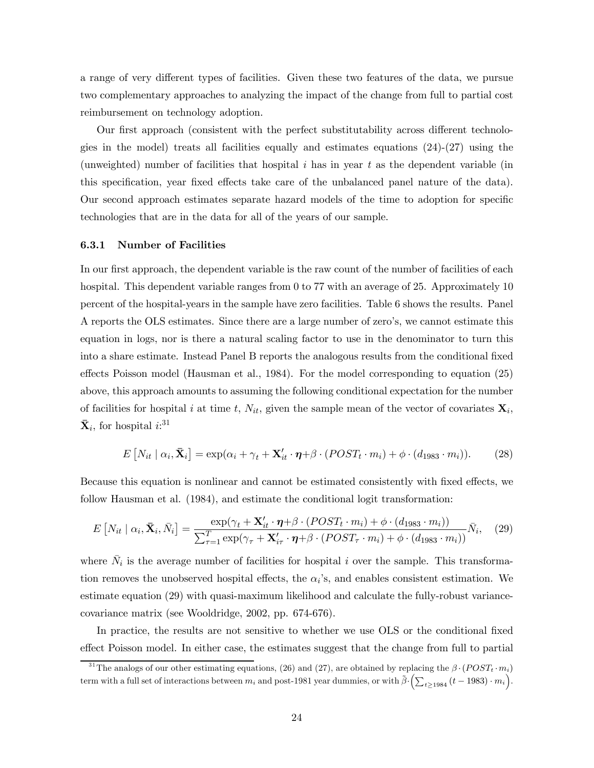a range of very different types of facilities. Given these two features of the data, we pursue two complementary approaches to analyzing the impact of the change from full to partial cost reimbursement on technology adoption.

Our first approach (consistent with the perfect substitutability across different technologies in the model) treats all facilities equally and estimates equations  $(24)-(27)$  using the (unweighted) number of facilities that hospital  $i$  has in year  $t$  as the dependent variable (in this specification, year fixed effects take care of the unbalanced panel nature of the data). Our second approach estimates separate hazard models of the time to adoption for specific technologies that are in the data for all of the years of our sample.

#### 6.3.1 Number of Facilities

In our first approach, the dependent variable is the raw count of the number of facilities of each hospital. This dependent variable ranges from 0 to 77 with an average of 25. Approximately 10 percent of the hospital-years in the sample have zero facilities. Table 6 shows the results. Panel A reports the OLS estimates. Since there are a large number of zero's, we cannot estimate this equation in logs, nor is there a natural scaling factor to use in the denominator to turn this into a share estimate. Instead Panel B reports the analogous results from the conditional fixed effects Poisson model (Hausman et al., 1984). For the model corresponding to equation (25) above, this approach amounts to assuming the following conditional expectation for the number of facilities for hospital i at time t,  $N_{it}$ , given the sample mean of the vector of covariates  $\mathbf{X}_i$ ,  $\bar{\mathbf{X}}_i$ , for hospital  $i:$ <sup>31</sup>

$$
E[N_{it} | \alpha_i, \bar{\mathbf{X}}_i] = \exp(\alpha_i + \gamma_t + \mathbf{X}'_{it} \cdot \boldsymbol{\eta} + \beta \cdot (POST_t \cdot m_i) + \phi \cdot (d_{1983} \cdot m_i)). \tag{28}
$$

Because this equation is nonlinear and cannot be estimated consistently with fixed effects, we follow Hausman et al. (1984), and estimate the conditional logit transformation:

$$
E\left[N_{it} \mid \alpha_i, \bar{\mathbf{X}}_i, \bar{N}_i\right] = \frac{\exp(\gamma_t + \mathbf{X}_{it}^{\prime} \cdot \boldsymbol{\eta} + \beta \cdot (POST_t \cdot m_i) + \phi \cdot (d_{1983} \cdot m_i))}{\sum_{\tau=1}^{T} \exp(\gamma_\tau + \mathbf{X}_{i\tau}^{\prime} \cdot \boldsymbol{\eta} + \beta \cdot (POST_\tau \cdot m_i) + \phi \cdot (d_{1983} \cdot m_i))}\bar{N}_i, \quad (29)
$$

where  $N_i$  is the average number of facilities for hospital i over the sample. This transformation removes the unobserved hospital effects, the  $\alpha_i$ 's, and enables consistent estimation. We estimate equation (29) with quasi-maximum likelihood and calculate the fully-robust variancecovariance matrix (see Wooldridge, 2002, pp. 674-676).

In practice, the results are not sensitive to whether we use OLS or the conditional fixed effect Poisson model. In either case, the estimates suggest that the change from full to partial

<sup>&</sup>lt;sup>31</sup>The analogs of our other estimating equations, (26) and (27), are obtained by replacing the  $\beta \cdot (POST_t \cdot m_i)$ term with a full set of interactions between  $m_i$  and post-1981 year dummies, or with  $\tilde{\beta} \cdot (\sum_{t \ge 1984} (t - 1983) \cdot m_i)$ .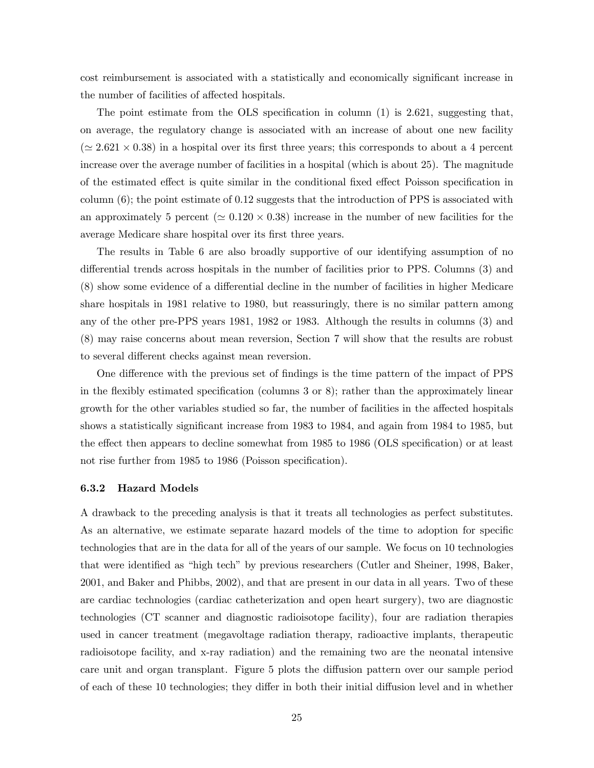cost reimbursement is associated with a statistically and economically significant increase in the number of facilities of affected hospitals.

The point estimate from the OLS specification in column  $(1)$  is 2.621, suggesting that, on average, the regulatory change is associated with an increase of about one new facility  $(\simeq 2.621 \times 0.38)$  in a hospital over its first three years; this corresponds to about a 4 percent increase over the average number of facilities in a hospital (which is about 25). The magnitude of the estimated effect is quite similar in the conditional fixed effect Poisson specification in column (6); the point estimate of 0.12 suggests that the introduction of PPS is associated with an approximately 5 percent ( $\approx 0.120 \times 0.38$ ) increase in the number of new facilities for the average Medicare share hospital over its first three years.

The results in Table 6 are also broadly supportive of our identifying assumption of no differential trends across hospitals in the number of facilities prior to PPS. Columns (3) and (8) show some evidence of a differential decline in the number of facilities in higher Medicare share hospitals in 1981 relative to 1980, but reassuringly, there is no similar pattern among any of the other pre-PPS years 1981, 1982 or 1983. Although the results in columns (3) and (8) may raise concerns about mean reversion, Section 7 will show that the results are robust to several different checks against mean reversion.

One difference with the previous set of findings is the time pattern of the impact of PPS in the flexibly estimated specification (columns 3 or 8); rather than the approximately linear growth for the other variables studied so far, the number of facilities in the affected hospitals shows a statistically significant increase from 1983 to 1984, and again from 1984 to 1985, but the effect then appears to decline somewhat from 1985 to 1986 (OLS specification) or at least not rise further from 1985 to 1986 (Poisson specification).

#### 6.3.2 Hazard Models

A drawback to the preceding analysis is that it treats all technologies as perfect substitutes. As an alternative, we estimate separate hazard models of the time to adoption for specific technologies that are in the data for all of the years of our sample. We focus on 10 technologies that were identified as "high tech" by previous researchers (Cutler and Sheiner, 1998, Baker, 2001, and Baker and Phibbs, 2002), and that are present in our data in all years. Two of these are cardiac technologies (cardiac catheterization and open heart surgery), two are diagnostic technologies (CT scanner and diagnostic radioisotope facility), four are radiation therapies used in cancer treatment (megavoltage radiation therapy, radioactive implants, therapeutic radioisotope facility, and x-ray radiation) and the remaining two are the neonatal intensive care unit and organ transplant. Figure 5 plots the diffusion pattern over our sample period of each of these 10 technologies; they differ in both their initial diffusion level and in whether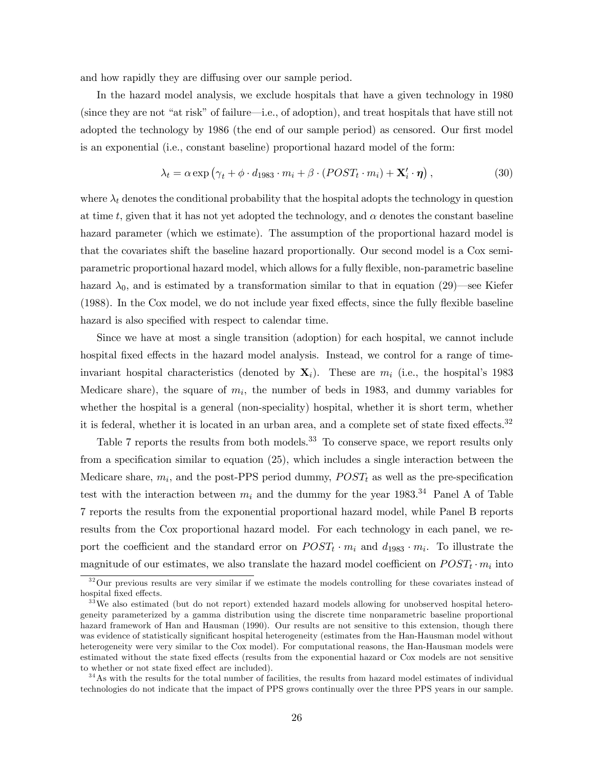and how rapidly they are diffusing over our sample period.

In the hazard model analysis, we exclude hospitals that have a given technology in 1980 (since they are not "at risk" of failure–i.e., of adoption), and treat hospitals that have still not adopted the technology by 1986 (the end of our sample period) as censored. Our first model is an exponential (i.e., constant baseline) proportional hazard model of the form:

$$
\lambda_t = \alpha \exp \left( \gamma_t + \phi \cdot d_{1983} \cdot m_i + \beta \cdot (POST_t \cdot m_i) + \mathbf{X}'_i \cdot \boldsymbol{\eta} \right),\tag{30}
$$

where  $\lambda_t$  denotes the conditional probability that the hospital adopts the technology in question at time t, given that it has not yet adopted the technology, and  $\alpha$  denotes the constant baseline hazard parameter (which we estimate). The assumption of the proportional hazard model is that the covariates shift the baseline hazard proportionally. Our second model is a Cox semiparametric proportional hazard model, which allows for a fully flexible, non-parametric baseline hazard  $\lambda_0$ , and is estimated by a transformation similar to that in equation (29)—see Kiefer (1988). In the Cox model, we do not include year fixed effects, since the fully flexible baseline hazard is also specified with respect to calendar time.

Since we have at most a single transition (adoption) for each hospital, we cannot include hospital fixed effects in the hazard model analysis. Instead, we control for a range of timeinvariant hospital characteristics (denoted by  $\mathbf{X}_i$ ). These are  $m_i$  (i.e., the hospital's 1983 Medicare share), the square of  $m_i$ , the number of beds in 1983, and dummy variables for whether the hospital is a general (non-speciality) hospital, whether it is short term, whether it is federal, whether it is located in an urban area, and a complete set of state fixed effects.<sup>32</sup>

Table 7 reports the results from both models.<sup>33</sup> To conserve space, we report results only from a specification similar to equation (25), which includes a single interaction between the Medicare share,  $m_i$ , and the post-PPS period dummy,  $POST_t$  as well as the pre-specification test with the interaction between  $m_i$  and the dummy for the year 1983.<sup>34</sup> Panel A of Table 7 reports the results from the exponential proportional hazard model, while Panel B reports results from the Cox proportional hazard model. For each technology in each panel, we report the coefficient and the standard error on  $POST_t \cdot m_i$  and  $d_{1983} \cdot m_i$ . To illustrate the magnitude of our estimates, we also translate the hazard model coefficient on  $POST_t \cdot m_i$  into

 $32$ Our previous results are very similar if we estimate the models controlling for these covariates instead of hospital fixed effects.

<sup>&</sup>lt;sup>33</sup>We also estimated (but do not report) extended hazard models allowing for unobserved hospital heterogeneity parameterized by a gamma distribution using the discrete time nonparametric baseline proportional hazard framework of Han and Hausman (1990). Our results are not sensitive to this extension, though there was evidence of statistically significant hospital heterogeneity (estimates from the Han-Hausman model without heterogeneity were very similar to the Cox model). For computational reasons, the Han-Hausman models were estimated without the state fixed effects (results from the exponential hazard or Cox models are not sensitive to whether or not state fixed effect are included).

 $34$ As with the results for the total number of facilities, the results from hazard model estimates of individual technologies do not indicate that the impact of PPS grows continually over the three PPS years in our sample.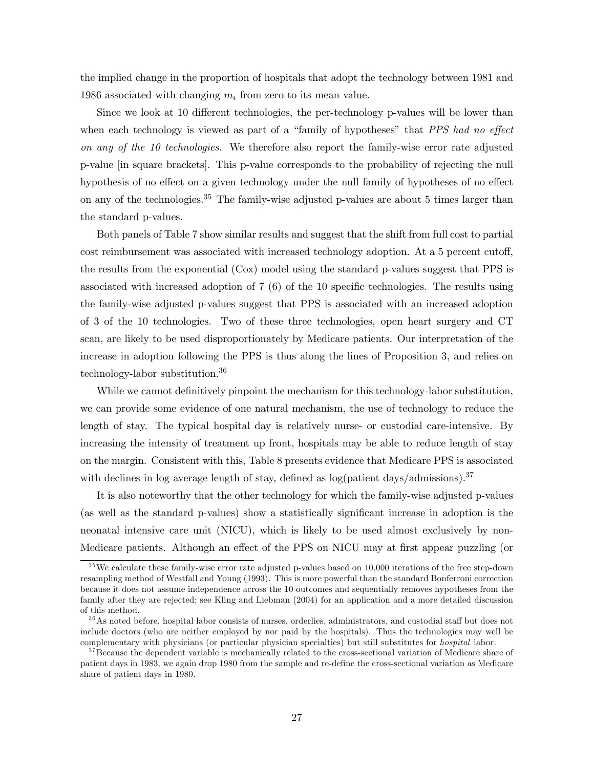the implied change in the proportion of hospitals that adopt the technology between 1981 and 1986 associated with changing  $m_i$  from zero to its mean value.

Since we look at 10 different technologies, the per-technology p-values will be lower than when each technology is viewed as part of a "family of hypotheses" that *PPS had no effect* on any of the 10 technologies. We therefore also report the family-wise error rate adjusted p-value [in square brackets]. This p-value corresponds to the probability of rejecting the null hypothesis of no effect on a given technology under the null family of hypotheses of no effect on any of the technologies.<sup>35</sup> The family-wise adjusted p-values are about 5 times larger than the standard p-values.

Both panels of Table 7 show similar results and suggest that the shift from full cost to partial cost reimbursement was associated with increased technology adoption. At a 5 percent cutoff, the results from the exponential (Cox) model using the standard p-values suggest that PPS is associated with increased adoption of 7 (6) of the 10 specific technologies. The results using the family-wise adjusted p-values suggest that PPS is associated with an increased adoption of 3 of the 10 technologies. Two of these three technologies, open heart surgery and CT scan, are likely to be used disproportionately by Medicare patients. Our interpretation of the increase in adoption following the PPS is thus along the lines of Proposition 3, and relies on technology-labor substitution.36

While we cannot definitively pinpoint the mechanism for this technology-labor substitution, we can provide some evidence of one natural mechanism, the use of technology to reduce the length of stay. The typical hospital day is relatively nurse- or custodial care-intensive. By increasing the intensity of treatment up front, hospitals may be able to reduce length of stay on the margin. Consistent with this, Table 8 presents evidence that Medicare PPS is associated with declines in log average length of stay, defined as  $log(pation \, days/admissions).^{37}$ 

It is also noteworthy that the other technology for which the family-wise adjusted p-values (as well as the standard p-values) show a statistically significant increase in adoption is the neonatal intensive care unit (NICU), which is likely to be used almost exclusively by non-Medicare patients. Although an effect of the PPS on NICU may at first appear puzzling (or

 $35$ We calculate these family-wise error rate adjusted p-values based on 10,000 iterations of the free step-down resampling method of Westfall and Young (1993). This is more powerful than the standard Bonferroni correction because it does not assume independence across the 10 outcomes and sequentially removes hypotheses from the family after they are rejected; see Kling and Liebman (2004) for an application and a more detailed discussion of this method.

<sup>&</sup>lt;sup>36</sup>As noted before, hospital labor consists of nurses, orderlies, administrators, and custodial staff but does not include doctors (who are neither employed by nor paid by the hospitals). Thus the technologies may well be complementary with physicians (or particular physician specialties) but still substitutes for hospital labor.

<sup>&</sup>lt;sup>37</sup> Because the dependent variable is mechanically related to the cross-sectional variation of Medicare share of patient days in 1983, we again drop 1980 from the sample and re-define the cross-sectional variation as Medicare share of patient days in 1980.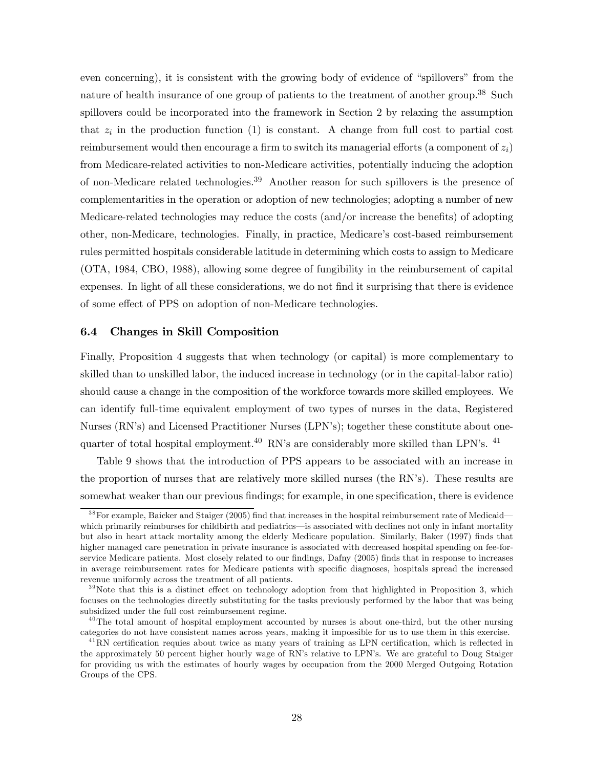even concerning), it is consistent with the growing body of evidence of "spillovers" from the nature of health insurance of one group of patients to the treatment of another group.<sup>38</sup> Such spillovers could be incorporated into the framework in Section 2 by relaxing the assumption that  $z_i$  in the production function (1) is constant. A change from full cost to partial cost reimbursement would then encourage a firm to switch its managerial efforts (a component of  $z_i$ ) from Medicare-related activities to non-Medicare activities, potentially inducing the adoption of non-Medicare related technologies.<sup>39</sup> Another reason for such spillovers is the presence of complementarities in the operation or adoption of new technologies; adopting a number of new Medicare-related technologies may reduce the costs (and/or increase the benefits) of adopting other, non-Medicare, technologies. Finally, in practice, Medicare's cost-based reimbursement rules permitted hospitals considerable latitude in determining which costs to assign to Medicare (OTA, 1984, CBO, 1988), allowing some degree of fungibility in the reimbursement of capital expenses. In light of all these considerations, we do not find it surprising that there is evidence of some effect of PPS on adoption of non-Medicare technologies.

#### 6.4 Changes in Skill Composition

Finally, Proposition 4 suggests that when technology (or capital) is more complementary to skilled than to unskilled labor, the induced increase in technology (or in the capital-labor ratio) should cause a change in the composition of the workforce towards more skilled employees. We can identify full-time equivalent employment of two types of nurses in the data, Registered Nurses (RN's) and Licensed Practitioner Nurses (LPN's); together these constitute about onequarter of total hospital employment.<sup>40</sup> RN's are considerably more skilled than LPN's.<sup>41</sup>

Table 9 shows that the introduction of PPS appears to be associated with an increase in the proportion of nurses that are relatively more skilled nurses (the RN's). These results are somewhat weaker than our previous findings; for example, in one specification, there is evidence

<sup>&</sup>lt;sup>38</sup>For example, Baicker and Staiger (2005) find that increases in the hospital reimbursement rate of Medicaid– which primarily reimburses for childbirth and pediatrics—is associated with declines not only in infant mortality but also in heart attack mortality among the elderly Medicare population. Similarly, Baker (1997) finds that higher managed care penetration in private insurance is associated with decreased hospital spending on fee-forservice Medicare patients. Most closely related to our findings, Dafny (2005) finds that in response to increases in average reimbursement rates for Medicare patients with specific diagnoses, hospitals spread the increased revenue uniformly across the treatment of all patients.

 $39$ Note that this is a distinct effect on technology adoption from that highlighted in Proposition 3, which focuses on the technologies directly substituting for the tasks previously performed by the labor that was being subsidized under the full cost reimbursement regime.

 $^{40}$ The total amount of hospital employment accounted by nurses is about one-third, but the other nursing categories do not have consistent names across years, making it impossible for us to use them in this exercise.

 $^{41}$ RN certification requies about twice as many years of training as LPN certification, which is reflected in the approximately 50 percent higher hourly wage of RN's relative to LPN's. We are grateful to Doug Staiger for providing us with the estimates of hourly wages by occupation from the 2000 Merged Outgoing Rotation Groups of the CPS.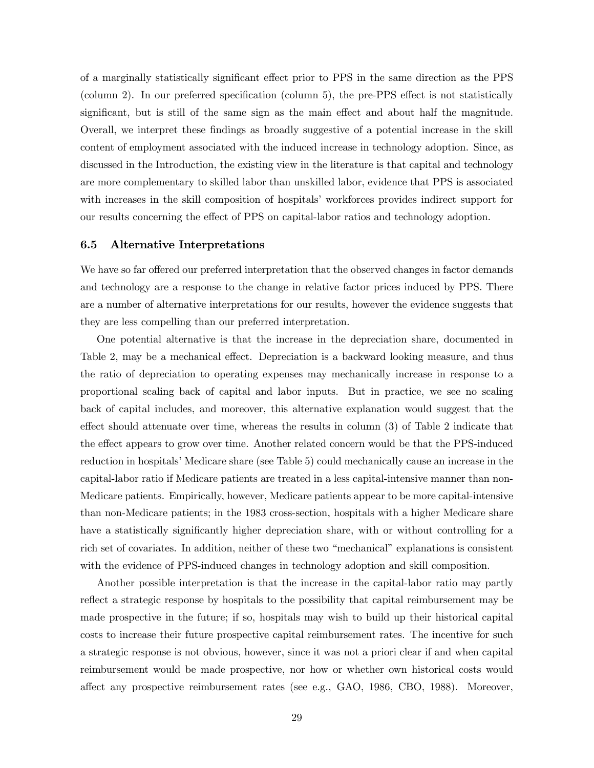of a marginally statistically significant effect prior to PPS in the same direction as the PPS (column 2). In our preferred specification (column 5), the pre-PPS effect is not statistically significant, but is still of the same sign as the main effect and about half the magnitude. Overall, we interpret these findings as broadly suggestive of a potential increase in the skill content of employment associated with the induced increase in technology adoption. Since, as discussed in the Introduction, the existing view in the literature is that capital and technology are more complementary to skilled labor than unskilled labor, evidence that PPS is associated with increases in the skill composition of hospitals' workforces provides indirect support for our results concerning the effect of PPS on capital-labor ratios and technology adoption.

#### 6.5 Alternative Interpretations

We have so far offered our preferred interpretation that the observed changes in factor demands and technology are a response to the change in relative factor prices induced by PPS. There are a number of alternative interpretations for our results, however the evidence suggests that they are less compelling than our preferred interpretation.

One potential alternative is that the increase in the depreciation share, documented in Table 2, may be a mechanical effect. Depreciation is a backward looking measure, and thus the ratio of depreciation to operating expenses may mechanically increase in response to a proportional scaling back of capital and labor inputs. But in practice, we see no scaling back of capital includes, and moreover, this alternative explanation would suggest that the effect should attenuate over time, whereas the results in column (3) of Table 2 indicate that the effect appears to grow over time. Another related concern would be that the PPS-induced reduction in hospitals' Medicare share (see Table 5) could mechanically cause an increase in the capital-labor ratio if Medicare patients are treated in a less capital-intensive manner than non-Medicare patients. Empirically, however, Medicare patients appear to be more capital-intensive than non-Medicare patients; in the 1983 cross-section, hospitals with a higher Medicare share have a statistically significantly higher depreciation share, with or without controlling for a rich set of covariates. In addition, neither of these two "mechanical" explanations is consistent with the evidence of PPS-induced changes in technology adoption and skill composition.

Another possible interpretation is that the increase in the capital-labor ratio may partly reflect a strategic response by hospitals to the possibility that capital reimbursement may be made prospective in the future; if so, hospitals may wish to build up their historical capital costs to increase their future prospective capital reimbursement rates. The incentive for such a strategic response is not obvious, however, since it was not a priori clear if and when capital reimbursement would be made prospective, nor how or whether own historical costs would affect any prospective reimbursement rates (see e.g., GAO, 1986, CBO, 1988). Moreover,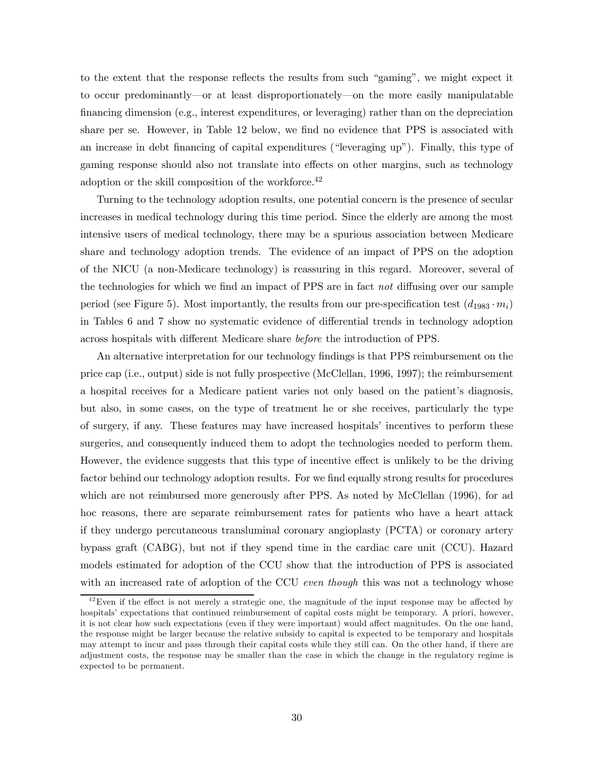to the extent that the response reflects the results from such "gaming", we might expect it to occur predominantly–or at least disproportionately–on the more easily manipulatable financing dimension (e.g., interest expenditures, or leveraging) rather than on the depreciation share per se. However, in Table 12 below, we find no evidence that PPS is associated with an increase in debt financing of capital expenditures ("leveraging up"). Finally, this type of gaming response should also not translate into effects on other margins, such as technology adoption or the skill composition of the workforce.<sup>42</sup>

Turning to the technology adoption results, one potential concern is the presence of secular increases in medical technology during this time period. Since the elderly are among the most intensive users of medical technology, there may be a spurious association between Medicare share and technology adoption trends. The evidence of an impact of PPS on the adoption of the NICU (a non-Medicare technology) is reassuring in this regard. Moreover, several of the technologies for which we find an impact of PPS are in fact not diffusing over our sample period (see Figure 5). Most importantly, the results from our pre-specification test  $(d_{1983} \cdot m_i)$ in Tables 6 and 7 show no systematic evidence of differential trends in technology adoption across hospitals with different Medicare share before the introduction of PPS.

An alternative interpretation for our technology findings is that PPS reimbursement on the price cap (i.e., output) side is not fully prospective (McClellan, 1996, 1997); the reimbursement a hospital receives for a Medicare patient varies not only based on the patient's diagnosis, but also, in some cases, on the type of treatment he or she receives, particularly the type of surgery, if any. These features may have increased hospitals' incentives to perform these surgeries, and consequently induced them to adopt the technologies needed to perform them. However, the evidence suggests that this type of incentive effect is unlikely to be the driving factor behind our technology adoption results. For we find equally strong results for procedures which are not reimbursed more generously after PPS. As noted by McClellan (1996), for ad hoc reasons, there are separate reimbursement rates for patients who have a heart attack if they undergo percutaneous transluminal coronary angioplasty (PCTA) or coronary artery bypass graft (CABG), but not if they spend time in the cardiac care unit (CCU). Hazard models estimated for adoption of the CCU show that the introduction of PPS is associated with an increased rate of adoption of the CCU even though this was not a technology whose

 $^{42}$ Even if the effect is not merely a strategic one, the magnitude of the input response may be affected by hospitals' expectations that continued reimbursement of capital costs might be temporary. A priori, however, it is not clear how such expectations (even if they were important) would affect magnitudes. On the one hand, the response might be larger because the relative subsidy to capital is expected to be temporary and hospitals may attempt to incur and pass through their capital costs while they still can. On the other hand, if there are adjustment costs, the response may be smaller than the case in which the change in the regulatory regime is expected to be permanent.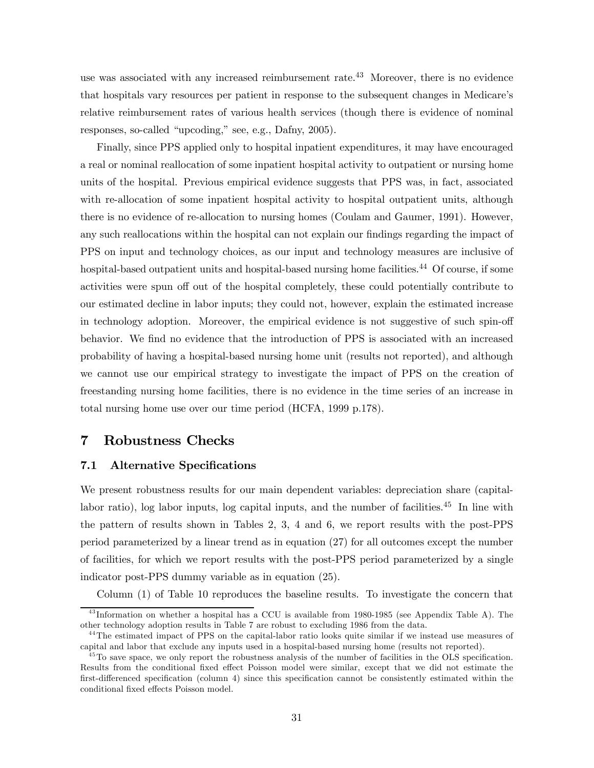use was associated with any increased reimbursement rate.<sup>43</sup> Moreover, there is no evidence that hospitals vary resources per patient in response to the subsequent changes in Medicare's relative reimbursement rates of various health services (though there is evidence of nominal responses, so-called "upcoding," see, e.g., Dafny, 2005).

Finally, since PPS applied only to hospital inpatient expenditures, it may have encouraged a real or nominal reallocation of some inpatient hospital activity to outpatient or nursing home units of the hospital. Previous empirical evidence suggests that PPS was, in fact, associated with re-allocation of some inpatient hospital activity to hospital outpatient units, although there is no evidence of re-allocation to nursing homes (Coulam and Gaumer, 1991). However, any such reallocations within the hospital can not explain our findings regarding the impact of PPS on input and technology choices, as our input and technology measures are inclusive of hospital-based outpatient units and hospital-based nursing home facilities.<sup>44</sup> Of course, if some activities were spun off out of the hospital completely, these could potentially contribute to our estimated decline in labor inputs; they could not, however, explain the estimated increase in technology adoption. Moreover, the empirical evidence is not suggestive of such spin-off behavior. We find no evidence that the introduction of PPS is associated with an increased probability of having a hospital-based nursing home unit (results not reported), and although we cannot use our empirical strategy to investigate the impact of PPS on the creation of freestanding nursing home facilities, there is no evidence in the time series of an increase in total nursing home use over our time period (HCFA, 1999 p.178).

### 7 Robustness Checks

#### 7.1 Alternative Specifications

We present robustness results for our main dependent variables: depreciation share (capitallabor ratio), log labor inputs, log capital inputs, and the number of facilities.<sup>45</sup> In line with the pattern of results shown in Tables 2, 3, 4 and 6, we report results with the post-PPS period parameterized by a linear trend as in equation (27) for all outcomes except the number of facilities, for which we report results with the post-PPS period parameterized by a single indicator post-PPS dummy variable as in equation (25).

Column (1) of Table 10 reproduces the baseline results. To investigate the concern that

<sup>4 3</sup> Information on whether a hospital has a CCU is available from 1980-1985 (see Appendix Table A). The other technology adoption results in Table 7 are robust to excluding 1986 from the data.

<sup>&</sup>lt;sup>44</sup>The estimated impact of PPS on the capital-labor ratio looks quite similar if we instead use measures of capital and labor that exclude any inputs used in a hospital-based nursing home (results not reported).

 $^{45}$ To save space, we only report the robustness analysis of the number of facilities in the OLS specification. Results from the conditional fixed effect Poisson model were similar, except that we did not estimate the first-differenced specification (column 4) since this specification cannot be consistently estimated within the conditional fixed effects Poisson model.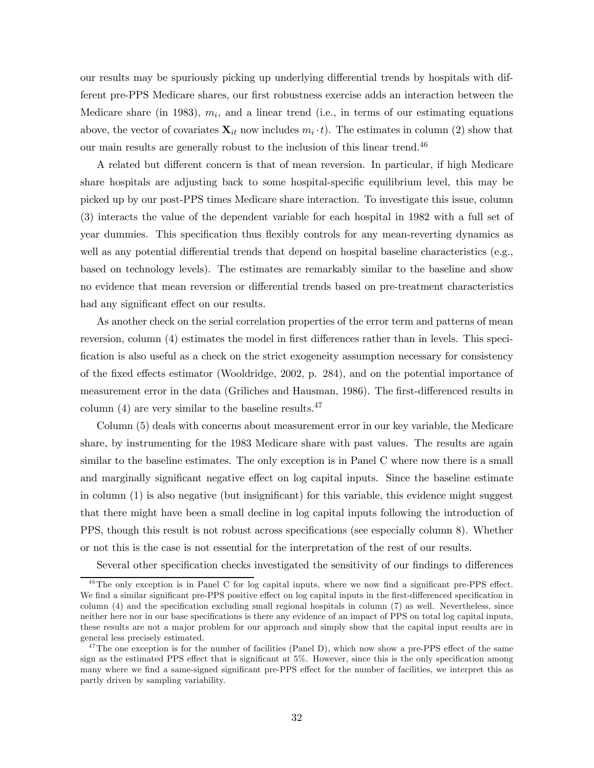our results may be spuriously picking up underlying differential trends by hospitals with different pre-PPS Medicare shares, our first robustness exercise adds an interaction between the Medicare share (in 1983),  $m_i$ , and a linear trend (i.e., in terms of our estimating equations above, the vector of covariates  $\mathbf{X}_{it}$  now includes  $m_i \cdot t$ ). The estimates in column (2) show that our main results are generally robust to the inclusion of this linear trend.<sup>46</sup>

A related but different concern is that of mean reversion. In particular, if high Medicare share hospitals are adjusting back to some hospital-specific equilibrium level, this may be picked up by our post-PPS times Medicare share interaction. To investigate this issue, column (3) interacts the value of the dependent variable for each hospital in 1982 with a full set of year dummies. This specification thus flexibly controls for any mean-reverting dynamics as well as any potential differential trends that depend on hospital baseline characteristics (e.g., based on technology levels). The estimates are remarkably similar to the baseline and show no evidence that mean reversion or differential trends based on pre-treatment characteristics had any significant effect on our results.

As another check on the serial correlation properties of the error term and patterns of mean reversion, column (4) estimates the model in first differences rather than in levels. This specification is also useful as a check on the strict exogeneity assumption necessary for consistency of the fixed effects estimator (Wooldridge, 2002, p. 284), and on the potential importance of measurement error in the data (Griliches and Hausman, 1986). The first-differenced results in column  $(4)$  are very similar to the baseline results.<sup>47</sup>

Column (5) deals with concerns about measurement error in our key variable, the Medicare share, by instrumenting for the 1983 Medicare share with past values. The results are again similar to the baseline estimates. The only exception is in Panel C where now there is a small and marginally significant negative effect on log capital inputs. Since the baseline estimate in column (1) is also negative (but insignificant) for this variable, this evidence might suggest that there might have been a small decline in log capital inputs following the introduction of PPS, though this result is not robust across specifications (see especially column 8). Whether or not this is the case is not essential for the interpretation of the rest of our results.

Several other specification checks investigated the sensitivity of our findings to differences

 $46$ The only exception is in Panel C for log capital inputs, where we now find a significant pre-PPS effect. We find a similar significant pre-PPS positive effect on log capital inputs in the first-differenced specification in column (4) and the specification excluding small regional hospitals in column (7) as well. Nevertheless, since neither here nor in our base specifications is there any evidence of an impact of PPS on total log capital inputs, these results are not a major problem for our approach and simply show that the capital input results are in general less precisely estimated.

 $47$ The one exception is for the number of facilities (Panel D), which now show a pre-PPS effect of the same sign as the estimated PPS effect that is significant at 5%. However, since this is the only specification among many where we find a same-signed significant pre-PPS effect for the number of facilities, we interpret this as partly driven by sampling variability.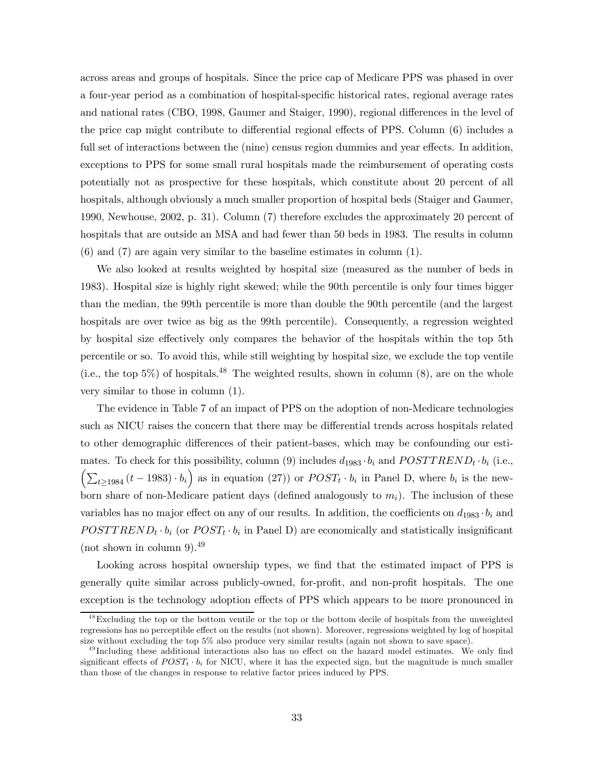across areas and groups of hospitals. Since the price cap of Medicare PPS was phased in over a four-year period as a combination of hospital-specific historical rates, regional average rates and national rates (CBO, 1998, Gaumer and Staiger, 1990), regional differences in the level of the price cap might contribute to differential regional effects of PPS. Column (6) includes a full set of interactions between the (nine) census region dummies and year effects. In addition, exceptions to PPS for some small rural hospitals made the reimbursement of operating costs potentially not as prospective for these hospitals, which constitute about 20 percent of all hospitals, although obviously a much smaller proportion of hospital beds (Staiger and Gaumer, 1990, Newhouse, 2002, p. 31). Column (7) therefore excludes the approximately 20 percent of hospitals that are outside an MSA and had fewer than 50 beds in 1983. The results in column (6) and (7) are again very similar to the baseline estimates in column (1).

We also looked at results weighted by hospital size (measured as the number of beds in 1983). Hospital size is highly right skewed; while the 90th percentile is only four times bigger than the median, the 99th percentile is more than double the 90th percentile (and the largest hospitals are over twice as big as the 99th percentile). Consequently, a regression weighted by hospital size effectively only compares the behavior of the hospitals within the top 5th percentile or so. To avoid this, while still weighting by hospital size, we exclude the top ventile (i.e., the top  $5\%$ ) of hospitals.<sup>48</sup> The weighted results, shown in column (8), are on the whole very similar to those in column (1).

The evidence in Table 7 of an impact of PPS on the adoption of non-Medicare technologies such as NICU raises the concern that there may be differential trends across hospitals related to other demographic differences of their patient-bases, which may be confounding our estimates. To check for this possibility, column (9) includes  $d_{1983} \cdot b_i$  and  $POSTTREND_t \cdot b_i$  (i.e.,  $\left(\sum_{t\geq 1984} (t-1983)\cdot b_i\right)$  as in equation (27)) or  $POST_t \cdot b_i$  in Panel D, where  $b_i$  is the newborn share of non-Medicare patient days (defined analogously to  $m_i$ ). The inclusion of these variables has no major effect on any of our results. In addition, the coefficients on  $d_{1983} \cdot b_i$  and  $POSTTREND_t \cdot b_i$  (or  $POST_t \cdot b_i$  in Panel D) are economically and statistically insignificant (not shown in column 9).<sup>49</sup>

Looking across hospital ownership types, we find that the estimated impact of PPS is generally quite similar across publicly-owned, for-profit, and non-profit hospitals. The one exception is the technology adoption effects of PPS which appears to be more pronounced in

<sup>&</sup>lt;sup>48</sup>Excluding the top or the bottom ventile or the top or the bottom decile of hospitals from the unweighted regressions has no perceptible effect on the results (not shown). Moreover, regressions weighted by log of hospital size without excluding the top 5% also produce very similar results (again not shown to save space).

<sup>&</sup>lt;sup>49</sup> Including these additional interactions also has no effect on the hazard model estimates. We only find significant effects of  $POST_t \cdot b_i$  for NICU, where it has the expected sign, but the magnitude is much smaller than those of the changes in response to relative factor prices induced by PPS.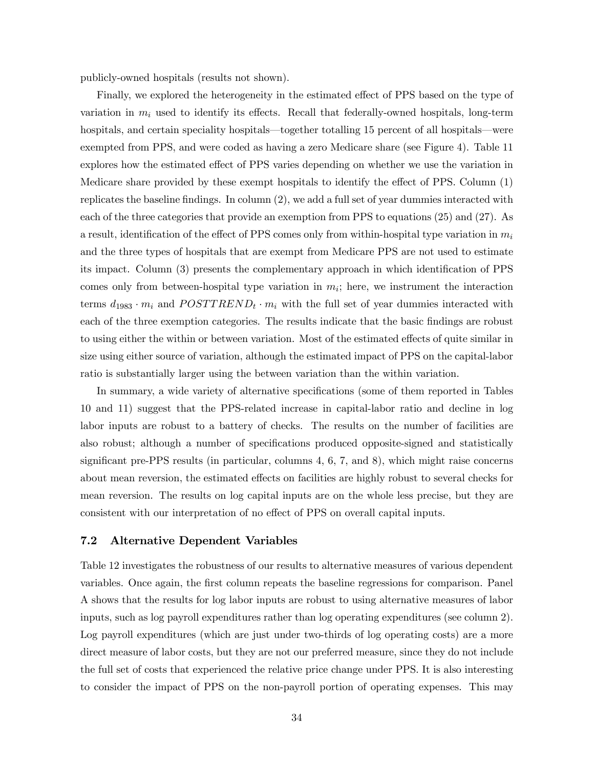publicly-owned hospitals (results not shown).

Finally, we explored the heterogeneity in the estimated effect of PPS based on the type of variation in  $m_i$  used to identify its effects. Recall that federally-owned hospitals, long-term hospitals, and certain speciality hospitals—together totalling 15 percent of all hospitals—were exempted from PPS, and were coded as having a zero Medicare share (see Figure 4). Table 11 explores how the estimated effect of PPS varies depending on whether we use the variation in Medicare share provided by these exempt hospitals to identify the effect of PPS. Column (1) replicates the baseline findings. In column (2), we add a full set of year dummies interacted with each of the three categories that provide an exemption from PPS to equations (25) and (27). As a result, identification of the effect of PPS comes only from within-hospital type variation in  $m_i$ and the three types of hospitals that are exempt from Medicare PPS are not used to estimate its impact. Column (3) presents the complementary approach in which identification of PPS comes only from between-hospital type variation in  $m_i$ ; here, we instrument the interaction terms  $d_{1983} \cdot m_i$  and  $POSTTREDD_t \cdot m_i$  with the full set of year dummies interacted with each of the three exemption categories. The results indicate that the basic findings are robust to using either the within or between variation. Most of the estimated effects of quite similar in size using either source of variation, although the estimated impact of PPS on the capital-labor ratio is substantially larger using the between variation than the within variation.

In summary, a wide variety of alternative specifications (some of them reported in Tables 10 and 11) suggest that the PPS-related increase in capital-labor ratio and decline in log labor inputs are robust to a battery of checks. The results on the number of facilities are also robust; although a number of specifications produced opposite-signed and statistically significant pre-PPS results (in particular, columns 4, 6, 7, and 8), which might raise concerns about mean reversion, the estimated effects on facilities are highly robust to several checks for mean reversion. The results on log capital inputs are on the whole less precise, but they are consistent with our interpretation of no effect of PPS on overall capital inputs.

#### 7.2 Alternative Dependent Variables

Table 12 investigates the robustness of our results to alternative measures of various dependent variables. Once again, the first column repeats the baseline regressions for comparison. Panel A shows that the results for log labor inputs are robust to using alternative measures of labor inputs, such as log payroll expenditures rather than log operating expenditures (see column 2). Log payroll expenditures (which are just under two-thirds of log operating costs) are a more direct measure of labor costs, but they are not our preferred measure, since they do not include the full set of costs that experienced the relative price change under PPS. It is also interesting to consider the impact of PPS on the non-payroll portion of operating expenses. This may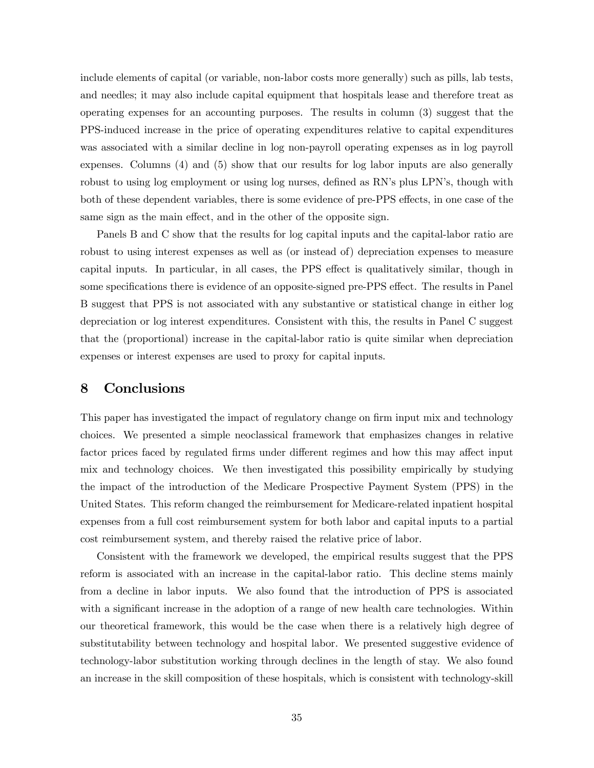include elements of capital (or variable, non-labor costs more generally) such as pills, lab tests, and needles; it may also include capital equipment that hospitals lease and therefore treat as operating expenses for an accounting purposes. The results in column (3) suggest that the PPS-induced increase in the price of operating expenditures relative to capital expenditures was associated with a similar decline in log non-payroll operating expenses as in log payroll expenses. Columns (4) and (5) show that our results for log labor inputs are also generally robust to using log employment or using log nurses, defined as RN's plus LPN's, though with both of these dependent variables, there is some evidence of pre-PPS effects, in one case of the same sign as the main effect, and in the other of the opposite sign.

Panels B and C show that the results for log capital inputs and the capital-labor ratio are robust to using interest expenses as well as (or instead of) depreciation expenses to measure capital inputs. In particular, in all cases, the PPS effect is qualitatively similar, though in some specifications there is evidence of an opposite-signed pre-PPS effect. The results in Panel B suggest that PPS is not associated with any substantive or statistical change in either log depreciation or log interest expenditures. Consistent with this, the results in Panel C suggest that the (proportional) increase in the capital-labor ratio is quite similar when depreciation expenses or interest expenses are used to proxy for capital inputs.

### 8 Conclusions

This paper has investigated the impact of regulatory change on firm input mix and technology choices. We presented a simple neoclassical framework that emphasizes changes in relative factor prices faced by regulated firms under different regimes and how this may affect input mix and technology choices. We then investigated this possibility empirically by studying the impact of the introduction of the Medicare Prospective Payment System (PPS) in the United States. This reform changed the reimbursement for Medicare-related inpatient hospital expenses from a full cost reimbursement system for both labor and capital inputs to a partial cost reimbursement system, and thereby raised the relative price of labor.

Consistent with the framework we developed, the empirical results suggest that the PPS reform is associated with an increase in the capital-labor ratio. This decline stems mainly from a decline in labor inputs. We also found that the introduction of PPS is associated with a significant increase in the adoption of a range of new health care technologies. Within our theoretical framework, this would be the case when there is a relatively high degree of substitutability between technology and hospital labor. We presented suggestive evidence of technology-labor substitution working through declines in the length of stay. We also found an increase in the skill composition of these hospitals, which is consistent with technology-skill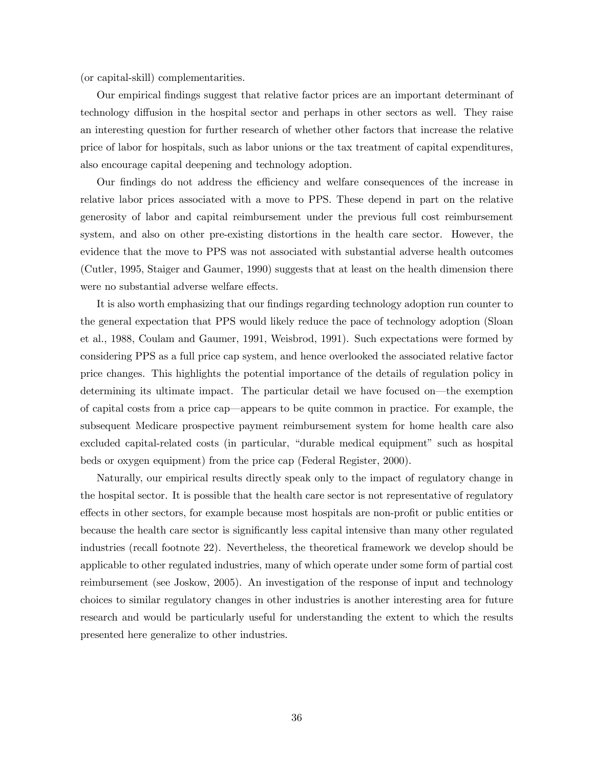(or capital-skill) complementarities.

Our empirical findings suggest that relative factor prices are an important determinant of technology diffusion in the hospital sector and perhaps in other sectors as well. They raise an interesting question for further research of whether other factors that increase the relative price of labor for hospitals, such as labor unions or the tax treatment of capital expenditures, also encourage capital deepening and technology adoption.

Our findings do not address the efficiency and welfare consequences of the increase in relative labor prices associated with a move to PPS. These depend in part on the relative generosity of labor and capital reimbursement under the previous full cost reimbursement system, and also on other pre-existing distortions in the health care sector. However, the evidence that the move to PPS was not associated with substantial adverse health outcomes (Cutler, 1995, Staiger and Gaumer, 1990) suggests that at least on the health dimension there were no substantial adverse welfare effects.

It is also worth emphasizing that our findings regarding technology adoption run counter to the general expectation that PPS would likely reduce the pace of technology adoption (Sloan et al., 1988, Coulam and Gaumer, 1991, Weisbrod, 1991). Such expectations were formed by considering PPS as a full price cap system, and hence overlooked the associated relative factor price changes. This highlights the potential importance of the details of regulation policy in determining its ultimate impact. The particular detail we have focused on–the exemption of capital costs from a price cap–appears to be quite common in practice. For example, the subsequent Medicare prospective payment reimbursement system for home health care also excluded capital-related costs (in particular, "durable medical equipment" such as hospital beds or oxygen equipment) from the price cap (Federal Register, 2000).

Naturally, our empirical results directly speak only to the impact of regulatory change in the hospital sector. It is possible that the health care sector is not representative of regulatory effects in other sectors, for example because most hospitals are non-profit or public entities or because the health care sector is significantly less capital intensive than many other regulated industries (recall footnote 22). Nevertheless, the theoretical framework we develop should be applicable to other regulated industries, many of which operate under some form of partial cost reimbursement (see Joskow, 2005). An investigation of the response of input and technology choices to similar regulatory changes in other industries is another interesting area for future research and would be particularly useful for understanding the extent to which the results presented here generalize to other industries.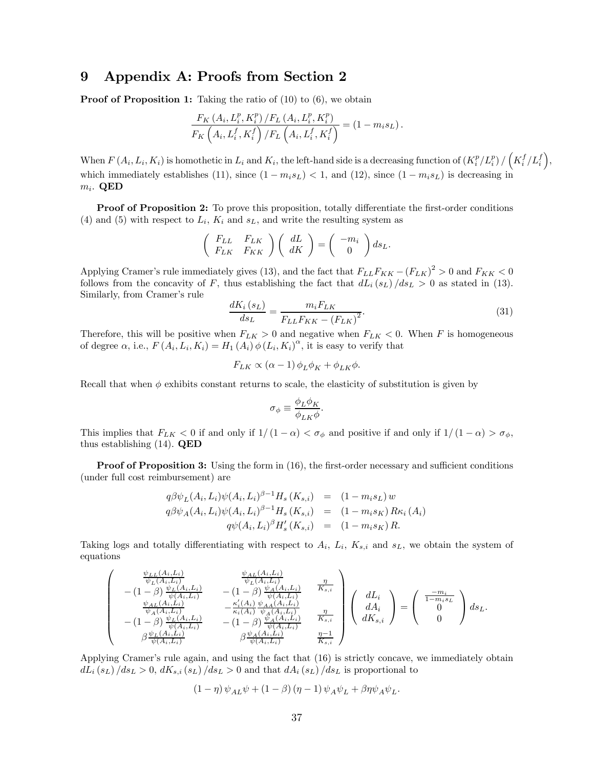### 9 Appendix A: Proofs from Section 2

**Proof of Proposition 1:** Taking the ratio of (10) to (6), we obtain

$$
\frac{F_K\left(A_i, L_i^p, K_i^p\right)/F_L\left(A_i, L_i^p, K_i^p\right)}{F_K\left(A_i, L_i^f, K_i^f\right)/F_L\left(A_i, L_i^f, K_i^f\right)} = (1 - m_i s_L).
$$

When  $F(A_i, L_i, K_i)$  is homothetic in  $L_i$  and  $K_i$ , the left-hand side is a decreasing function of  $(K_i^p/L_i^p) / (K_i^f/L_i^f)$ , which immediately establishes (11), since  $(1 - m_i s_L) < 1$ , and (12), since  $(1 - m_i s_L)$  is decreasing in  $m_i$ . QED

Proof of Proposition 2: To prove this proposition, totally differentiate the first-order conditions (4) and (5) with respect to  $L_i$ ,  $K_i$  and  $s_L$ , and write the resulting system as

$$
\left(\begin{array}{cc} F_{LL} & F_{LK} \\ F_{LK} & F_{KK} \end{array}\right) \left(\begin{array}{c} dL \\ dK \end{array}\right) = \left(\begin{array}{c} -m_i \\ 0 \end{array}\right) ds_L.
$$

Applying Cramer's rule immediately gives (13), and the fact that  $F_{LL}F_{KK} - (F_{LK})^2 > 0$  and  $F_{KK} < 0$ follows from the concavity of F, thus establishing the fact that  $dL_i(s_L)/ds_L > 0$  as stated in (13). Similarly, from Cramer's rule

$$
\frac{dK_i(s_L)}{ds_L} = \frac{m_i F_{LK}}{F_{LL} F_{KK} - (F_{LK})^2}.
$$
\n(31)

Therefore, this will be positive when  $F_{LK} > 0$  and negative when  $F_{LK} < 0$ . When F is homogeneous of degree  $\alpha$ , i.e.,  $F(A_i, L_i, K_i) = H_1(A_i) \phi(L_i, K_i)^{\alpha}$ , it is easy to verify that

$$
F_{LK} \propto (\alpha - 1) \phi_L \phi_K + \phi_{LK} \phi.
$$

Recall that when  $\phi$  exhibits constant returns to scale, the elasticity of substitution is given by

$$
\sigma_{\phi} \equiv \frac{\phi_L \phi_K}{\phi_{LK} \phi}.
$$

This implies that  $F_{LK} < 0$  if and only if  $1/(1 - \alpha) < \sigma_{\phi}$  and positive if and only if  $1/(1 - \alpha) > \sigma_{\phi}$ , thus establishing (14). QED

**Proof of Proposition 3:** Using the form in (16), the first-order necessary and sufficient conditions (under full cost reimbursement) are

$$
q\beta\psi_L(A_i, L_i)\psi(A_i, L_i)^{\beta-1}H_s(K_{s,i}) = (1 - m_i s_L) w
$$
  
\n
$$
q\beta\psi_A(A_i, L_i)\psi(A_i, L_i)^{\beta-1}H_s(K_{s,i}) = (1 - m_i s_K) R\kappa_i(A_i)
$$
  
\n
$$
q\psi(A_i, L_i)^{\beta}H'_s(K_{s,i}) = (1 - m_i s_K) R.
$$

Taking logs and totally differentiating with respect to  $A_i$ ,  $L_i$ ,  $K_{s,i}$  and  $s_L$ , we obtain the system of equations

$$
\begin{pmatrix}\n\frac{\psi_{LL}(A_i, L_i)}{\psi_L(A_i, L_i)} & \frac{\psi_{AL}(A_i, L_i)}{\psi_L(A_i, L_i)} \\
-(1-\beta) \frac{\psi_L(A_i, L_i)}{\psi_A(A_i, L_i)} & -(1-\beta) \frac{\psi_A(A_i, L_i)}{\psi_A(A_i, L_i)} \\
\frac{\psi_{AL}(A_i, L_i)}{\psi_A(A_i, L_i)} & -\frac{\kappa'_i(A_i)}{\kappa_i(A_i)} \frac{\psi_{AA}(A_i, L_i)}{\psi_A(A_i, L_i)} \\
-(1-\beta) \frac{\psi_L(A_i, L_i)}{\psi_A(A_i, L_i)} & -(1-\beta) \frac{\psi_A(A_i, L_i)}{\psi_A(A_i, L_i)} \\
\beta \frac{\psi_L(A_i, L_i)}{\psi(A_i, L_i)} & \beta \frac{\psi_A(A_i, L_i)}{\psi(A_i, L_i)} & \frac{\eta-1}{K_{s,i}}\n\end{pmatrix}\n\begin{pmatrix}\ndL_i \\
dA_i \\
dK_{s,i}\n\end{pmatrix} = \begin{pmatrix}\n\frac{-m_i}{1 - m_i s_L} \\
0 \\
0\n\end{pmatrix} ds_L.\n\end{pmatrix}
$$

Applying Cramer's rule again, and using the fact that (16) is strictly concave, we immediately obtain  $dL_i(s_L)/ds_L > 0$ ,  $dK_{s,i}(s_L)/ds_L > 0$  and that  $dA_i(s_L)/ds_L$  is proportional to

$$
(1 - \eta) \psi_{AL} \psi + (1 - \beta) (\eta - 1) \psi_A \psi_L + \beta \eta \psi_A \psi_L.
$$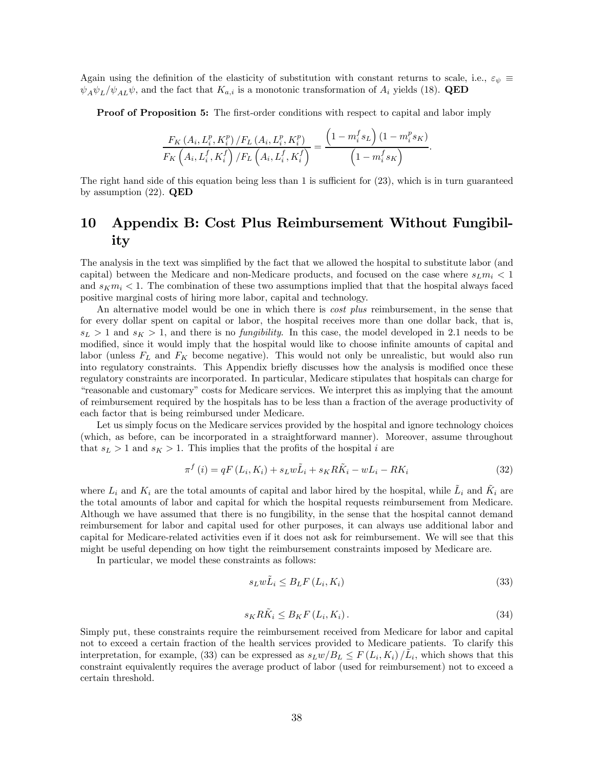Again using the definition of the elasticity of substitution with constant returns to scale, i.e.,  $\varepsilon_{\psi} \equiv$  $\psi_A \psi_L / \psi_{AL} \psi$ , and the fact that  $K_{a,i}$  is a monotonic transformation of  $A_i$  yields (18). **QED** 

Proof of Proposition 5: The first-order conditions with respect to capital and labor imply

$$
\frac{F_K\left(A_i, L_i^p, K_i^p\right)/F_L\left(A_i, L_i^p, K_i^p\right)}{F_K\left(A_i, L_i^f, K_i^f\right)/F_L\left(A_i, L_i^f, K_i^f\right)} = \frac{\left(1 - m_i^f s_L\right)\left(1 - m_i^p s_K\right)}{\left(1 - m_i^f s_K\right)}.
$$

The right hand side of this equation being less than 1 is sufficient for (23), which is in turn guaranteed by assumption  $(22)$ . QED

# 10 Appendix B: Cost Plus Reimbursement Without Fungibility

The analysis in the text was simplified by the fact that we allowed the hospital to substitute labor (and capital) between the Medicare and non-Medicare products, and focused on the case where  $s_L m_i < 1$ and  $s_K m_i < 1$ . The combination of these two assumptions implied that that the hospital always faced positive marginal costs of hiring more labor, capital and technology.

An alternative model would be one in which there is *cost plus* reimbursement, in the sense that for every dollar spent on capital or labor, the hospital receives more than one dollar back, that is,  $s_L > 1$  and  $s_K > 1$ , and there is no *fungibility*. In this case, the model developed in 2.1 needs to be modified, since it would imply that the hospital would like to choose infinite amounts of capital and labor (unless  $F_L$  and  $F_K$  become negative). This would not only be unrealistic, but would also run into regulatory constraints. This Appendix briefly discusses how the analysis is modified once these regulatory constraints are incorporated. In particular, Medicare stipulates that hospitals can charge for "reasonable and customary" costs for Medicare services. We interpret this as implying that the amount of reimbursement required by the hospitals has to be less than a fraction of the average productivity of each factor that is being reimbursed under Medicare.

Let us simply focus on the Medicare services provided by the hospital and ignore technology choices (which, as before, can be incorporated in a straightforward manner). Moreover, assume throughout that  $s_L > 1$  and  $s_K > 1$ . This implies that the profits of the hospital i are

$$
\pi^{f}\left(i\right) = qF\left(L_{i}, K_{i}\right) + s_{L}w\tilde{L}_{i} + s_{K}R\tilde{K}_{i} - wL_{i} - RK_{i}
$$
\n
$$
\tag{32}
$$

where  $L_i$  and  $K_i$  are the total amounts of capital and labor hired by the hospital, while  $\dot{L}_i$  and  $\dot{K}_i$  are the total amounts of labor and capital for which the hospital requests reimbursement from Medicare. Although we have assumed that there is no fungibility, in the sense that the hospital cannot demand reimbursement for labor and capital used for other purposes, it can always use additional labor and capital for Medicare-related activities even if it does not ask for reimbursement. We will see that this might be useful depending on how tight the reimbursement constraints imposed by Medicare are.

In particular, we model these constraints as follows:

$$
s_L w \tilde{L}_i \leq B_L F \left( L_i, K_i \right) \tag{33}
$$

$$
s_K R\tilde{K}_i \leq B_K F\left(L_i, K_i\right). \tag{34}
$$

Simply put, these constraints require the reimbursement received from Medicare for labor and capital not to exceed a certain fraction of the health services provided to Medicare patients. To clarify this interpretation, for example, (33) can be expressed as  $s_L w / B_L \leq F(L_i, K_i) / L_i$ , which shows that this constraint equivalently requires the average product of labor (used for reimbursement) not to exceed a certain threshold.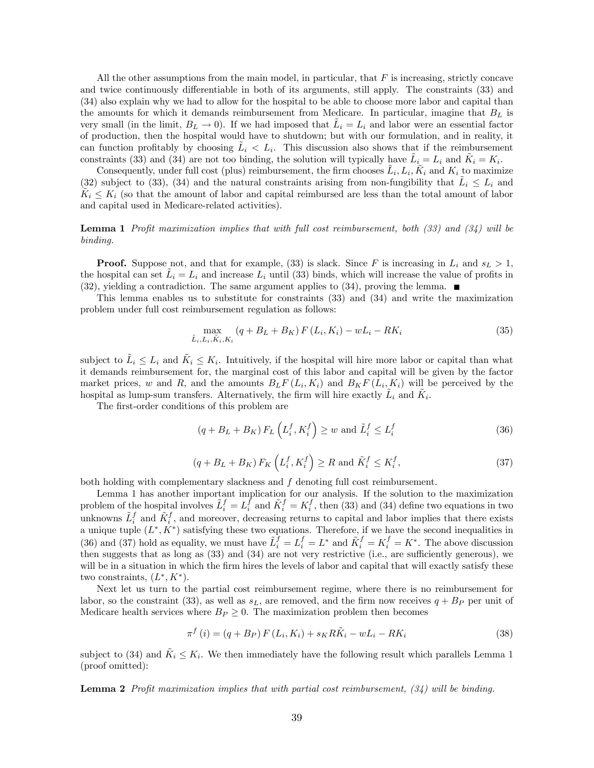All the other assumptions from the main model, in particular, that  $F$  is increasing, strictly concave and twice continuously differentiable in both of its arguments, still apply. The constraints (33) and (34) also explain why we had to allow for the hospital to be able to choose more labor and capital than the amounts for which it demands reimbursement from Medicare. In particular, imagine that  $B_L$  is very small (in the limit,  $B_L \to 0$ ). If we had imposed that  $L_i = L_i$  and labor were an essential factor of production, then the hospital would have to shutdown; but with our formulation, and in reality, it can function profitably by choosing  $\tilde{L}_i < L_i$ . This discussion also shows that if the reimbursement constraints (33) and (34) are not too binding, the solution will typically have  $\tilde{L}_i = L_i$  and  $\tilde{K}_i = K_i$ .

Consequently, under full cost (plus) reimbursement, the firm chooses  $\hat{L}_i, L_i, \hat{K}_i$  and  $K_i$  to maximize (32) subject to (33), (34) and the natural constraints arising from non-fungibility that  $\tilde{L}_i \leq L_i$  and  $K_i \nleq K_i$  (so that the amount of labor and capital reimbursed are less than the total amount of labor and capital used in Medicare-related activities).

**Lemma 1** Profit maximization implies that with full cost reimbursement, both  $(33)$  and  $(34)$  will be binding.

**Proof.** Suppose not, and that for example, (33) is slack. Since F is increasing in  $L_i$  and  $s_L > 1$ , the hospital can set  $L_i = L_i$  and increase  $L_i$  until (33) binds, which will increase the value of profits in  $(32)$ , yielding a contradiction. The same argument applies to  $(34)$ , proving the lemma.

This lemma enables us to substitute for constraints (33) and (34) and write the maximization problem under full cost reimbursement regulation as follows:

$$
\max_{\tilde{L}_i, L_i, \tilde{K}_i, K_i} (q + B_L + B_K) F(L_i, K_i) - wL_i - RK_i
$$
\n(35)

subject to  $\tilde{L}_i \leq L_i$  and  $\tilde{K}_i \leq K_i$ . Intuitively, if the hospital will hire more labor or capital than what it demands reimbursement for, the marginal cost of this labor and capital will be given by the factor market prices, w and R, and the amounts  $B_L F(L_i, K_i)$  and  $B_K F(L_i, K_i)$  will be perceived by the hospital as lump-sum transfers. Alternatively, the firm will hire exactly  $\hat{L}_i$  and  $\hat{K}_i$ .

The first-order conditions of this problem are

$$
(q + B_L + B_K) F_L \left( L_i^f, K_i^f \right) \ge w \text{ and } \tilde{L}_i^f \le L_i^f \tag{36}
$$

$$
(q + B_L + B_K) F_K \left( L_i^f, K_i^f \right) \ge R \text{ and } \tilde{K}_i^f \le K_i^f,
$$
\n
$$
(37)
$$

both holding with complementary slackness and f denoting full cost reimbursement.

Lemma 1 has another important implication for our analysis. If the solution to the maximization problem of the hospital involves  $\tilde{L}_i^f = L_i^f$  and  $\tilde{K}_i^f = K_i^f$ , then (33) and (34) define two equations in two unknowns  $\tilde{L}_i^f$  and  $\tilde{K}_i^f$ , and moreover, decreasing returns to capital and labor implies that there exists a unique tuple  $(L^*, K^*)$  satisfying these two equations. Therefore, if we have the second inequalities in (36) and (37) hold as equality, we must have  $\tilde{L}_i^f = L_i^f = L^*$  and  $\tilde{K}_i^f = K_i^f = K^*$ . The above discussion then suggests that as long as (33) and (34) are not very restrictive (i.e., are sufficiently generous), we will be in a situation in which the firm hires the levels of labor and capital that will exactly satisfy these two constraints,  $(L^*, K^*)$ .

Next let us turn to the partial cost reimbursement regime, where there is no reimbursement for labor, so the constraint (33), as well as  $s<sub>L</sub>$ , are removed, and the firm now receives  $q + B<sub>P</sub>$  per unit of Medicare health services where  $B_P \geq 0$ . The maximization problem then becomes

$$
\pi^{f}(i) = (q + B_{P}) F(L_{i}, K_{i}) + s_{K} R \tilde{K}_{i} - w L_{i} - R K_{i}
$$
\n(38)

subject to (34) and  $K_i \leq K_i$ . We then immediately have the following result which parallels Lemma 1 (proof omitted):

**Lemma 2** Profit maximization implies that with partial cost reimbursement,  $(34)$  will be binding.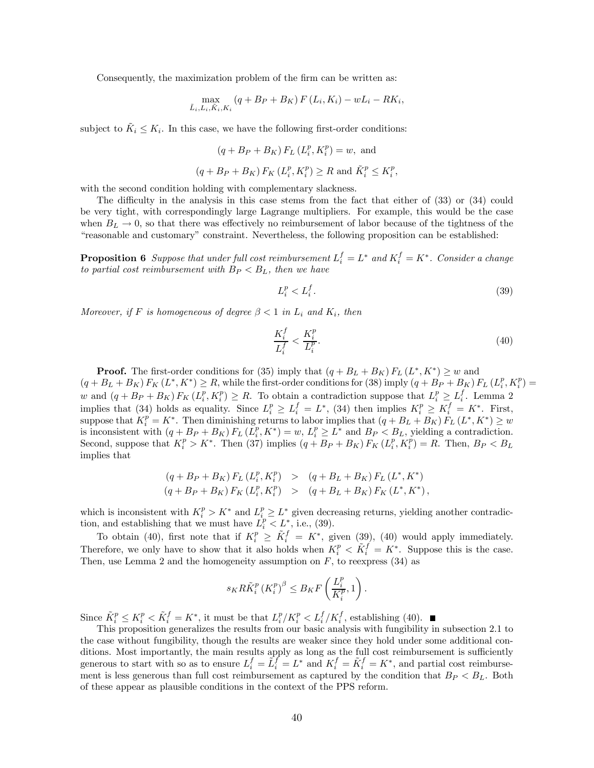Consequently, the maximization problem of the firm can be written as:

$$
\max_{\tilde{L}_{i}, L_{i}, \tilde{K}_{i}, K_{i}} (q + B_{P} + B_{K}) F (L_{i}, K_{i}) - wL_{i} - RK_{i},
$$

subject to  $K_i \leq K_i$ . In this case, we have the following first-order conditions:

$$
(q + B_P + B_K) F_L (L_i^p, K_i^p) = w
$$
, and  
 $(q + B_P + B_K) F_K (L_i^p, K_i^p) \ge R$  and  $\tilde{K}_i^p \le K_i^p$ ,

with the second condition holding with complementary slackness.

The difficulty in the analysis in this case stems from the fact that either of (33) or (34) could be very tight, with correspondingly large Lagrange multipliers. For example, this would be the case when  $B_L \to 0$ , so that there was effectively no reimbursement of labor because of the tightness of the "reasonable and customary" constraint. Nevertheless, the following proposition can be established:

**Proposition 6** Suppose that under full cost reimbursement  $L_i^f = L^*$  and  $K_i^f = K^*$ . Consider a change to partial cost reimbursement with  $B_P < B_L$ , then we have

$$
L_i^p < L_i^f. \tag{39}
$$

Moreover, if F is homogeneous of degree  $\beta < 1$  in  $L_i$  and  $K_i$ , then

$$
\frac{K_i^f}{L_i^f} < \frac{K_i^p}{L_i^p}.\tag{40}
$$

**Proof.** The first-order conditions for (35) imply that  $(q + B_L + B_K) F_L (L^*, K^*) \geq w$  and  $(q + B_L + B_K) F_K (L^*, K^*) \ge R$ , while the first-order conditions for (38) imply  $(q + B_P + B_K) F_L (L_i^p, K_i^p) =$ w and  $(q + B_P + B_K) F_K (L_i^p, K_i^p) \ge R$ . To obtain a contradiction suppose that  $L_i^p \ge L_i^f$ . Lemma 2 implies that (34) holds as equality. Since  $L_i^p \ge L_i^f = L^*$ , (34) then implies  $K_i^p \ge K_i^f = K^*$ . First, suppose that  $K_i^p = K^*$ . Then diminishing returns to labor implies that  $(q + B_L + B_K) F_L (L^*, K^*) \geq w$ is inconsistent with  $(q + B_P + B_K) F_L (L_i^p, K^*) = w, L_i^p \geq L^*$  and  $B_P < B_L$ , yielding a contradiction. Second, suppose that  $K_i^p > K^*$ . Then (37) implies  $(q + B_P + B_K) F_K(L_i^p, K_i^p) = R$ . Then,  $B_P < B_L$ implies that

$$
(q + B_P + B_K) F_L (L_i^p, K_i^p) > (q + B_L + B_K) F_L (L^*, K^*)
$$
  

$$
(q + B_P + B_K) F_K (L_i^p, K_i^p) > (q + B_L + B_K) F_K (L^*, K^*)
$$

which is inconsistent with  $K_i^p > K^*$  and  $L_i^p \geq L^*$  given decreasing returns, yielding another contradiction, and establishing that we must have  $\dot{L}_i^p < L^*$ , i.e., (39).

To obtain (40), first note that if  $K_i^p \geq \tilde{K}_i^f = K^*$ , given (39), (40) would apply immediately. Therefore, we only have to show that it also holds when  $K_i^p < \tilde{K}_i^f = K^*$ . Suppose this is the case. Then, use Lemma 2 and the homogeneity assumption on  $F$ , to reexpress (34) as

$$
s_K R \tilde{K}_i^p \left( K_i^p \right)^{\beta} \leq B_K F \left( \frac{L_i^p}{K_i^p}, 1 \right).
$$

Since  $\tilde{K}_i^p \le K_i^p < \tilde{K}_i^f = K^*$ , it must be that  $L_i^p / K_i^p < L_i^f / K_i^f$ , establishing (40).

This proposition generalizes the results from our basic analysis with fungibility in subsection 2.1 to the case without fungibility, though the results are weaker since they hold under some additional conditions. Most importantly, the main results apply as long as the full cost reimbursement is sufficiently generous to start with so as to ensure  $L_i^f = \tilde{L}_i^f = L^*$  and  $K_i^f = \tilde{K}_i^f = K^*$ , and partial cost reimbursement is less generous than full cost reimbursement as captured by the condition that  $B_P < B_L$ . Both of these appear as plausible conditions in the context of the PPS reform.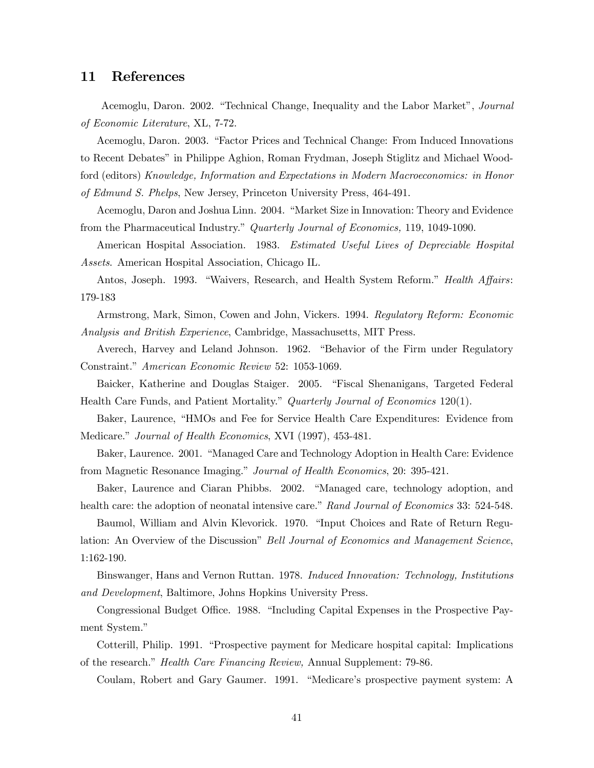### 11 References

Acemoglu, Daron. 2002. "Technical Change, Inequality and the Labor Market", Journal of Economic Literature, XL, 7-72.

Acemoglu, Daron. 2003. "Factor Prices and Technical Change: From Induced Innovations to Recent Debates" in Philippe Aghion, Roman Frydman, Joseph Stiglitz and Michael Woodford (editors) Knowledge, Information and Expectations in Modern Macroeconomics: in Honor

of Edmund S. Phelps, New Jersey, Princeton University Press, 464-491.

Acemoglu, Daron and Joshua Linn. 2004. "Market Size in Innovation: Theory and Evidence from the Pharmaceutical Industry." Quarterly Journal of Economics, 119, 1049-1090.

American Hospital Association. 1983. Estimated Useful Lives of Depreciable Hospital Assets. American Hospital Association, Chicago IL.

Antos, Joseph. 1993. "Waivers, Research, and Health System Reform." Health Affairs: 179-183

Armstrong, Mark, Simon, Cowen and John, Vickers. 1994. Regulatory Reform: Economic Analysis and British Experience, Cambridge, Massachusetts, MIT Press.

Averech, Harvey and Leland Johnson. 1962. "Behavior of the Firm under Regulatory Constraint." American Economic Review 52: 1053-1069.

Baicker, Katherine and Douglas Staiger. 2005. "Fiscal Shenanigans, Targeted Federal Health Care Funds, and Patient Mortality." Quarterly Journal of Economics 120(1).

Baker, Laurence, "HMOs and Fee for Service Health Care Expenditures: Evidence from Medicare." Journal of Health Economics, XVI (1997), 453-481.

Baker, Laurence. 2001. "Managed Care and Technology Adoption in Health Care: Evidence from Magnetic Resonance Imaging." Journal of Health Economics, 20: 395-421.

Baker, Laurence and Ciaran Phibbs. 2002. "Managed care, technology adoption, and health care: the adoption of neonatal intensive care." Rand Journal of Economics 33: 524-548.

Baumol, William and Alvin Klevorick. 1970. "Input Choices and Rate of Return Regulation: An Overview of the Discussion" Bell Journal of Economics and Management Science, 1:162-190.

Binswanger, Hans and Vernon Ruttan. 1978. Induced Innovation: Technology, Institutions and Development, Baltimore, Johns Hopkins University Press.

Congressional Budget Office. 1988. "Including Capital Expenses in the Prospective Payment System."

Cotterill, Philip. 1991. "Prospective payment for Medicare hospital capital: Implications of the research." Health Care Financing Review, Annual Supplement: 79-86.

Coulam, Robert and Gary Gaumer. 1991. "Medicare's prospective payment system: A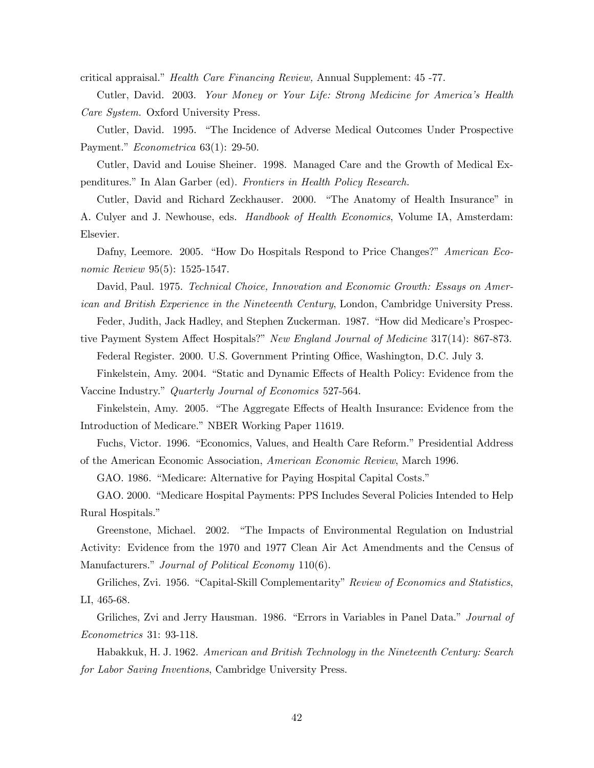critical appraisal." Health Care Financing Review, Annual Supplement: 45 -77.

Cutler, David. 2003. Your Money or Your Life: Strong Medicine for America's Health Care System. Oxford University Press.

Cutler, David. 1995. "The Incidence of Adverse Medical Outcomes Under Prospective Payment." Econometrica 63(1): 29-50.

Cutler, David and Louise Sheiner. 1998. Managed Care and the Growth of Medical Expenditures." In Alan Garber (ed). Frontiers in Health Policy Research.

Cutler, David and Richard Zeckhauser. 2000. "The Anatomy of Health Insurance" in A. Culyer and J. Newhouse, eds. Handbook of Health Economics, Volume IA, Amsterdam: Elsevier.

Dafny, Leemore. 2005. "How Do Hospitals Respond to Price Changes?" American Economic Review 95(5): 1525-1547.

David, Paul. 1975. Technical Choice, Innovation and Economic Growth: Essays on American and British Experience in the Nineteenth Century, London, Cambridge University Press.

Feder, Judith, Jack Hadley, and Stephen Zuckerman. 1987. "How did Medicare's Prospec-

tive Payment System Affect Hospitals?" New England Journal of Medicine 317(14): 867-873. Federal Register. 2000. U.S. Government Printing Office, Washington, D.C. July 3. Finkelstein, Amy. 2004. "Static and Dynamic Effects of Health Policy: Evidence from the

Vaccine Industry." Quarterly Journal of Economics 527-564.

Finkelstein, Amy. 2005. "The Aggregate Effects of Health Insurance: Evidence from the Introduction of Medicare." NBER Working Paper 11619.

Fuchs, Victor. 1996. "Economics, Values, and Health Care Reform." Presidential Address of the American Economic Association, American Economic Review, March 1996.

GAO. 1986. "Medicare: Alternative for Paying Hospital Capital Costs."

GAO. 2000. "Medicare Hospital Payments: PPS Includes Several Policies Intended to Help Rural Hospitals."

Greenstone, Michael. 2002. "The Impacts of Environmental Regulation on Industrial Activity: Evidence from the 1970 and 1977 Clean Air Act Amendments and the Census of Manufacturers." *Journal of Political Economy* 110(6).

Griliches, Zvi. 1956. "Capital-Skill Complementarity" Review of Economics and Statistics, LI, 465-68.

Griliches, Zvi and Jerry Hausman. 1986. "Errors in Variables in Panel Data." Journal of Econometrics 31: 93-118.

Habakkuk, H. J. 1962. American and British Technology in the Nineteenth Century: Search for Labor Saving Inventions, Cambridge University Press.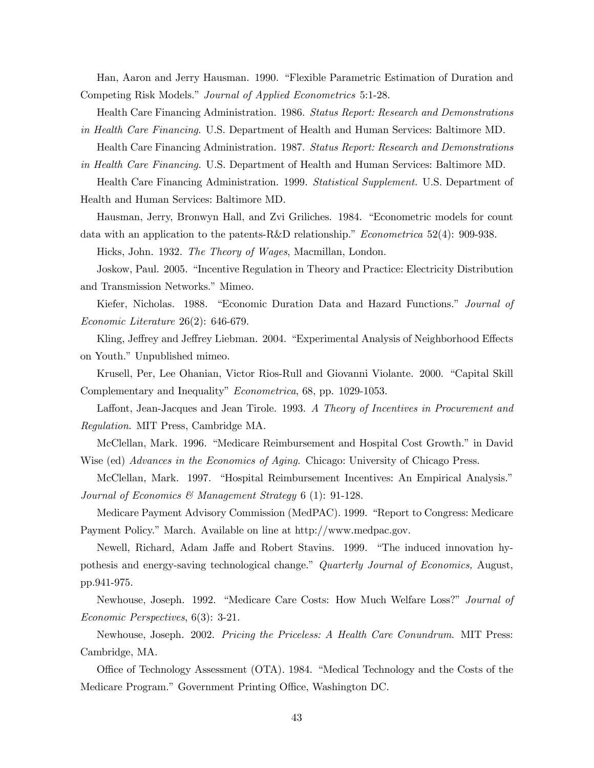Han, Aaron and Jerry Hausman. 1990. "Flexible Parametric Estimation of Duration and Competing Risk Models." Journal of Applied Econometrics 5:1-28.

Health Care Financing Administration. 1986. Status Report: Research and Demonstrations

in Health Care Financing. U.S. Department of Health and Human Services: Baltimore MD. Health Care Financing Administration. 1987. Status Report: Research and Demonstrations

in Health Care Financing. U.S. Department of Health and Human Services: Baltimore MD. Health Care Financing Administration. 1999. Statistical Supplement. U.S. Department of Health and Human Services: Baltimore MD.

Hausman, Jerry, Bronwyn Hall, and Zvi Griliches. 1984. "Econometric models for count data with an application to the patents-R&D relationship." Econometrica 52(4): 909-938.

Hicks, John. 1932. The Theory of Wages, Macmillan, London.

Joskow, Paul. 2005. "Incentive Regulation in Theory and Practice: Electricity Distribution and Transmission Networks." Mimeo.

Kiefer, Nicholas. 1988. "Economic Duration Data and Hazard Functions." Journal of Economic Literature 26(2): 646-679.

Kling, Jeffrey and Jeffrey Liebman. 2004. "Experimental Analysis of Neighborhood Effects on Youth." Unpublished mimeo.

Krusell, Per, Lee Ohanian, Victor Rios-Rull and Giovanni Violante. 2000. "Capital Skill Complementary and Inequality" Econometrica, 68, pp. 1029-1053.

Laffont, Jean-Jacques and Jean Tirole. 1993. A Theory of Incentives in Procurement and Regulation. MIT Press, Cambridge MA.

McClellan, Mark. 1996. "Medicare Reimbursement and Hospital Cost Growth." in David Wise (ed) Advances in the Economics of Aging. Chicago: University of Chicago Press.

McClellan, Mark. 1997. "Hospital Reimbursement Incentives: An Empirical Analysis." Journal of Economics & Management Strategy 6 (1): 91-128.

Medicare Payment Advisory Commission (MedPAC). 1999. "Report to Congress: Medicare Payment Policy." March. Available on line at http://www.medpac.gov.

Newell, Richard, Adam Jaffe and Robert Stavins. 1999. "The induced innovation hypothesis and energy-saving technological change." Quarterly Journal of Economics, August, pp.941-975.

Newhouse, Joseph. 1992. "Medicare Care Costs: How Much Welfare Loss?" Journal of Economic Perspectives, 6(3): 3-21.

Newhouse, Joseph. 2002. Pricing the Priceless: A Health Care Conundrum. MIT Press: Cambridge, MA.

Office of Technology Assessment (OTA). 1984. "Medical Technology and the Costs of the Medicare Program." Government Printing Office, Washington DC.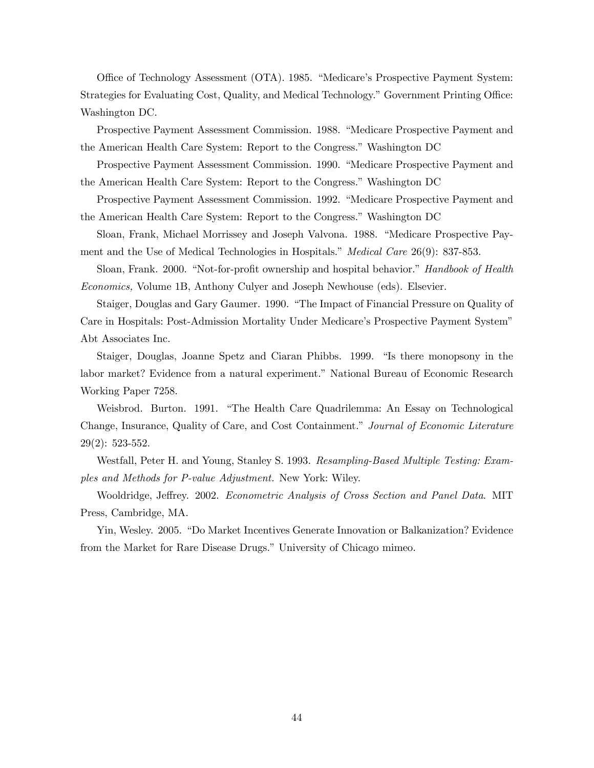Office of Technology Assessment (OTA). 1985. "Medicare's Prospective Payment System: Strategies for Evaluating Cost, Quality, and Medical Technology." Government Printing Office: Washington DC.

Prospective Payment Assessment Commission. 1988. "Medicare Prospective Payment and the American Health Care System: Report to the Congress." Washington DC

Prospective Payment Assessment Commission. 1990. "Medicare Prospective Payment and the American Health Care System: Report to the Congress." Washington DC

Prospective Payment Assessment Commission. 1992. "Medicare Prospective Payment and the American Health Care System: Report to the Congress." Washington DC

Sloan, Frank, Michael Morrissey and Joseph Valvona. 1988. "Medicare Prospective Payment and the Use of Medical Technologies in Hospitals." Medical Care 26(9): 837-853.

Sloan, Frank. 2000. "Not-for-profit ownership and hospital behavior." Handbook of Health Economics, Volume 1B, Anthony Culyer and Joseph Newhouse (eds). Elsevier.

Staiger, Douglas and Gary Gaumer. 1990. "The Impact of Financial Pressure on Quality of Care in Hospitals: Post-Admission Mortality Under Medicare's Prospective Payment System" Abt Associates Inc.

Staiger, Douglas, Joanne Spetz and Ciaran Phibbs. 1999. "Is there monopsony in the labor market? Evidence from a natural experiment." National Bureau of Economic Research Working Paper 7258.

Weisbrod. Burton. 1991. "The Health Care Quadrilemma: An Essay on Technological Change, Insurance, Quality of Care, and Cost Containment." Journal of Economic Literature 29(2): 523-552.

Westfall, Peter H. and Young, Stanley S. 1993. Resampling-Based Multiple Testing: Examples and Methods for P-value Adjustment. New York: Wiley.

Wooldridge, Jeffrey. 2002. Econometric Analysis of Cross Section and Panel Data. MIT Press, Cambridge, MA.

Yin, Wesley. 2005. "Do Market Incentives Generate Innovation or Balkanization? Evidence from the Market for Rare Disease Drugs." University of Chicago mimeo.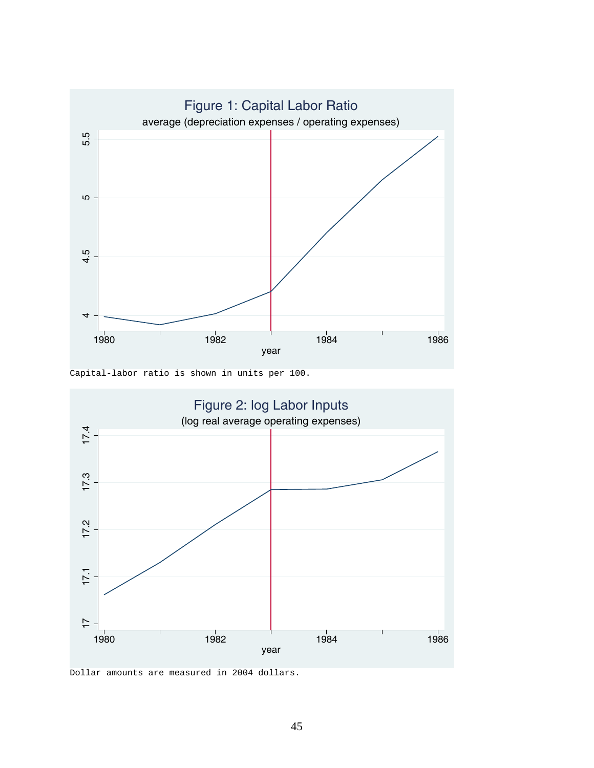

Capital-labor ratio is shown in units per 100.



Dollar amounts are measured in 2004 dollars.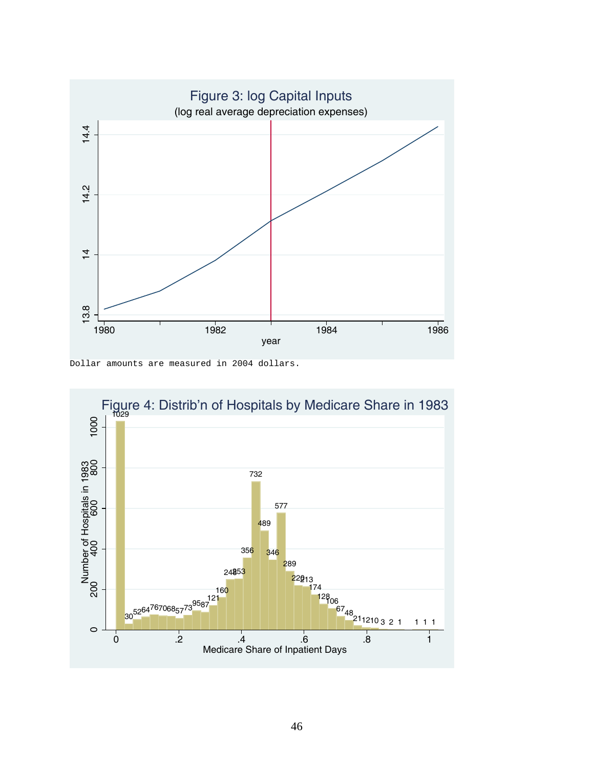

Dollar amounts are measured in 2004 dollars.

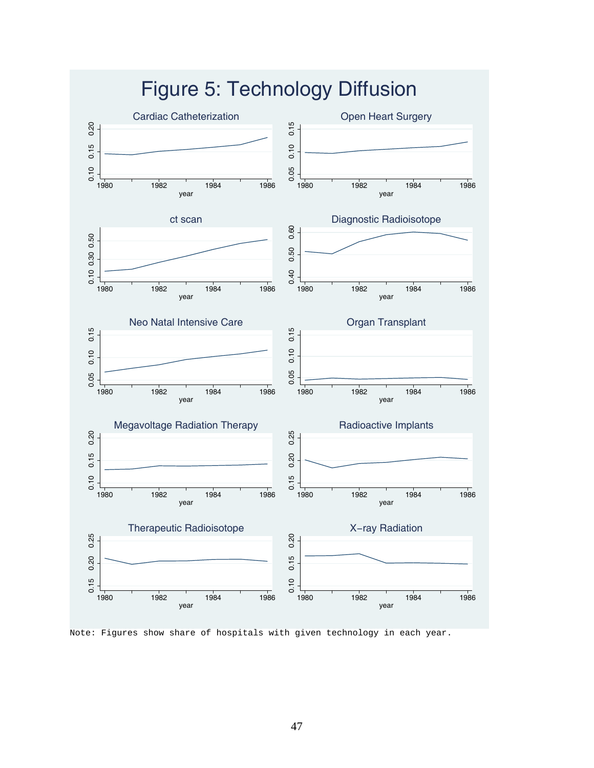

Note: Figures show share of hospitals with given technology in each year.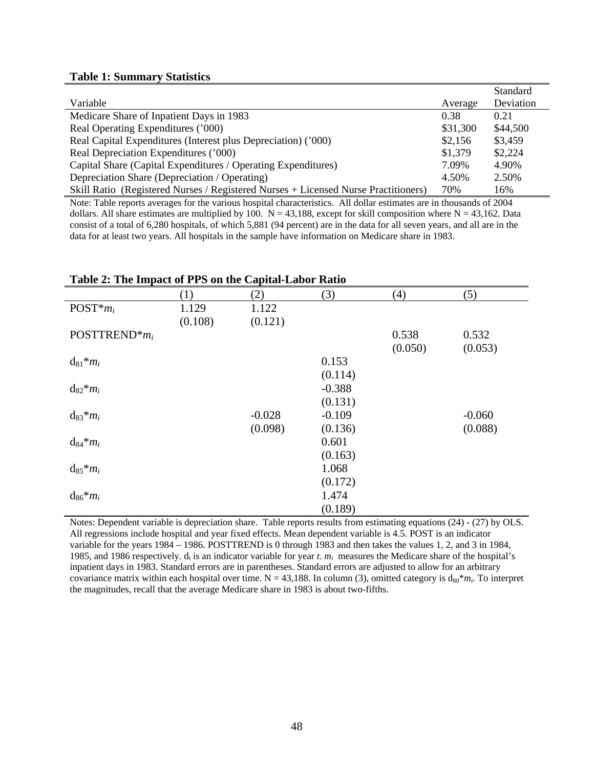### **Table 1: Summary Statistics**

|                                                                                    |          | Standard  |
|------------------------------------------------------------------------------------|----------|-----------|
| Variable                                                                           | Average  | Deviation |
| Medicare Share of Inpatient Days in 1983                                           | 0.38     | 0.21      |
| Real Operating Expenditures ('000)                                                 | \$31,300 | \$44,500  |
| Real Capital Expenditures (Interest plus Depreciation) ('000)                      | \$2,156  | \$3,459   |
| Real Depreciation Expenditures ('000)                                              | \$1,379  | \$2,224   |
| Capital Share (Capital Expenditures / Operating Expenditures)                      | 7.09%    | 4.90%     |
| Depreciation Share (Depreciation / Operating)                                      | 4.50%    | 2.50%     |
| Skill Ratio (Registered Nurses / Registered Nurses + Licensed Nurse Practitioners) | 70%      | 16%       |

Note: Table reports averages for the various hospital characteristics. All dollar estimates are in thousands of 2004 dollars. All share estimates are multiplied by 100.  $N = 43,188$ , except for skill composition where  $N = 43,162$ . Data consist of a total of 6,280 hospitals, of which 5,881 (94 percent) are in the data for all seven years, and all are in the data for at least two years. All hospitals in the sample have information on Medicare share in 1983.

| Table 2. The impact of TTD on the Capital-Labor Katio |         |          |          |         |          |  |
|-------------------------------------------------------|---------|----------|----------|---------|----------|--|
|                                                       | (1)     | (2)      | (3)      | (4)     | (5)      |  |
| $POST*mi$                                             | 1.129   | 1.122    |          |         |          |  |
|                                                       | (0.108) | (0.121)  |          |         |          |  |
| POSTTREND <sup>*</sup> $m_i$                          |         |          |          | 0.538   | 0.532    |  |
|                                                       |         |          |          | (0.050) | (0.053)  |  |
| $d_{81} * m_i$                                        |         |          | 0.153    |         |          |  |
|                                                       |         |          | (0.114)  |         |          |  |
| $d_{82} * m_i$                                        |         |          | $-0.388$ |         |          |  |
|                                                       |         |          | (0.131)  |         |          |  |
| $d_{83} * m_i$                                        |         | $-0.028$ | $-0.109$ |         | $-0.060$ |  |
|                                                       |         | (0.098)  | (0.136)  |         | (0.088)  |  |
| $d_{84} * m_i$                                        |         |          | 0.601    |         |          |  |
|                                                       |         |          | (0.163)  |         |          |  |
| $d_{85} * m_i$                                        |         |          | 1.068    |         |          |  |
|                                                       |         |          | (0.172)  |         |          |  |
| $d_{86} * m_i$                                        |         |          | 1.474    |         |          |  |
|                                                       |         |          | (0.189)  |         |          |  |

### **Table 2: The Impact of PPS on the Capital-Labor Ratio**

Notes: Dependent variable is depreciation share. Table reports results from estimating equations (24) - (27) by OLS. All regressions include hospital and year fixed effects. Mean dependent variable is 4.5. POST is an indicator variable for the years 1984 – 1986. POSTTREND is 0 through 1983 and then takes the values 1, 2, and 3 in 1984, 1985, and 1986 respectively.  $d<sub>t</sub>$  is an indicator variable for year *t. m<sub>i</sub>* measures the Medicare share of the hospital's inpatient days in 1983. Standard errors are in parentheses. Standard errors are adjusted to allow for an arbitrary covariance matrix within each hospital over time.  $N = 43,188$ . In column (3), omitted category is  $d_{80} * m_i$ . To interpret the magnitudes, recall that the average Medicare share in 1983 is about two-fifths.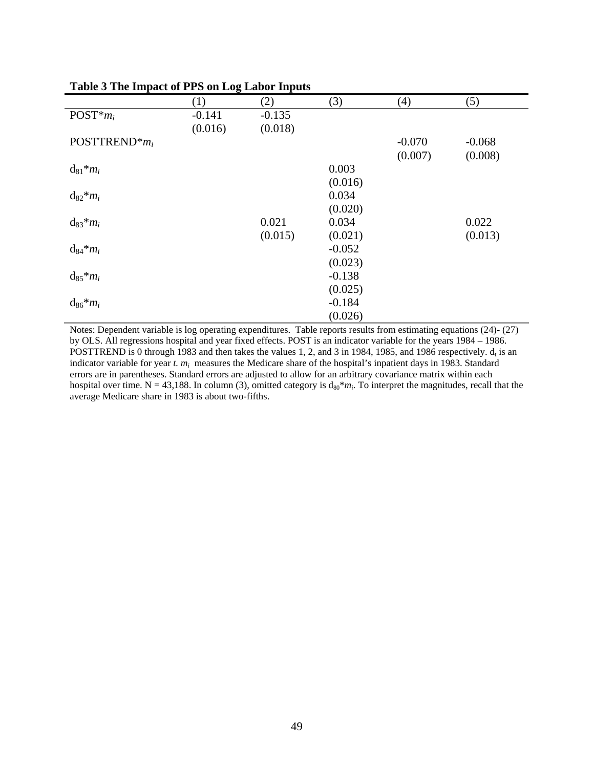|                              | $\circ$<br>(1) | (2)      | (3)      | (4)      | (5)      |
|------------------------------|----------------|----------|----------|----------|----------|
| $POST*mi$                    | $-0.141$       | $-0.135$ |          |          |          |
|                              | (0.016)        | (0.018)  |          |          |          |
|                              |                |          |          |          |          |
| POSTTREND <sup>*</sup> $m_i$ |                |          |          | $-0.070$ | $-0.068$ |
|                              |                |          |          | (0.007)  | (0.008)  |
| $d_{81} * m_i$               |                |          | 0.003    |          |          |
|                              |                |          | (0.016)  |          |          |
| $d_{82} * m_i$               |                |          | 0.034    |          |          |
|                              |                |          |          |          |          |
|                              |                |          | (0.020)  |          |          |
| $d_{83} * m_i$               |                | 0.021    | 0.034    |          | 0.022    |
|                              |                | (0.015)  | (0.021)  |          | (0.013)  |
| $d_{84} * m_i$               |                |          | $-0.052$ |          |          |
|                              |                |          | (0.023)  |          |          |
| $d_{85} * m_i$               |                |          | $-0.138$ |          |          |
|                              |                |          |          |          |          |
|                              |                |          | (0.025)  |          |          |
| $d_{86} * m_i$               |                |          | $-0.184$ |          |          |
|                              |                |          | (0.026)  |          |          |

### **Table 3 The Impact of PPS on Log Labor Inputs**

Notes: Dependent variable is log operating expenditures. Table reports results from estimating equations (24)- (27) by OLS. All regressions hospital and year fixed effects. POST is an indicator variable for the years 1984 – 1986. POSTTREND is 0 through 1983 and then takes the values 1, 2, and 3 in 1984, 1985, and 1986 respectively.  $d_t$  is an indicator variable for year *t. m<sub>i</sub>* measures the Medicare share of the hospital's inpatient days in 1983. Standard errors are in parentheses. Standard errors are adjusted to allow for an arbitrary covariance matrix within each hospital over time. N = 43,188. In column (3), omitted category is  $d_{80} * m_i$ . To interpret the magnitudes, recall that the average Medicare share in 1983 is about two-fifths.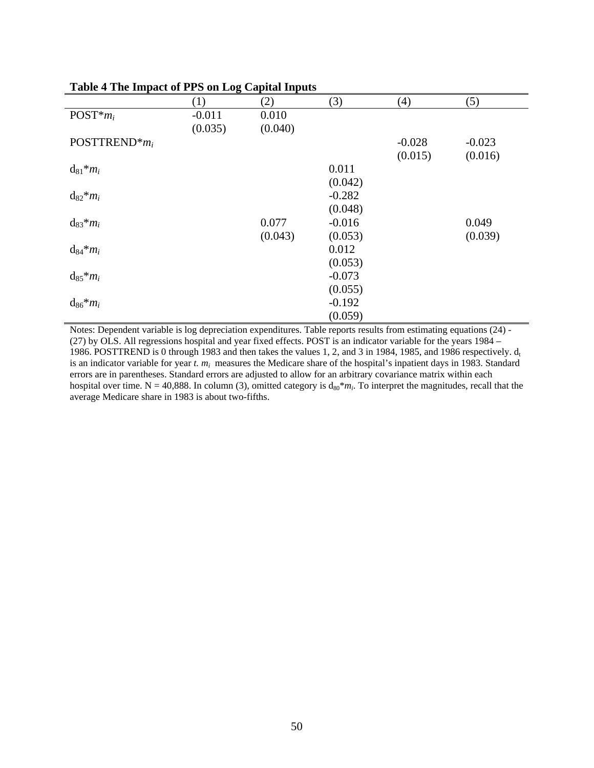|                              | <u>- o - </u><br>(1) | (2)     | (3)      | (4)      | (5)      |
|------------------------------|----------------------|---------|----------|----------|----------|
| $POST*mi$                    | $-0.011$             | 0.010   |          |          |          |
|                              | (0.035)              | (0.040) |          |          |          |
| POSTTREND <sup>*</sup> $m_i$ |                      |         |          | $-0.028$ | $-0.023$ |
|                              |                      |         |          | (0.015)  | (0.016)  |
| $d_{81} * m_i$               |                      |         | 0.011    |          |          |
|                              |                      |         | (0.042)  |          |          |
| $d_{82} * m_i$               |                      |         | $-0.282$ |          |          |
|                              |                      |         | (0.048)  |          |          |
| $d_{83} * m_i$               |                      | 0.077   | $-0.016$ |          | 0.049    |
|                              |                      | (0.043) | (0.053)  |          | (0.039)  |
| $d_{84} * m_i$               |                      |         | 0.012    |          |          |
|                              |                      |         | (0.053)  |          |          |
| $d_{85} * m_i$               |                      |         | $-0.073$ |          |          |
|                              |                      |         | (0.055)  |          |          |
| $d_{86} * m_i$               |                      |         | $-0.192$ |          |          |
|                              |                      |         | (0.059)  |          |          |

### **Table 4 The Impact of PPS on Log Capital Inputs**

Notes: Dependent variable is log depreciation expenditures. Table reports results from estimating equations (24) - (27) by OLS. All regressions hospital and year fixed effects. POST is an indicator variable for the years 1984 – 1986. POSTTREND is 0 through 1983 and then takes the values 1, 2, and 3 in 1984, 1985, and 1986 respectively.  $d_t$ is an indicator variable for year *t. m<sub>i</sub>* measures the Medicare share of the hospital's inpatient days in 1983. Standard errors are in parentheses. Standard errors are adjusted to allow for an arbitrary covariance matrix within each hospital over time. N = 40,888. In column (3), omitted category is  $d_{80} * m_i$ . To interpret the magnitudes, recall that the average Medicare share in 1983 is about two-fifths.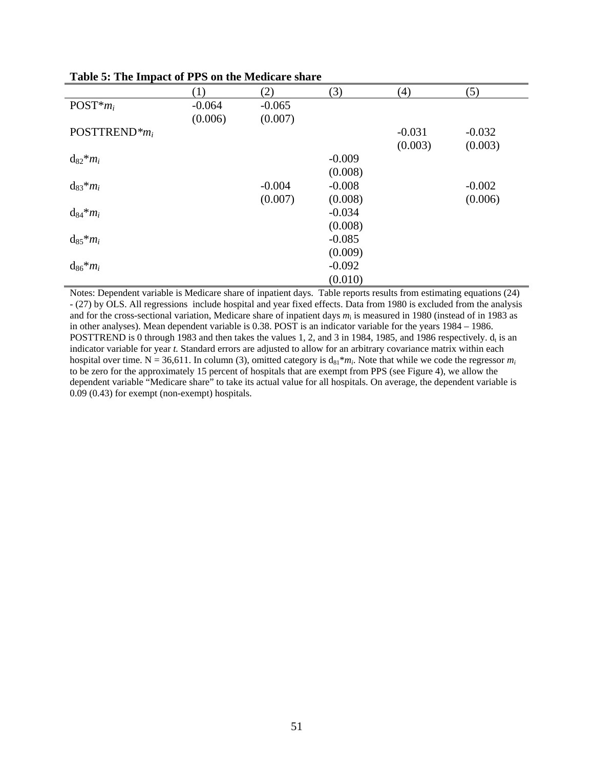| $\frac{1}{2}$        |                  |          |          |          |          |
|----------------------|------------------|----------|----------|----------|----------|
|                      | $\left(1\right)$ | (2)      | (3)      | (4)      | (5)      |
| $POST*mi$            | $-0.064$         | $-0.065$ |          |          |          |
|                      | (0.006)          | (0.007)  |          |          |          |
| POSTTREND $\ast m_i$ |                  |          |          | $-0.031$ | $-0.032$ |
|                      |                  |          |          | (0.003)  | (0.003)  |
| $d_{82} * m_i$       |                  |          | $-0.009$ |          |          |
|                      |                  |          | (0.008)  |          |          |
| $d_{83} * m_i$       |                  | $-0.004$ | $-0.008$ |          | $-0.002$ |
|                      |                  | (0.007)  | (0.008)  |          | (0.006)  |
| $d_{84} * m_i$       |                  |          | $-0.034$ |          |          |
|                      |                  |          | (0.008)  |          |          |
| $d_{85} * m_i$       |                  |          | $-0.085$ |          |          |
|                      |                  |          | (0.009)  |          |          |
| $d_{86} * m_i$       |                  |          | $-0.092$ |          |          |
|                      |                  |          | (0.010)  |          |          |

**Table 5: The Impact of PPS on the Medicare share** 

Notes: Dependent variable is Medicare share of inpatient days. Table reports results from estimating equations (24) - (27) by OLS. All regressions include hospital and year fixed effects. Data from 1980 is excluded from the analysis and for the cross-sectional variation, Medicare share of inpatient days  $m<sub>i</sub>$  is measured in 1980 (instead of in 1983 as in other analyses). Mean dependent variable is 0.38. POST is an indicator variable for the years 1984 – 1986. POSTTREND is 0 through 1983 and then takes the values 1, 2, and 3 in 1984, 1985, and 1986 respectively.  $d_i$  is an indicator variable for year *t.* Standard errors are adjusted to allow for an arbitrary covariance matrix within each hospital over time. N = 36,611. In column (3), omitted category is  $d_{81} * m_i$ . Note that while we code the regressor  $m_i$ to be zero for the approximately 15 percent of hospitals that are exempt from PPS (see Figure 4), we allow the dependent variable "Medicare share" to take its actual value for all hospitals. On average, the dependent variable is 0.09 (0.43) for exempt (non-exempt) hospitals.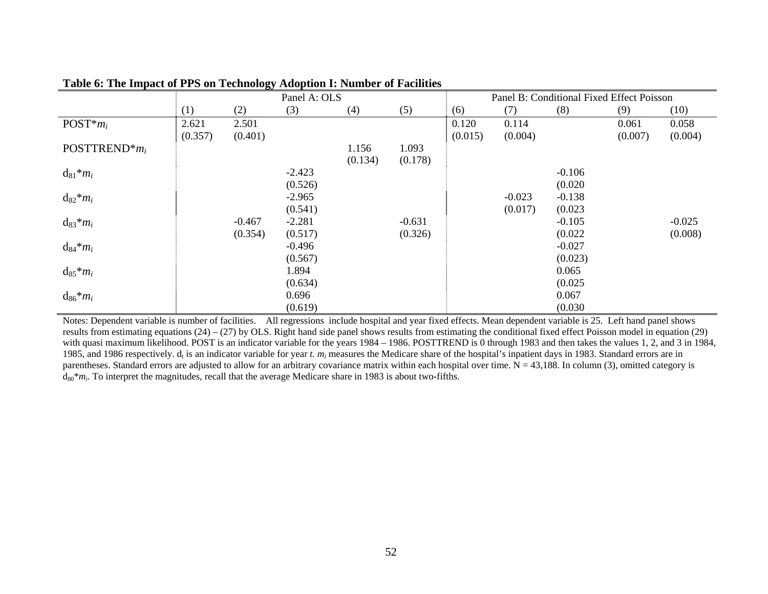|                              |         |          | Panel A: OLS |         |          |         |          | Panel B: Conditional Fixed Effect Poisson |         |          |
|------------------------------|---------|----------|--------------|---------|----------|---------|----------|-------------------------------------------|---------|----------|
|                              | (1)     | (2)      | (3)          | (4)     | (5)      | (6)     | (7)      | (8)                                       | (9)     | (10)     |
| $POST*mi$                    | 2.621   | 2.501    |              |         |          | 0.120   | 0.114    |                                           | 0.061   | 0.058    |
|                              | (0.357) | (0.401)  |              |         |          | (0.015) | (0.004)  |                                           | (0.007) | (0.004)  |
| POSTTREND <sup>*</sup> $m_i$ |         |          |              | 1.156   | 1.093    |         |          |                                           |         |          |
|                              |         |          |              | (0.134) | (0.178)  |         |          |                                           |         |          |
| $d_{81} * m_i$               |         |          | $-2.423$     |         |          |         |          | $-0.106$                                  |         |          |
|                              |         |          | (0.526)      |         |          |         |          | (0.020)                                   |         |          |
| $d_{82} * m_i$               |         |          | $-2.965$     |         |          |         | $-0.023$ | $-0.138$                                  |         |          |
|                              |         |          | (0.541)      |         |          |         | (0.017)  | (0.023)                                   |         |          |
| $d_{83} * m_i$               |         | $-0.467$ | $-2.281$     |         | $-0.631$ |         |          | $-0.105$                                  |         | $-0.025$ |
|                              |         | (0.354)  | (0.517)      |         | (0.326)  |         |          | (0.022)                                   |         | (0.008)  |
| $d_{84} * m_i$               |         |          | $-0.496$     |         |          |         |          | $-0.027$                                  |         |          |
|                              |         |          | (0.567)      |         |          |         |          | (0.023)                                   |         |          |
| $d_{85}$ * $m_i$             |         |          | 1.894        |         |          |         |          | 0.065                                     |         |          |
|                              |         |          | (0.634)      |         |          |         |          | (0.025)                                   |         |          |
| $d_{86} * m_i$               |         |          | 0.696        |         |          |         |          | 0.067                                     |         |          |
|                              |         |          | (0.619)      |         |          |         |          | (0.030)                                   |         |          |

### **Table 6: The Impact of PPS on Technology Adoption I: Number of Facilities**

Notes: Dependent variable is number of facilities. All regressions include hospital and year fixed effects. Mean dependent variable is 25. Left hand panel shows results from estimating equations (24) – (27) by OLS. Right hand side panel shows results from estimating the conditional fixed effect Poisson model in equation (29) with quasi maximum likelihood. POST is an indicator variable for the years 1984 – 1986. POSTTREND is 0 through 1983 and then takes the values 1, 2, and 3 in 1984, 1985, and 1986 respectively. d<sub>t</sub> is an indicator variable for year *t. m<sub>i</sub>* measures the Medicare share of the hospital's inpatient days in 1983. Standard errors are in parentheses. Standard errors are adjusted to allow for an arbitrary covariance matrix within each hospital over time.  $N = 43,188$ . In column (3), omitted category is  $d_{80}$ <sup>\*</sup> $m_i$ . To interpret the magnitudes, recall that the average Medicare share in 1983 is about two-fifths.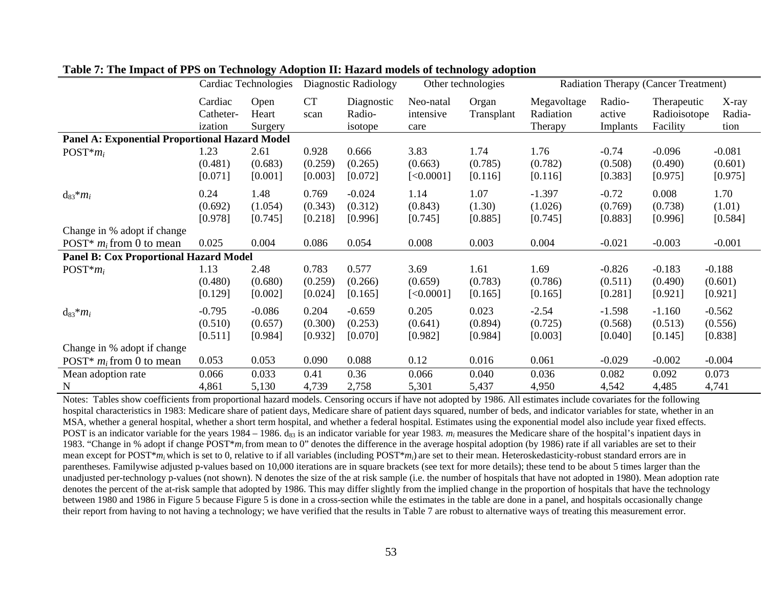|                                                       |                                 | <b>Cardiac Technologies</b>    | Diagnostic Radiology        |                                 |                                | Other technologies          |                                     | Radiation Therapy (Cancer Treatment) |                                         |                                |
|-------------------------------------------------------|---------------------------------|--------------------------------|-----------------------------|---------------------------------|--------------------------------|-----------------------------|-------------------------------------|--------------------------------------|-----------------------------------------|--------------------------------|
|                                                       | Cardiac<br>Catheter-<br>ization | Open<br>Heart<br>Surgery       | <b>CT</b><br>scan           | Diagnostic<br>Radio-<br>isotope | Neo-natal<br>intensive<br>care | Organ<br>Transplant         | Megavoltage<br>Radiation<br>Therapy | Radio-<br>active<br>Implants         | Therapeutic<br>Radioisotope<br>Facility | X-ray<br>Radia-<br>tion        |
| <b>Panel A: Exponential Proportional Hazard Model</b> |                                 |                                |                             |                                 |                                |                             |                                     |                                      |                                         |                                |
| $POST*mi$                                             | 1.23<br>(0.481)<br>[0.071]      | 2.61<br>(0.683)<br>[0.001]     | 0.928<br>(0.259)<br>[0.003] | 0.666<br>(0.265)<br>[0.072]     | 3.83<br>(0.663)<br>[<0.0001]   | 1.74<br>(0.785)<br>[0.116]  | 1.76<br>(0.782)<br>[0.116]          | $-0.74$<br>(0.508)<br>[0.383]        | $-0.096$<br>(0.490)<br>[0.975]          | $-0.081$<br>(0.601)<br>[0.975] |
| $d_{83} * m_i$                                        | 0.24<br>(0.692)<br>[0.978]      | 1.48<br>(1.054)<br>[0.745]     | 0.769<br>(0.343)<br>[0.218] | $-0.024$<br>(0.312)<br>[0.996]  | 1.14<br>(0.843)<br>[0.745]     | 1.07<br>(1.30)<br>[0.885]   | $-1.397$<br>(1.026)<br>[0.745]      | $-0.72$<br>(0.769)<br>[0.883]        | 0.008<br>(0.738)<br>[0.996]             | 1.70<br>(1.01)<br>[0.584]      |
| Change in % adopt if change                           |                                 |                                |                             |                                 |                                |                             |                                     |                                      |                                         |                                |
| POST <sup>*</sup> $m_i$ from 0 to mean                | 0.025                           | 0.004                          | 0.086                       | 0.054                           | 0.008                          | 0.003                       | 0.004                               | $-0.021$                             | $-0.003$                                | $-0.001$                       |
| <b>Panel B: Cox Proportional Hazard Model</b>         |                                 |                                |                             |                                 |                                |                             |                                     |                                      |                                         |                                |
| $POST*mi$                                             | 1.13<br>(0.480)<br>[0.129]      | 2.48<br>(0.680)<br>[0.002]     | 0.783<br>(0.259)<br>[0.024] | 0.577<br>(0.266)<br>[0.165]     | 3.69<br>(0.659)<br>[<0.0001]   | 1.61<br>(0.783)<br>[0.165]  | 1.69<br>(0.786)<br>[0.165]          | $-0.826$<br>(0.511)<br>[0.281]       | $-0.183$<br>(0.490)<br>[0.921]          | $-0.188$<br>(0.601)<br>[0.921] |
| $d_{83} * m_i$                                        | $-0.795$<br>(0.510)<br>[0.511]  | $-0.086$<br>(0.657)<br>[0.984] | 0.204<br>(0.300)<br>[0.932] | $-0.659$<br>(0.253)<br>[0.070]  | 0.205<br>(0.641)<br>[0.982]    | 0.023<br>(0.894)<br>[0.984] | $-2.54$<br>(0.725)<br>[0.003]       | $-1.598$<br>(0.568)<br>[0.040]       | $-1.160$<br>(0.513)<br>[0.145]          | $-0.562$<br>(0.556)<br>[0.838] |
| Change in % adopt if change                           |                                 |                                |                             |                                 |                                |                             |                                     |                                      |                                         |                                |
| POST <sup>*</sup> $m_i$ from 0 to mean                | 0.053                           | 0.053                          | 0.090                       | 0.088                           | 0.12                           | 0.016                       | 0.061                               | $-0.029$                             | $-0.002$                                | $-0.004$                       |
| Mean adoption rate                                    | 0.066                           | 0.033                          | 0.41                        | 0.36                            | 0.066                          | 0.040                       | 0.036                               | 0.082                                | 0.092                                   | 0.073                          |
| $\mathbf N$                                           | 4,861                           | 5,130                          | 4,739                       | 2,758                           | 5,301                          | 5,437                       | 4,950                               | 4,542                                | 4,485                                   | 4,741                          |

#### **Table 7: The Impact of PPS on Technology Adoption II: Hazard models of technology adoption**

Notes: Tables show coefficients from proportional hazard models. Censoring occurs if have not adopted by 1986. All estimates include covariates for the following hospital characteristics in 1983: Medicare share of patient days, Medicare share of patient days squared, number of beds, and indicator variables for state, whether in an MSA, whether a general hospital, whether a short term hospital, and whether a federal hospital. Estimates using the exponential model also include year fixed effects. POST is an indicator variable for the years 1984 – 1986.  $d_{83}$  is an indicator variable for year 1983.  $m_i$  measures the Medicare share of the hospital's inpatient days in 1983. "Change in % adopt if change POST\**mi* from mean to 0" denotes the difference in the average hospital adoption (by 1986) rate if all variables are set to their mean except for POST\**mi* which is set to 0, relative to if all variables (including POST\**mi*) are set to their mean. Heteroskedasticity-robust standard errors are in parentheses. Familywise adjusted p-values based on 10,000 iterations are in square brackets (see text for more details); these tend to be about 5 times larger than the unadjusted per-technology p-values (not shown). N denotes the size of the at risk sample (i.e. the number of hospitals that have not adopted in 1980). Mean adoption rate denotes the percent of the at-risk sample that adopted by 1986. This may differ slightly from the implied change in the proportion of hospitals that have the technology between 1980 and 1986 in Figure 5 because Figure 5 is done in a cross-section while the estimates in the table are done in a panel, and hospitals occasionally change their report from having to not having a technology; we have verified that the results in Table 7 are robust to alternative ways of treating this measurement error.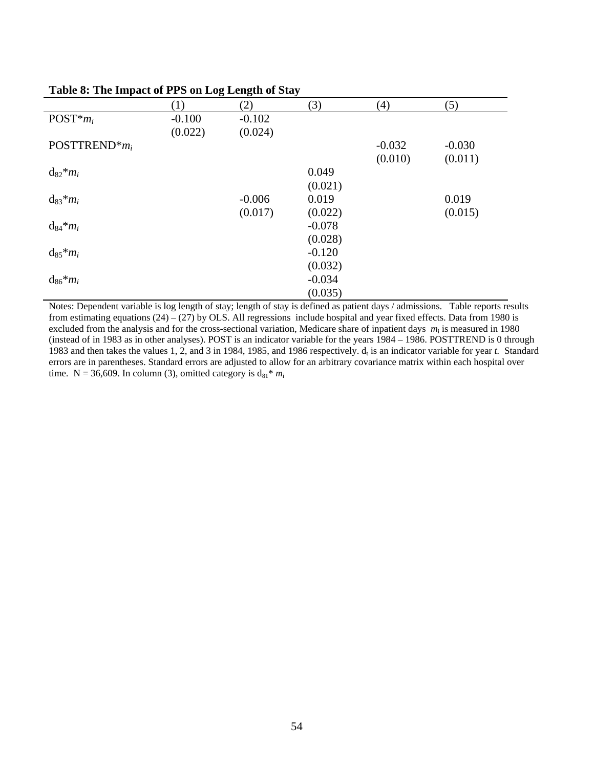| $\sim$            | -01      |          |          |          |
|-------------------|----------|----------|----------|----------|
| $\left( 1\right)$ | (2)      | (3)      | (4)      | (5)      |
| $-0.100$          | $-0.102$ |          |          |          |
| (0.022)           | (0.024)  |          |          |          |
|                   |          |          | $-0.032$ | $-0.030$ |
|                   |          |          | (0.010)  | (0.011)  |
|                   |          | 0.049    |          |          |
|                   |          | (0.021)  |          |          |
|                   | $-0.006$ | 0.019    |          | 0.019    |
|                   | (0.017)  | (0.022)  |          | (0.015)  |
|                   |          | $-0.078$ |          |          |
|                   |          | (0.028)  |          |          |
|                   |          | $-0.120$ |          |          |
|                   |          | (0.032)  |          |          |
|                   |          | $-0.034$ |          |          |
|                   |          | (0.035)  |          |          |
|                   |          |          |          |          |

### **Table 8: The Impact of PPS on Log Length of Stay**

Notes: Dependent variable is log length of stay; length of stay is defined as patient days / admissions. Table reports results from estimating equations  $(24) - (27)$  by OLS. All regressions include hospital and year fixed effects. Data from 1980 is excluded from the analysis and for the cross-sectional variation, Medicare share of inpatient days  $m_i$  is measured in 1980 (instead of in 1983 as in other analyses). POST is an indicator variable for the years 1984 – 1986. POSTTREND is 0 through 1983 and then takes the values 1, 2, and 3 in 1984, 1985, and 1986 respectively.  $d_t$  is an indicator variable for year *t*. Standard errors are in parentheses. Standard errors are adjusted to allow for an arbitrary covariance matrix within each hospital over time. N = 36,609. In column (3), omitted category is  $d_{81} * m_i$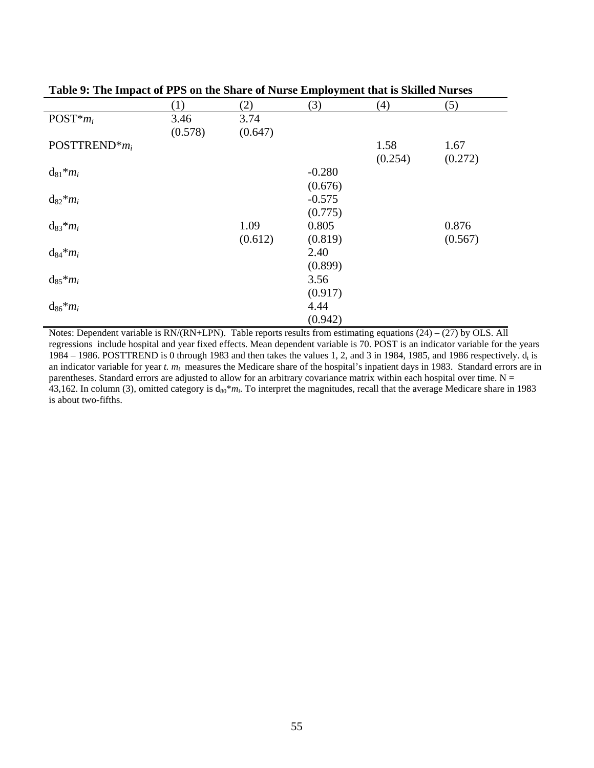|                              | (1)     | (2)     | (3)      | (4)     | (5)     |
|------------------------------|---------|---------|----------|---------|---------|
| $POST*mi$                    | 3.46    | 3.74    |          |         |         |
|                              | (0.578) | (0.647) |          |         |         |
| POSTTREND <sup>*</sup> $m_i$ |         |         |          | 1.58    | 1.67    |
|                              |         |         |          | (0.254) | (0.272) |
| $d_{81} * m_i$               |         |         | $-0.280$ |         |         |
|                              |         |         | (0.676)  |         |         |
| $d_{82} * m_i$               |         |         | $-0.575$ |         |         |
|                              |         |         | (0.775)  |         |         |
| $d_{83} * m_i$               |         | 1.09    | 0.805    |         | 0.876   |
|                              |         | (0.612) | (0.819)  |         | (0.567) |
| $d_{84} * m_i$               |         |         | 2.40     |         |         |
|                              |         |         | (0.899)  |         |         |
| $d_{85} * m_i$               |         |         | 3.56     |         |         |
|                              |         |         | (0.917)  |         |         |
| $d_{86} * m_i$               |         |         | 4.44     |         |         |
|                              |         |         | (0.942)  |         |         |

**Table 9: The Impact of PPS on the Share of Nurse Employment that is Skilled Nurses** 

Notes: Dependent variable is  $RN/(RN+LPN)$ . Table reports results from estimating equations  $(24) - (27)$  by OLS. All regressions include hospital and year fixed effects. Mean dependent variable is 70. POST is an indicator variable for the years 1984 – 1986. POSTTREND is 0 through 1983 and then takes the values 1, 2, and 3 in 1984, 1985, and 1986 respectively.  $d_t$  is an indicator variable for year *t. m<sub>i</sub>* measures the Medicare share of the hospital's inpatient days in 1983. Standard errors are in parentheses. Standard errors are adjusted to allow for an arbitrary covariance matrix within each hospital over time.  $N =$ 43,162. In column (3), omitted category is  $d_{80} * m_i$ . To interpret the magnitudes, recall that the average Medicare share in 1983 is about two-fifths.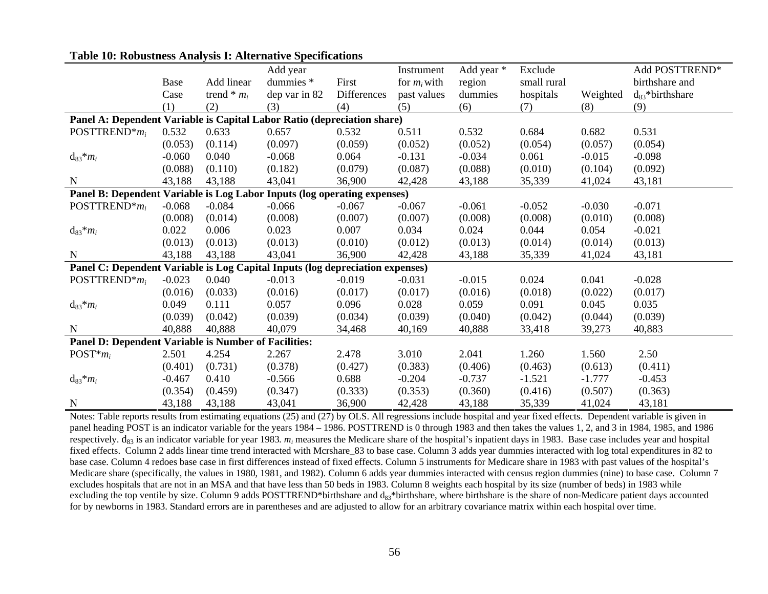|                                                                               |          |                 | Add year      |             | Instrument     | Add year * | Exclude     |          | Add POSTTREND*       |
|-------------------------------------------------------------------------------|----------|-----------------|---------------|-------------|----------------|------------|-------------|----------|----------------------|
|                                                                               | Base     | Add linear      | dummies *     | First       | for $m_i$ with | region     | small rural |          | birthshare and       |
|                                                                               | Case     | trend $*$ $m_i$ | dep var in 82 | Differences | past values    | dummies    | hospitals   | Weighted | $d_{83}$ *birthshare |
|                                                                               | (1)      | (2)             | (3)           | (4)         | (5)            | (6)        | (7)         | (8)      | (9)                  |
| Panel A: Dependent Variable is Capital Labor Ratio (depreciation share)       |          |                 |               |             |                |            |             |          |                      |
| POSTTREND <sup>*</sup> $m_i$                                                  | 0.532    | 0.633           | 0.657         | 0.532       | 0.511          | 0.532      | 0.684       | 0.682    | 0.531                |
|                                                                               | (0.053)  | (0.114)         | (0.097)       | (0.059)     | (0.052)        | (0.052)    | (0.054)     | (0.057)  | (0.054)              |
| $d_{83} * m_i$                                                                | $-0.060$ | 0.040           | $-0.068$      | 0.064       | $-0.131$       | $-0.034$   | 0.061       | $-0.015$ | $-0.098$             |
|                                                                               | (0.088)  | (0.110)         | (0.182)       | (0.079)     | (0.087)        | (0.088)    | (0.010)     | (0.104)  | (0.092)              |
| $\mathbf N$                                                                   | 43,188   | 43,188          | 43,041        | 36,900      | 42,428         | 43,188     | 35,339      | 41,024   | 43,181               |
| Panel B: Dependent Variable is Log Labor Inputs (log operating expenses)      |          |                 |               |             |                |            |             |          |                      |
| POSTTREND <sup>*</sup> $m_i$                                                  | $-0.068$ | $-0.084$        | $-0.066$      | $-0.067$    | $-0.067$       | $-0.061$   | $-0.052$    | $-0.030$ | $-0.071$             |
|                                                                               | (0.008)  | (0.014)         | (0.008)       | (0.007)     | (0.007)        | (0.008)    | (0.008)     | (0.010)  | (0.008)              |
| $d_{83} * m_i$                                                                | 0.022    | 0.006           | 0.023         | 0.007       | 0.034          | 0.024      | 0.044       | 0.054    | $-0.021$             |
|                                                                               | (0.013)  | (0.013)         | (0.013)       | (0.010)     | (0.012)        | (0.013)    | (0.014)     | (0.014)  | (0.013)              |
| $\mathbf N$                                                                   | 43,188   | 43,188          | 43,041        | 36,900      | 42,428         | 43,188     | 35,339      | 41,024   | 43,181               |
| Panel C: Dependent Variable is Log Capital Inputs (log depreciation expenses) |          |                 |               |             |                |            |             |          |                      |
| POSTTREND <sup>*</sup> $m_i$                                                  | $-0.023$ | 0.040           | $-0.013$      | $-0.019$    | $-0.031$       | $-0.015$   | 0.024       | 0.041    | $-0.028$             |
|                                                                               | (0.016)  | (0.033)         | (0.016)       | (0.017)     | (0.017)        | (0.016)    | (0.018)     | (0.022)  | (0.017)              |
| $d_{83} * m_i$                                                                | 0.049    | 0.111           | 0.057         | 0.096       | 0.028          | 0.059      | 0.091       | 0.045    | 0.035                |
|                                                                               | (0.039)  | (0.042)         | (0.039)       | (0.034)     | (0.039)        | (0.040)    | (0.042)     | (0.044)  | (0.039)              |
| $\mathbf N$                                                                   | 40,888   | 40,888          | 40,079        | 34,468      | 40,169         | 40,888     | 33,418      | 39,273   | 40,883               |
| Panel D: Dependent Variable is Number of Facilities:                          |          |                 |               |             |                |            |             |          |                      |
| $POST*mi$                                                                     | 2.501    | 4.254           | 2.267         | 2.478       | 3.010          | 2.041      | 1.260       | 1.560    | 2.50                 |
|                                                                               | (0.401)  | (0.731)         | (0.378)       | (0.427)     | (0.383)        | (0.406)    | (0.463)     | (0.613)  | (0.411)              |
| $d_{83} * m_i$                                                                | $-0.467$ | 0.410           | $-0.566$      | 0.688       | $-0.204$       | $-0.737$   | $-1.521$    | $-1.777$ | $-0.453$             |
|                                                                               | (0.354)  | (0.459)         | (0.347)       | (0.333)     | (0.353)        | (0.360)    | (0.416)     | (0.507)  | (0.363)              |
| $\mathbf N$                                                                   | 43,188   | 43,188          | 43,041        | 36,900      | 42,428         | 43,188     | 35,339      | 41,024   | 43,181               |

#### **Table 10: Robustness Analysis I: Alternative Specifications**

Notes: Table reports results from estimating equations (25) and (27) by OLS. All regressions include hospital and year fixed effects. Dependent variable is given in panel heading POST is an indicator variable for the years 1984 – 1986. POSTTREND is 0 through 1983 and then takes the values 1, 2, and 3 in 1984, 1985, and 1986 respectively. d<sub>83</sub> is an indicator variable for year 1983.  $m_i$  measures the Medicare share of the hospital's inpatient days in 1983. Base case includes year and hospital fixed effects. Column 2 adds linear time trend interacted with Mcrshare\_83 to base case. Column 3 adds year dummies interacted with log total expenditures in 82 to base case. Column 4 redoes base case in first differences instead of fixed effects. Column 5 instruments for Medicare share in 1983 with past values of the hospital's Medicare share (specifically, the values in 1980, 1981, and 1982). Column 6 adds year dummies interacted with census region dummies (nine) to base case. Column 7 excludes hospitals that are not in an MSA and that have less than 50 beds in 1983. Column 8 weights each hospital by its size (number of beds) in 1983 while excluding the top ventile by size. Column 9 adds POSTTREND\*birthshare and d<sub>83</sub>\*birthshare, where birthshare is the share of non-Medicare patient days accounted for by newborns in 1983. Standard errors are in parentheses and are adjusted to allow for an arbitrary covariance matrix within each hospital over time.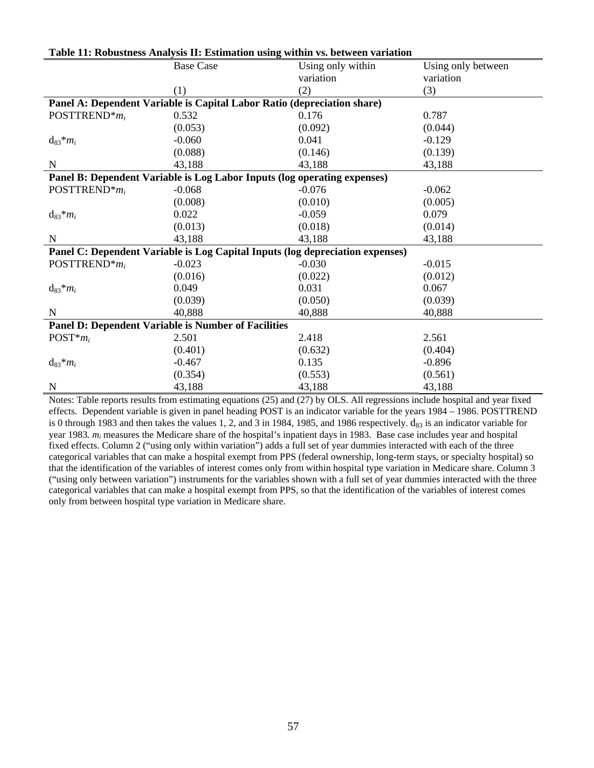|                                                                         | <b>Base Case</b>                                                              | Using only within | Using only between |  |  |  |
|-------------------------------------------------------------------------|-------------------------------------------------------------------------------|-------------------|--------------------|--|--|--|
|                                                                         |                                                                               | variation         | variation          |  |  |  |
|                                                                         | (1)                                                                           | (2)               | (3)                |  |  |  |
| Panel A: Dependent Variable is Capital Labor Ratio (depreciation share) |                                                                               |                   |                    |  |  |  |
| POSTTREND* $m_i$                                                        | 0.532                                                                         | 0.176             | 0.787              |  |  |  |
|                                                                         | (0.053)                                                                       | (0.092)           | (0.044)            |  |  |  |
| $d_{83} * m_i$                                                          | $-0.060$                                                                      | 0.041             | $-0.129$           |  |  |  |
|                                                                         | (0.088)                                                                       | (0.146)           | (0.139)            |  |  |  |
| $\mathbf N$                                                             | 43,188                                                                        | 43,188            | 43,188             |  |  |  |
|                                                                         | Panel B: Dependent Variable is Log Labor Inputs (log operating expenses)      |                   |                    |  |  |  |
| POSTTREND* $m_i$                                                        | $-0.068$                                                                      | $-0.076$          | $-0.062$           |  |  |  |
|                                                                         | (0.008)                                                                       | (0.010)           | (0.005)            |  |  |  |
| $d_{83} * m_i$                                                          | 0.022                                                                         | $-0.059$          | 0.079              |  |  |  |
|                                                                         | (0.013)                                                                       | (0.018)           | (0.014)            |  |  |  |
| N                                                                       | 43,188                                                                        | 43,188            | 43,188             |  |  |  |
|                                                                         | Panel C: Dependent Variable is Log Capital Inputs (log depreciation expenses) |                   |                    |  |  |  |
| POSTTREND* $m_i$                                                        | $-0.023$                                                                      | $-0.030$          | $-0.015$           |  |  |  |
|                                                                         | (0.016)                                                                       | (0.022)           | (0.012)            |  |  |  |
| $d_{83} * m_i$                                                          | 0.049                                                                         | 0.031             | 0.067              |  |  |  |
|                                                                         | (0.039)                                                                       | (0.050)           | (0.039)            |  |  |  |
| N                                                                       | 40,888                                                                        | 40,888            | 40,888             |  |  |  |
|                                                                         | <b>Panel D: Dependent Variable is Number of Facilities</b>                    |                   |                    |  |  |  |
| $POST*mi$                                                               | 2.501                                                                         | 2.418             | 2.561              |  |  |  |
|                                                                         | (0.401)                                                                       | (0.632)           | (0.404)            |  |  |  |
| $d_{83} * m_i$                                                          | $-0.467$                                                                      | 0.135             | $-0.896$           |  |  |  |
|                                                                         | (0.354)                                                                       | (0.553)           | (0.561)            |  |  |  |
| $\mathbf N$                                                             | 43,188                                                                        | 43,188            | 43,188             |  |  |  |

#### **Table 11: Robustness Analysis II: Estimation using within vs. between variation**

Notes: Table reports results from estimating equations (25) and (27) by OLS. All regressions include hospital and year fixed effects. Dependent variable is given in panel heading POST is an indicator variable for the years 1984 – 1986. POSTTREND is 0 through 1983 and then takes the values 1, 2, and 3 in 1984, 1985, and 1986 respectively.  $d_{83}$  is an indicator variable for year 1983*. mi* measures the Medicare share of the hospital's inpatient days in 1983. Base case includes year and hospital fixed effects. Column 2 ("using only within variation") adds a full set of year dummies interacted with each of the three categorical variables that can make a hospital exempt from PPS (federal ownership, long-term stays, or specialty hospital) so that the identification of the variables of interest comes only from within hospital type variation in Medicare share. Column 3 ("using only between variation") instruments for the variables shown with a full set of year dummies interacted with the three categorical variables that can make a hospital exempt from PPS, so that the identification of the variables of interest comes only from between hospital type variation in Medicare share.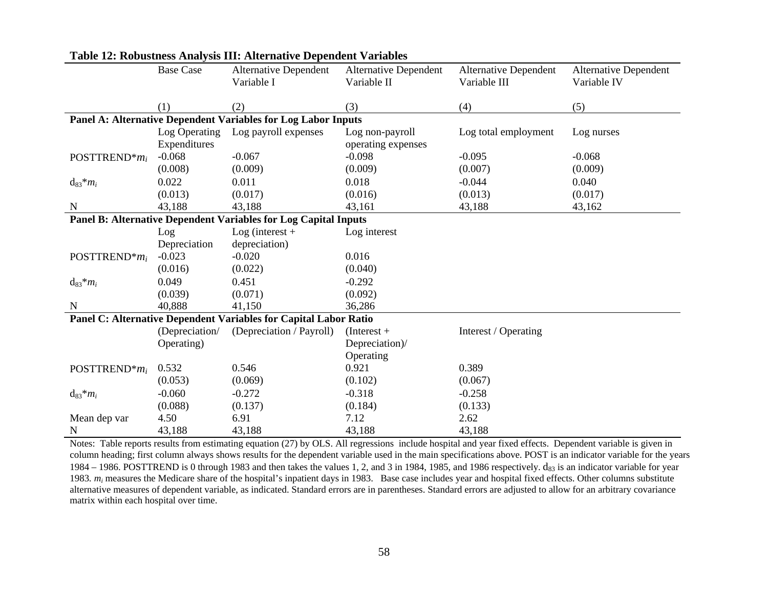|                              | <b>Base Case</b> | <b>Alternative Dependent</b>                                     | <b>Alternative Dependent</b> | <b>Alternative Dependent</b> | <b>Alternative Dependent</b> |
|------------------------------|------------------|------------------------------------------------------------------|------------------------------|------------------------------|------------------------------|
|                              |                  | Variable I                                                       | Variable II                  | Variable III                 | Variable IV                  |
|                              |                  |                                                                  |                              |                              |                              |
|                              | (1)              | (2)                                                              | (3)                          | (4)                          | (5)                          |
|                              |                  | Panel A: Alternative Dependent Variables for Log Labor Inputs    |                              |                              |                              |
|                              | Log Operating    | Log payroll expenses                                             | Log non-payroll              | Log total employment         | Log nurses                   |
|                              | Expenditures     |                                                                  | operating expenses           |                              |                              |
| POSTTREND <sup>*</sup> $m_i$ | $-0.068$         | $-0.067$                                                         | $-0.098$                     | $-0.095$                     | $-0.068$                     |
|                              | (0.008)          | (0.009)                                                          | (0.009)                      | (0.007)                      | (0.009)                      |
| $d_{83} * m_i$               | 0.022            | 0.011                                                            | 0.018                        | $-0.044$                     | 0.040                        |
|                              | (0.013)          | (0.017)                                                          | (0.016)                      | (0.013)                      | (0.017)                      |
| N                            | 43,188           | 43,188                                                           | 43,161                       | 43,188                       | 43,162                       |
|                              |                  | Panel B: Alternative Dependent Variables for Log Capital Inputs  |                              |                              |                              |
|                              | Log              | $Log$ (interest +                                                | Log interest                 |                              |                              |
|                              | Depreciation     | depreciation)                                                    |                              |                              |                              |
| POSTTREND <sup>*</sup> $m_i$ | $-0.023$         | $-0.020$                                                         | 0.016                        |                              |                              |
|                              | (0.016)          | (0.022)                                                          | (0.040)                      |                              |                              |
| $d_{83} * m_i$               | 0.049            | 0.451                                                            | $-0.292$                     |                              |                              |
|                              | (0.039)          | (0.071)                                                          | (0.092)                      |                              |                              |
| $\mathbf N$                  | 40,888           | 41,150                                                           | 36,286                       |                              |                              |
|                              |                  | Panel C: Alternative Dependent Variables for Capital Labor Ratio |                              |                              |                              |
|                              | (Depreciation/   | (Depreciation / Payroll)                                         | $(Interest +$                | Interest / Operating         |                              |
|                              | Operating)       |                                                                  | Depreciation)/               |                              |                              |
|                              |                  |                                                                  | Operating                    |                              |                              |
| POSTTREND* $m_i$             | 0.532            | 0.546                                                            | 0.921                        | 0.389                        |                              |
|                              | (0.053)          | (0.069)                                                          | (0.102)                      | (0.067)                      |                              |
| $d_{83} * m_i$               | $-0.060$         | $-0.272$                                                         | $-0.318$                     | $-0.258$                     |                              |
|                              | (0.088)          | (0.137)                                                          | (0.184)                      | (0.133)                      |                              |
| Mean dep var                 | 4.50             | 6.91                                                             | 7.12                         | 2.62                         |                              |
| N                            | 43,188           | 43,188                                                           | 43,188                       | 43,188                       |                              |

### **Table 12: Robustness Analysis III: Alternative Dependent Variables**

Notes: Table reports results from estimating equation (27) by OLS. All regressions include hospital and year fixed effects. Dependent variable is given in column heading; first column always shows results for the dependent variable used in the main specifications above. POST is an indicator variable for the years 1984 – 1986. POSTTREND is 0 through 1983 and then takes the values 1, 2, and 3 in 1984, 1985, and 1986 respectively.  $d_{83}$  is an indicator variable for year 1983*. mi* measures the Medicare share of the hospital's inpatient days in 1983. Base case includes year and hospital fixed effects. Other columns substitute alternative measures of dependent variable, as indicated. Standard errors are in parentheses. Standard errors are adjusted to allow for an arbitrary covariance matrix within each hospital over time.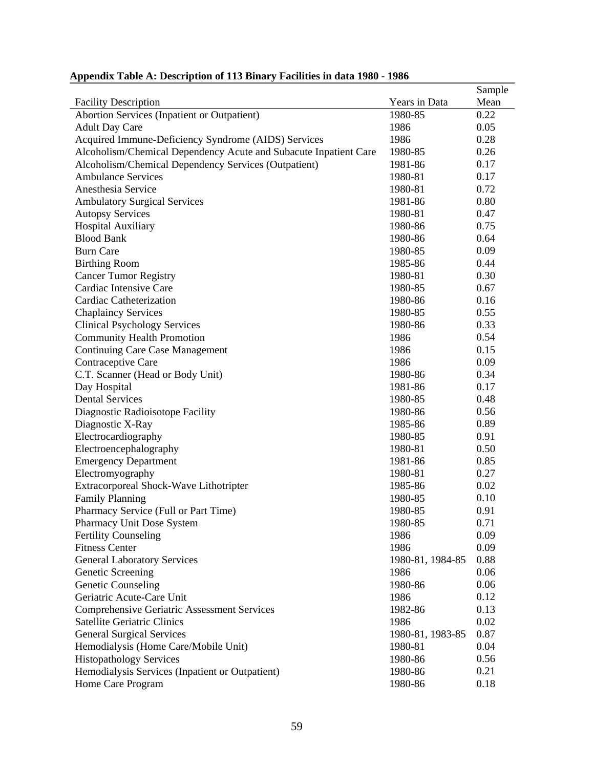|                                                                  |                  | Sample |
|------------------------------------------------------------------|------------------|--------|
| <b>Facility Description</b>                                      | Years in Data    | Mean   |
| Abortion Services (Inpatient or Outpatient)                      | 1980-85          | 0.22   |
| <b>Adult Day Care</b>                                            | 1986             | 0.05   |
| Acquired Immune-Deficiency Syndrome (AIDS) Services              | 1986             | 0.28   |
| Alcoholism/Chemical Dependency Acute and Subacute Inpatient Care | 1980-85          | 0.26   |
| Alcoholism/Chemical Dependency Services (Outpatient)             | 1981-86          | 0.17   |
| <b>Ambulance Services</b>                                        | 1980-81          | 0.17   |
| Anesthesia Service                                               | 1980-81          | 0.72   |
| <b>Ambulatory Surgical Services</b>                              | 1981-86          | 0.80   |
| <b>Autopsy Services</b>                                          | 1980-81          | 0.47   |
| <b>Hospital Auxiliary</b>                                        | 1980-86          | 0.75   |
| <b>Blood Bank</b>                                                | 1980-86          | 0.64   |
| <b>Burn Care</b>                                                 | 1980-85          | 0.09   |
| <b>Birthing Room</b>                                             | 1985-86          | 0.44   |
| <b>Cancer Tumor Registry</b>                                     | 1980-81          | 0.30   |
| Cardiac Intensive Care                                           | 1980-85          | 0.67   |
| Cardiac Catheterization                                          | 1980-86          | 0.16   |
| <b>Chaplaincy Services</b>                                       | 1980-85          | 0.55   |
| <b>Clinical Psychology Services</b>                              | 1980-86          | 0.33   |
| <b>Community Health Promotion</b>                                | 1986             | 0.54   |
| <b>Continuing Care Case Management</b>                           | 1986             | 0.15   |
| Contraceptive Care                                               | 1986             | 0.09   |
| C.T. Scanner (Head or Body Unit)                                 | 1980-86          | 0.34   |
| Day Hospital                                                     | 1981-86          | 0.17   |
| <b>Dental Services</b>                                           | 1980-85          | 0.48   |
| Diagnostic Radioisotope Facility                                 | 1980-86          | 0.56   |
| Diagnostic X-Ray                                                 | 1985-86          | 0.89   |
| Electrocardiography                                              | 1980-85          | 0.91   |
| Electroencephalography                                           | 1980-81          | 0.50   |
| <b>Emergency Department</b>                                      | 1981-86          | 0.85   |
| Electromyography                                                 | 1980-81          | 0.27   |
| Extracorporeal Shock-Wave Lithotripter                           | 1985-86          | 0.02   |
| <b>Family Planning</b>                                           | 1980-85          | 0.10   |
| Pharmacy Service (Full or Part Time)                             | 1980-85          | 0.91   |
| Pharmacy Unit Dose System                                        | 1980-85          | 0.71   |
| <b>Fertility Counseling</b>                                      | 1986             | 0.09   |
| <b>Fitness Center</b>                                            | 1986             | 0.09   |
| <b>General Laboratory Services</b>                               | 1980-81, 1984-85 | 0.88   |
| Genetic Screening                                                | 1986             | 0.06   |
| <b>Genetic Counseling</b>                                        | 1980-86          | 0.06   |
| Geriatric Acute-Care Unit                                        | 1986             | 0.12   |
| <b>Comprehensive Geriatric Assessment Services</b>               | 1982-86          | 0.13   |
| <b>Satellite Geriatric Clinics</b>                               | 1986             | 0.02   |
| <b>General Surgical Services</b>                                 | 1980-81, 1983-85 | 0.87   |
| Hemodialysis (Home Care/Mobile Unit)                             | 1980-81          | 0.04   |
| <b>Histopathology Services</b>                                   | 1980-86          | 0.56   |
| Hemodialysis Services (Inpatient or Outpatient)                  | 1980-86          | 0.21   |
| Home Care Program                                                | 1980-86          | 0.18   |

# **Appendix Table A: Description of 113 Binary Facilities in data 1980 - 1986**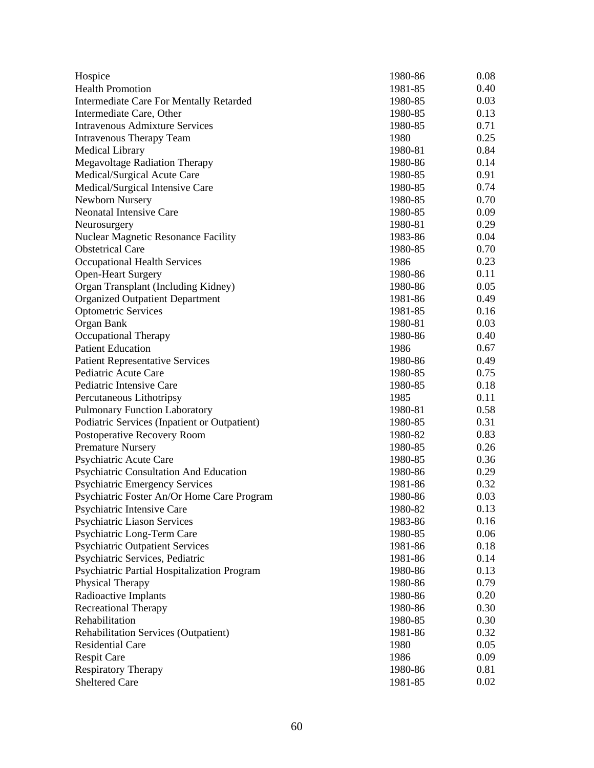| Hospice                                      | 1980-86 | 0.08 |
|----------------------------------------------|---------|------|
| <b>Health Promotion</b>                      | 1981-85 | 0.40 |
| Intermediate Care For Mentally Retarded      | 1980-85 | 0.03 |
| Intermediate Care, Other                     | 1980-85 | 0.13 |
| Intravenous Admixture Services               | 1980-85 | 0.71 |
| <b>Intravenous Therapy Team</b>              | 1980    | 0.25 |
| <b>Medical Library</b>                       | 1980-81 | 0.84 |
| <b>Megavoltage Radiation Therapy</b>         | 1980-86 | 0.14 |
| Medical/Surgical Acute Care                  | 1980-85 | 0.91 |
| Medical/Surgical Intensive Care              | 1980-85 | 0.74 |
| Newborn Nursery                              | 1980-85 | 0.70 |
| <b>Neonatal Intensive Care</b>               | 1980-85 | 0.09 |
| Neurosurgery                                 | 1980-81 | 0.29 |
| <b>Nuclear Magnetic Resonance Facility</b>   | 1983-86 | 0.04 |
| <b>Obstetrical Care</b>                      | 1980-85 | 0.70 |
| <b>Occupational Health Services</b>          | 1986    | 0.23 |
| <b>Open-Heart Surgery</b>                    | 1980-86 | 0.11 |
| Organ Transplant (Including Kidney)          | 1980-86 | 0.05 |
| <b>Organized Outpatient Department</b>       | 1981-86 | 0.49 |
| <b>Optometric Services</b>                   | 1981-85 | 0.16 |
| Organ Bank                                   | 1980-81 | 0.03 |
| Occupational Therapy                         | 1980-86 | 0.40 |
| <b>Patient Education</b>                     | 1986    | 0.67 |
| <b>Patient Representative Services</b>       | 1980-86 | 0.49 |
| Pediatric Acute Care                         | 1980-85 | 0.75 |
| Pediatric Intensive Care                     | 1980-85 | 0.18 |
| Percutaneous Lithotripsy                     | 1985    | 0.11 |
| <b>Pulmonary Function Laboratory</b>         | 1980-81 | 0.58 |
| Podiatric Services (Inpatient or Outpatient) | 1980-85 | 0.31 |
| Postoperative Recovery Room                  | 1980-82 | 0.83 |
| <b>Premature Nursery</b>                     | 1980-85 | 0.26 |
| Psychiatric Acute Care                       | 1980-85 | 0.36 |
| Psychiatric Consultation And Education       | 1980-86 | 0.29 |
| <b>Psychiatric Emergency Services</b>        | 1981-86 | 0.32 |
| Psychiatric Foster An/Or Home Care Program   | 1980-86 | 0.03 |
| Psychiatric Intensive Care                   | 1980-82 | 0.13 |
| <b>Psychiatric Liason Services</b>           | 1983-86 | 0.16 |
| Psychiatric Long-Term Care                   | 1980-85 | 0.06 |
| <b>Psychiatric Outpatient Services</b>       | 1981-86 | 0.18 |
| Psychiatric Services, Pediatric              | 1981-86 | 0.14 |
| Psychiatric Partial Hospitalization Program  | 1980-86 | 0.13 |
| Physical Therapy                             | 1980-86 | 0.79 |
| Radioactive Implants                         | 1980-86 | 0.20 |
| <b>Recreational Therapy</b>                  | 1980-86 | 0.30 |
| Rehabilitation                               | 1980-85 | 0.30 |
| <b>Rehabilitation Services (Outpatient)</b>  | 1981-86 | 0.32 |
| <b>Residential Care</b>                      | 1980    | 0.05 |
| <b>Respit Care</b>                           | 1986    | 0.09 |
| <b>Respiratory Therapy</b>                   | 1980-86 | 0.81 |
| <b>Sheltered Care</b>                        | 1981-85 | 0.02 |